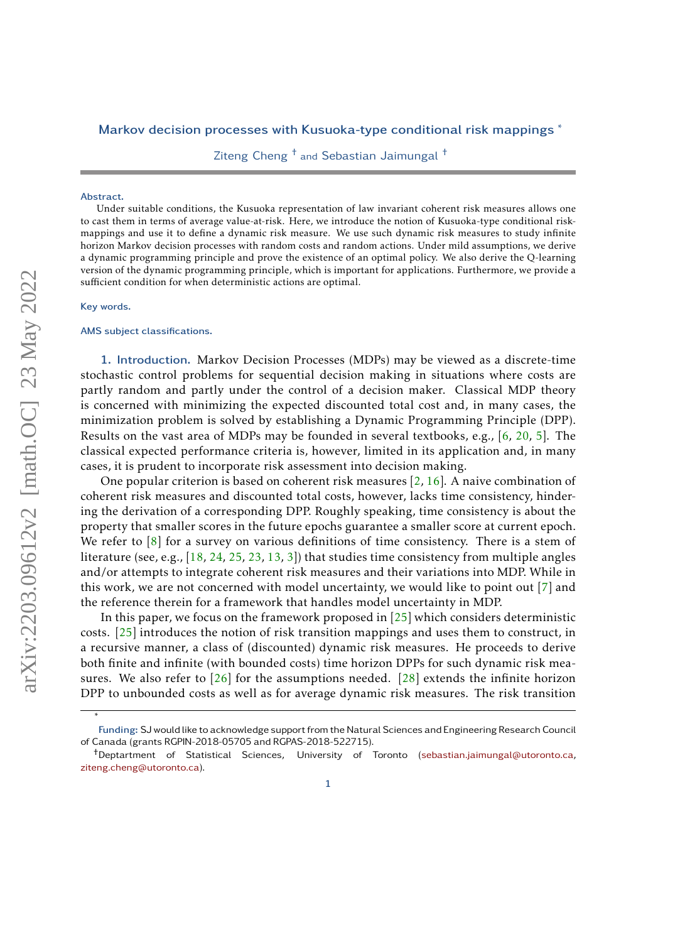# Markov decision processes with Kusuoka-type conditional risk mappings <sup>\*</sup>

Ziteng Cheng † and Sebastian Jaimungal †

#### Abstract.

Under suitable conditions, the Kusuoka representation of law invariant coherent risk measures allows one to cast them in terms of average value-at-risk. Here, we introduce the notion of Kusuoka-type conditional riskmappings and use it to define a dynamic risk measure. We use such dynamic risk measures to study infinite horizon Markov decision processes with random costs and random actions. Under mild assumptions, we derive a dynamic programming principle and prove the existence of an optimal policy. We also derive the Q-learning version of the dynamic programming principle, which is important for applications. Furthermore, we provide a sufficient condition for when deterministic actions are optimal.

#### Key words.

∗

### AMS subject classifications.

1. Introduction. Markov Decision Processes (MDPs) may be viewed as a discrete-time stochastic control problems for sequential decision making in situations where costs are partly random and partly under the control of a decision maker. Classical MDP theory is concerned with minimizing the expected discounted total cost and, in many cases, the minimization problem is solved by establishing a Dynamic Programming Principle (DPP). Results on the vast area of MDPs may be founded in several textbooks, e.g., [\[6,](#page-24-0) [20,](#page-24-1) [5\]](#page-24-2). The classical expected performance criteria is, however, limited in its application and, in many cases, it is prudent to incorporate risk assessment into decision making.

One popular criterion is based on coherent risk measures  $[2, 16]$  $[2, 16]$  $[2, 16]$ . A naive combination of coherent risk measures and discounted total costs, however, lacks time consistency, hindering the derivation of a corresponding DPP. Roughly speaking, time consistency is about the property that smaller scores in the future epochs guarantee a smaller score at current epoch. We refer to [\[8\]](#page-24-4) for a survey on various definitions of time consistency. There is a stem of literature (see, e.g., [\[18,](#page-24-5) [24,](#page-24-6) [25,](#page-24-7) [23,](#page-24-8) [13,](#page-24-9) [3\]](#page-23-1)) that studies time consistency from multiple angles and/or attempts to integrate coherent risk measures and their variations into MDP. While in this work, we are not concerned with model uncertainty, we would like to point out [\[7\]](#page-24-10) and the reference therein for a framework that handles model uncertainty in MDP.

In this paper, we focus on the framework proposed in  $[25]$  which considers deterministic costs. [\[25\]](#page-24-7) introduces the notion of risk transition mappings and uses them to construct, in a recursive manner, a class of (discounted) dynamic risk measures. He proceeds to derive both finite and infinite (with bounded costs) time horizon DPPs for such dynamic risk measures. We also refer to  $\lceil 26 \rceil$  for the assumptions needed.  $\lceil 28 \rceil$  extends the infinite horizon DPP to unbounded costs as well as for average dynamic risk measures. The risk transition

Funding: SJ would like to acknowledge support from the Natural Sciences and Engineering Research Council of Canada (grants RGPIN-2018-05705 and RGPAS-2018-522715).

<sup>†</sup>Deptartment of Statistical Sciences, University of Toronto [\(sebastian.jaimungal@utoronto.ca,](mailto:sebastian.jaimungal@utoronto.ca) [ziteng.cheng@utoronto.ca\)](mailto:ziteng.cheng@utoronto.ca).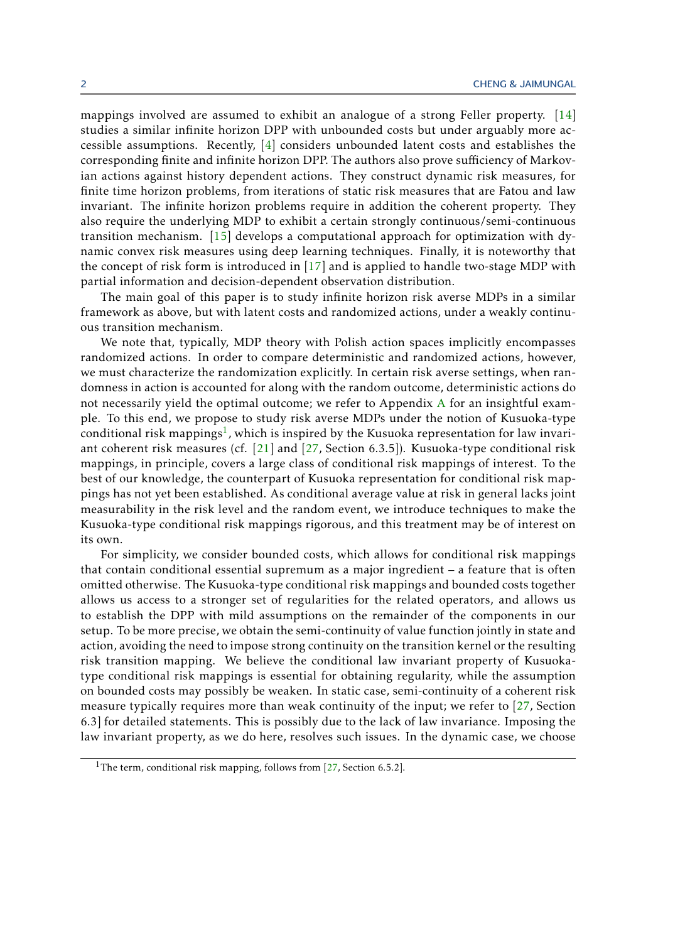mappings involved are assumed to exhibit an analogue of a strong Feller property. [\[14\]](#page-24-13) studies a similar infinite horizon DPP with unbounded costs but under arguably more accessible assumptions. Recently, [\[4\]](#page-24-14) considers unbounded latent costs and establishes the corresponding finite and infinite horizon DPP. The authors also prove sufficiency of Markovian actions against history dependent actions. They construct dynamic risk measures, for finite time horizon problems, from iterations of static risk measures that are Fatou and law invariant. The infinite horizon problems require in addition the coherent property. They also require the underlying MDP to exhibit a certain strongly continuous/semi-continuous transition mechanism. [\[15\]](#page-24-15) develops a computational approach for optimization with dynamic convex risk measures using deep learning techniques. Finally, it is noteworthy that the concept of risk form is introduced in [\[17\]](#page-24-16) and is applied to handle two-stage MDP with partial information and decision-dependent observation distribution.

The main goal of this paper is to study infinite horizon risk averse MDPs in a similar framework as above, but with latent costs and randomized actions, under a weakly continuous transition mechanism.

We note that, typically, MDP theory with Polish action spaces implicitly encompasses randomized actions. In order to compare deterministic and randomized actions, however, we must characterize the randomization explicitly. In certain risk averse settings, when randomness in action is accounted for along with the random outcome, deterministic actions do not necessarily yield the optimal outcome; we refer to Appendix [A](#page-24-17) for an insightful example. To this end, we propose to study risk averse MDPs under the notion of Kusuoka-type conditional risk mappings<sup>[1](#page-1-0)</sup>, which is inspired by the Kusuoka representation for law invariant coherent risk measures (cf. [\[21\]](#page-24-18) and [\[27,](#page-24-19) Section 6.3.5]). Kusuoka-type conditional risk mappings, in principle, covers a large class of conditional risk mappings of interest. To the best of our knowledge, the counterpart of Kusuoka representation for conditional risk mappings has not yet been established. As conditional average value at risk in general lacks joint measurability in the risk level and the random event, we introduce techniques to make the Kusuoka-type conditional risk mappings rigorous, and this treatment may be of interest on its own.

For simplicity, we consider bounded costs, which allows for conditional risk mappings that contain conditional essential supremum as a major ingredient – a feature that is often omitted otherwise. The Kusuoka-type conditional risk mappings and bounded costs together allows us access to a stronger set of regularities for the related operators, and allows us to establish the DPP with mild assumptions on the remainder of the components in our setup. To be more precise, we obtain the semi-continuity of value function jointly in state and action, avoiding the need to impose strong continuity on the transition kernel or the resulting risk transition mapping. We believe the conditional law invariant property of Kusuokatype conditional risk mappings is essential for obtaining regularity, while the assumption on bounded costs may possibly be weaken. In static case, semi-continuity of a coherent risk measure typically requires more than weak continuity of the input; we refer to [\[27,](#page-24-19) Section 6.3] for detailed statements. This is possibly due to the lack of law invariance. Imposing the law invariant property, as we do here, resolves such issues. In the dynamic case, we choose

<span id="page-1-0"></span><sup>&</sup>lt;sup>1</sup>The term, conditional risk mapping, follows from [\[27,](#page-24-19) Section 6.5.2].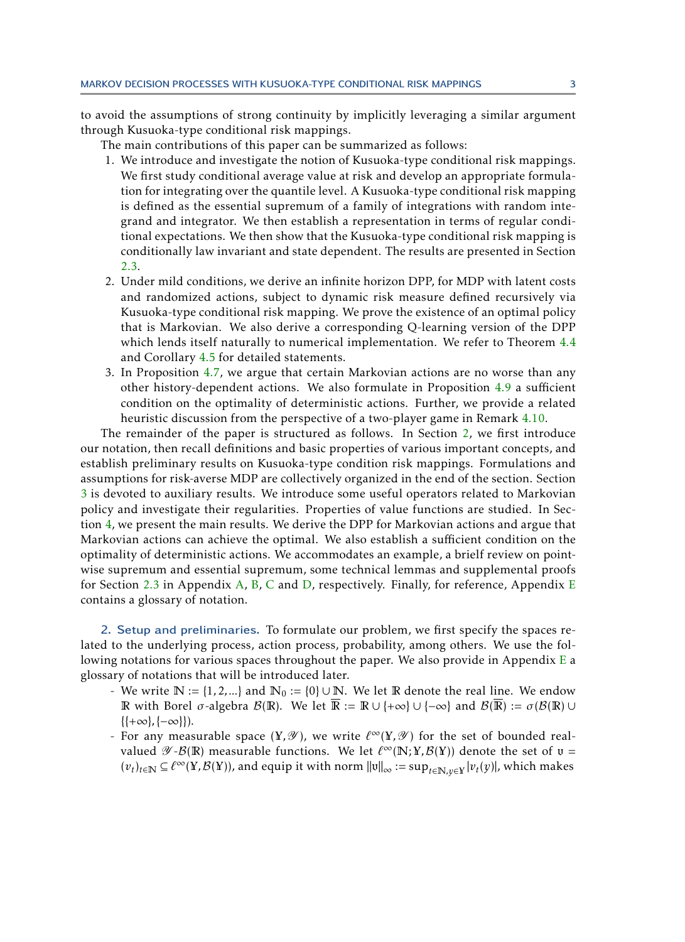to avoid the assumptions of strong continuity by implicitly leveraging a similar argument through Kusuoka-type conditional risk mappings.

The main contributions of this paper can be summarized as follows:

- 1. We introduce and investigate the notion of Kusuoka-type conditional risk mappings. We first study conditional average value at risk and develop an appropriate formulation for integrating over the quantile level. A Kusuoka-type conditional risk mapping is defined as the essential supremum of a family of integrations with random integrand and integrator. We then establish a representation in terms of regular conditional expectations. We then show that the Kusuoka-type conditional risk mapping is conditionally law invariant and state dependent. The results are presented in Section [2.3.](#page-5-0)
- 2. Under mild conditions, we derive an infinite horizon DPP, for MDP with latent costs and randomized actions, subject to dynamic risk measure defined recursively via Kusuoka-type conditional risk mapping. We prove the existence of an optimal policy that is Markovian. We also derive a corresponding Q-learning version of the DPP which lends itself naturally to numerical implementation. We refer to Theorem [4.4](#page-18-0) and Corollary [4.5](#page-19-0) for detailed statements.
- 3. In Proposition [4.7,](#page-20-0) we argue that certain Markovian actions are no worse than any other history-dependent actions. We also formulate in Proposition [4.9](#page-22-0) a sufficient condition on the optimality of deterministic actions. Further, we provide a related heuristic discussion from the perspective of a two-player game in Remark [4.10.](#page-23-2)

The remainder of the paper is structured as follows. In Section [2,](#page-2-0) we first introduce our notation, then recall definitions and basic properties of various important concepts, and establish preliminary results on Kusuoka-type condition risk mappings. Formulations and assumptions for risk-averse MDP are collectively organized in the end of the section. Section [3](#page-9-0) is devoted to auxiliary results. We introduce some useful operators related to Markovian policy and investigate their regularities. Properties of value functions are studied. In Section [4,](#page-17-0) we present the main results. We derive the DPP for Markovian actions and argue that Markovian actions can achieve the optimal. We also establish a sufficient condition on the optimality of deterministic actions. We accommodates an example, a brielf review on pointwise supremum and essential supremum, some technical lemmas and supplemental proofs for Section [2.3](#page-5-0) in Appendix [A,](#page-24-17) [B,](#page-25-0) [C](#page-26-0) and [D,](#page-28-0) respectively. Finally, for reference, Appendix [E](#page-33-0) contains a glossary of notation.

<span id="page-2-0"></span>2. Setup and preliminaries. To formulate our problem, we first specify the spaces related to the underlying process, action process, probability, among others. We use the following notations for various spaces throughout the paper. We also provide in Appendix  $\overline{E}$  $\overline{E}$  $\overline{E}$  a glossary of notations that will be introduced later.

- We write  $\mathbb{N} := \{1, 2, ...\}$  and  $\mathbb{N}_0 := \{0\} \cup \mathbb{N}$ . We let  $\mathbb{R}$  denote the real line. We endow R with Borel  $\sigma$ -algebra  $\mathcal{B}(\mathbb{R})$ . We let  $\overline{\mathbb{R}} := \mathbb{R} \cup \{+\infty\} \cup \{-\infty\}$  and  $\mathcal{B}(\overline{\mathbb{R}}) := \sigma(\mathcal{B}(\mathbb{R}) \cup$ {{+∞}*,*{−∞}}).
- For any measurable space  $(Y, \mathcal{Y})$ , we write  $\ell^{\infty}(Y, \mathcal{Y})$  for the set of bounded realvalued  $\mathscr{Y} - \mathcal{B}(\mathbb{R})$  measurable functions. We let  $\ell^{\infty}(\mathbb{N}; Y, \mathcal{B}(Y))$  denote the set of  $v =$  $(v_t)_{t\in\mathbb{N}}\subseteq \ell^\infty(Y,\mathcal{B}(Y))$ , and equip it with norm  $\|v\|_\infty:=\sup_{t\in\mathbb{N},y\in Y}|v_t(y)|$ , which makes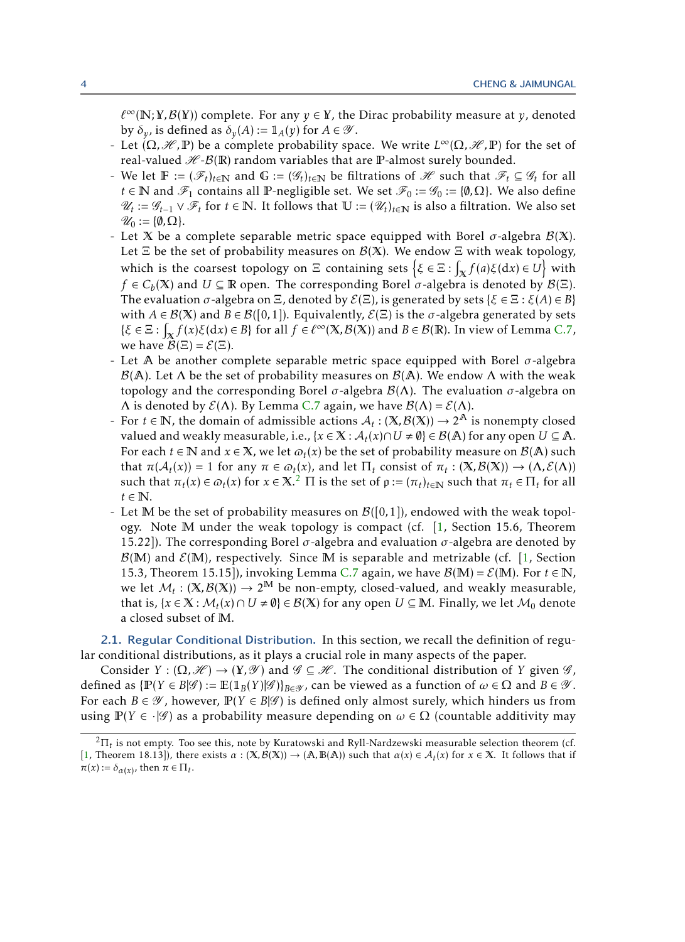$\ell^{\infty}(\mathbb{N};Y,\mathcal{B}(Y))$  complete. For any  $y \in Y$ , the Dirac probability measure at *y*, denoted by  $\delta_y$ , is defined as  $\delta_y(A) := \mathbb{1}_A(y)$  for  $A \in \mathscr{Y}$ .

- Let  $(Ω, ℜ, ℤ)$  be a complete probability space. We write  $L^∞(Ω, Ω, ℤ)$  for the set of real-valued  $H - B(R)$  random variables that are P-almost surely bounded.
- *F* We let  $\mathbb{F} := (\mathscr{F}_t)_{t \in \mathbb{N}}$  and  $\mathbb{G} := (\mathscr{G}_t)_{t \in \mathbb{N}}$  be filtrations of  $\mathscr{H}$  such that  $\mathscr{F}_t \subseteq \mathscr{G}_t$  for all *t* ∈ **N** and  $\mathscr{F}_1$  contains all **P**-negligible set. We set  $\mathscr{F}_0 := \mathscr{G}_0 := \{\emptyset, \Omega\}$ . We also define  $\mathcal{U}_t := \mathcal{G}_{t-1} \vee \mathcal{F}_t$  for *t* ∈ N. It follows that  $\mathbb{U} := (\mathcal{U}_t)_{t \in \mathbb{N}}$  is also a filtration. We also set  $\mathscr{U}_0 := \{\emptyset, \Omega\}.$
- Let X be a complete separable metric space equipped with Borel  $\sigma$ -algebra  $\mathcal{B}(X)$ . Let  $\Xi$  be the set of probability measures on  $\mathcal{B}(X)$ . We endow  $\Xi$  with weak topology, which is the coarsest topology on  $\Xi$  containing sets  $\left\{ \xi \in \Xi : \int_{\mathbb{X}} f(a) \xi(\mathrm{d} x) \in U \right\}$  with *f*  $\in$  *C*<sub>*b*</sub>(X) and *U*  $\subseteq$  R open. The corresponding Borel  $\sigma$ -algebra is denoted by  $\mathcal{B}(\Xi)$ . The evaluation  $\sigma$ -algebra on  $\Xi$ , denoted by  $\mathcal{E}(\Xi)$ , is generated by sets { $\xi \in \Xi : \xi(A) \in B$ } with  $A \in \mathcal{B}(X)$  and  $B \in \mathcal{B}([0,1])$ . Equivalently,  $\mathcal{E}(\Xi)$  is the  $\sigma$ -algebra generated by sets  $\{\xi \in \Xi : \int_{\mathbb{X}} f(x)\xi(dx) \in B\}$  for all  $f \in \ell^{\infty}(\mathbb{X}, \mathcal{B}(\mathbb{X}))$  and  $B \in \mathcal{B}(\mathbb{R})$ . In view of Lemma [C.7,](#page-28-1) we have  $\mathcal{B}(\Xi) = \mathcal{E}(\Xi)$ .
- Let A be another complete separable metric space equipped with Borel *σ*-algebra  $\mathcal{B}(A)$ . Let  $\Lambda$  be the set of probability measures on  $\mathcal{B}(A)$ . We endow  $\Lambda$  with the weak topology and the corresponding Borel  $\sigma$ -algebra  $\mathcal{B}(\Lambda)$ . The evaluation  $\sigma$ -algebra on Λ is denoted by  $\mathcal{E}(\Lambda)$ . By Lemma [C.7](#page-28-1) again, we have  $\mathcal{B}(\Lambda) = \mathcal{E}(\Lambda)$ .
- For  $t \in \mathbb{N}$ , the domain of admissible actions  $A_t : (\mathbb{X}, \mathcal{B}(\mathbb{X})) \to 2^{\mathbb{A}}$  is nonempty closed valued and weakly measurable, i.e.,  $\{x \in \mathbb{X} : \mathcal{A}_t(x) \cap U \neq \emptyset\} \in \mathcal{B}(\mathbb{A})$  for any open  $U \subseteq \mathbb{A}$ . For each  $t \in \mathbb{N}$  and  $x \in \mathbb{X}$ , we let  $\varpi_t(x)$  be the set of probability measure on  $\mathcal{B}(\mathbb{A})$  such that  $\pi(\mathcal{A}_t(x)) = 1$  for any  $\pi \in \omega_t(x)$ , and let  $\Pi_t$  consist of  $\pi_t : (\mathbb{X}, \mathcal{B}(\mathbb{X})) \to (\Lambda, \mathcal{E}(\Lambda))$ such that  $\pi_t(x) \in \omega_t(x)$  for  $x \in \mathbb{X}$ .<sup>[2](#page-3-0)</sup>  $\Pi$  is the set of  $\rho := (\pi_t)_{t \in \mathbb{N}}$  such that  $\pi_t \in \Pi_t$  for all  $t \in \mathbb{N}$ .
- Let M be the set of probability measures on  $\mathcal{B}([0,1])$ , endowed with the weak topology. Note M under the weak topology is compact (cf. [\[1,](#page-23-3) Section 15.6, Theorem 15.22]). The corresponding Borel *σ*-algebra and evaluation *σ*-algebra are denoted by  $\mathcal{B}(M)$  and  $\mathcal{E}(M)$ , respectively. Since M is separable and metrizable (cf. [\[1,](#page-23-3) Section 15.3, Theorem 15.15]), invoking Lemma [C.7](#page-28-1) again, we have  $\mathcal{B}(M) = \mathcal{E}(M)$ . For  $t \in \mathbb{N}$ , we let  $M_t : (X, B(X)) \to 2^M$  be non-empty, closed-valued, and weakly measurable, that is,  $\{x \in \mathbb{X} : \mathcal{M}_t(x) \cap U \neq \emptyset\} \in \mathcal{B}(\mathbb{X})$  for any open  $U \subseteq \mathbb{M}$ . Finally, we let  $\mathcal{M}_0$  denote a closed subset of M.

2.1. Regular Conditional Distribution. In this section, we recall the definition of regular conditional distributions, as it plays a crucial role in many aspects of the paper.

Consider  $Y : (\Omega, \mathcal{H}) \to (Y, \mathcal{Y})$  and  $\mathcal{G} \subseteq \mathcal{H}$ . The conditional distribution of *Y* given  $\mathcal{G}$ , defined as  $\{\mathbb{P}(Y \in B | \mathscr{G})\} := \mathbb{E}(\mathbb{1}_B(Y | \mathscr{G})\}_{B \in \mathscr{Y}}$ , can be viewed as a function of  $\omega \in \Omega$  and  $B \in \mathscr{Y}$ . For each  $B \in \mathcal{Y}$ , however,  $\mathbb{P}(Y \in B | \mathcal{G})$  is defined only almost surely, which hinders us from using  $\mathbb{P}(Y \in \cdot | \mathscr{G})$  as a probability measure depending on  $\omega \in \Omega$  (countable additivity may

<span id="page-3-0"></span> ${}^{2}\Pi_{t}$  is not empty. Too see this, note by Kuratowski and Ryll-Nardzewski measurable selection theorem (cf. [\[1,](#page-23-3) Theorem 18.13]), there exists  $\alpha : (\mathbf{X}, \mathcal{B}(\mathbf{X})) \to (\mathbb{A}, \mathbb{B}(\mathbb{A}))$  such that  $\alpha(x) \in \mathcal{A}_t(x)$  for  $x \in \mathbf{X}$ . It follows that if  $\overline{\pi}(x) := \delta_{\alpha(x)}$ , then  $\overline{\pi} \in \Pi_t$ .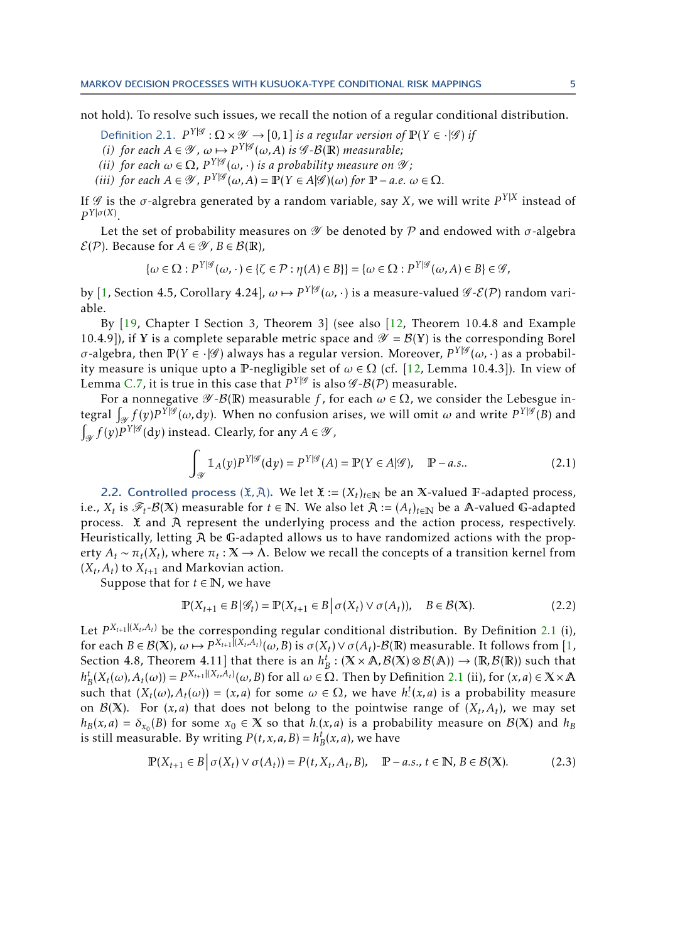not hold). To resolve such issues, we recall the notion of a regular conditional distribution.

- Definition 2.1.  $P^{Y|\mathscr{G}}: \Omega \times \mathscr{Y} \to [0,1]$  *is a regular version of*  $\mathbb{P}(Y \in \cdot | \mathscr{G})$  *if*
- (*i*) for each  $A \in \mathcal{Y}$ ,  $\omega \mapsto P^{Y|\mathcal{G}}(\omega, A)$  *is*  $\mathcal{G} \cdot B(\mathbb{R})$  *measurable;*
- *(ii) for each*  $\omega \in \Omega$ ,  $P^{Y|\mathscr{G}}(\omega, \cdot)$  *is a probability measure on*  $\mathscr{Y}$ *;*
- *(iii) for each*  $A \in \mathcal{Y}$ ,  $P^{Y|\mathcal{G}}(\omega, A) = P(Y \in A|\mathcal{G})(\omega)$  *for*  $P a.e.$   $\omega \in \Omega$ *.*

If  $\mathscr G$  is the  $\sigma$ -algrebra generated by a random variable, say  $X$ , we will write  $P^{Y|X}$  instead of  $P^{Y|\sigma(X)}$ .

Let the set of probability measures on  $\mathscr Y$  be denoted by  $\mathcal P$  and endowed with  $\sigma$ -algebra  $\mathcal{E}(\mathcal{P})$ . Because for  $A \in \mathcal{Y}$ ,  $B \in \mathcal{B}(\mathbb{R})$ ,

<span id="page-4-0"></span>
$$
\{\omega \in \Omega : P^{Y|\mathscr{G}}(\omega, \cdot) \in \{\zeta \in \mathcal{P} : \eta(A) \in B\}\} = \{\omega \in \Omega : P^{Y|\mathscr{G}}(\omega, A) \in B\} \in \mathscr{G},
$$

by [\[1,](#page-23-3) Section 4.5, Corollary 4.24],  $\omega \mapsto P^{Y|\mathscr{G}}(\omega,\cdot)$  is a measure-valued  $\mathscr{G}\text{-}\mathcal{E}(\mathcal{P})$  random variable.

By [\[19,](#page-24-20) Chapter I Section 3, Theorem 3] (see also [\[12,](#page-24-21) Theorem 10.4.8 and Example 10.4.9]), if Y is a complete separable metric space and  $\mathscr{Y} = \mathcal{B}(Y)$  is the corresponding Borel *σ*-algebra, then **P**(*Y* ∈ · |*G*) always has a regular version. Moreover, *P<sup>Y|g</sup>* (ω, ⋅) as a probability measure is unique upto a P-negligible set of  $\omega \in \Omega$  (cf. [\[12,](#page-24-21) Lemma 10.4.3]). In view of Lemma [C.7,](#page-28-1) it is true in this case that  $P^{Y|\mathscr{G}}$  is also  $\mathscr{G}\text{-}\mathcal{B}(\mathcal{P})$  measurable.

For a nonnegative  $\mathscr{Y}\text{-}\mathcal{B}(\mathbb{R})$  measurable *f*, for each  $\omega \in \Omega$ , we consider the Lebesgue integral  $\int_{\mathscr{Y}} f(y) P^{\gamma} | \mathscr{G}(\omega, dy)$ . When no confusion arises, we will omit  $\omega$  and write  $P^{\gamma} | \mathscr{G}(B)$  and  $\int_{\mathscr{Y}} f(y) P^{Y|\mathscr{G}}(\mathrm{d}y)$  instead. Clearly, for any  $A \in \mathscr{Y}$ ,

<span id="page-4-3"></span>
$$
\int_{\mathscr{Y}} \mathbb{1}_A(y) P^{Y|\mathscr{G}}(\mathrm{d}y) = P^{Y|\mathscr{G}}(A) = \mathbb{P}(Y \in A|\mathscr{G}), \quad \mathbb{P}-a.s.. \tag{2.1}
$$

<span id="page-4-4"></span>2.2. Controlled process  $(\mathfrak{X}, \mathfrak{X})$ . We let  $\mathfrak{X} := (X_t)_{t \in \mathbb{N}}$  be an X-valued F-adapted process, i.e.,  $X_t$  is  $\mathscr{F}_t$ - $\mathcal{B}(X)$  measurable for  $t \in \mathbb{N}$ . We also let  $\mathcal{A} := (A_t)_{t \in \mathbb{N}}$  be a  $A$ -valued G-adapted process.  $\mathfrak X$  and  $\mathfrak A$  represent the underlying process and the action process, respectively. Heuristically, letting  $A$  be G-adapted allows us to have randomized actions with the property  $A_t \sim \pi_t(X_t)$ , where  $\pi_t : X \to \Lambda$ . Below we recall the concepts of a transition kernel from  $(X_t, A_t)$  to  $X_{t+1}$  and Markovian action.

Suppose that for  $t \in \mathbb{N}$ , we have

<span id="page-4-2"></span><span id="page-4-1"></span>
$$
\mathbb{P}(X_{t+1} \in B | \mathcal{G}_t) = \mathbb{P}(X_{t+1} \in B | \sigma(X_t) \vee \sigma(A_t)), \quad B \in \mathcal{B}(\mathbb{X}).
$$
\n(2.2)

Let  $P^{X_{t+1}|(X_t,A_t)}$  be the corresponding regular conditional distribution. By Definition [2.1](#page-4-0) (i), for each  $B \in \mathcal{B}(\mathbb{X})$ ,  $\omega \mapsto P^{X_{t+1}[(X_t, A_t)}(\omega, B)$  is  $\sigma(X_t) \vee \sigma(A_t)$ - $\mathcal{B}(\mathbb{R})$  measurable. It follows from [\[1,](#page-23-3) Section 4.8, Theorem 4.11] that there is an  $h_B^t$ : ( $\mathbb{X} \times \mathbb{A}$ ,  $\mathcal{B}(\mathbb{X}) \otimes \mathcal{B}(\mathbb{A})$ )  $\rightarrow$  ( $\mathbb{R}$ ,  $\mathcal{B}(\mathbb{R})$ ) such that  $h^t_B(X_t(\omega), A_t(\omega)) = P^{X_{t+1}|(X_t, A_t)}(\omega, B)$  for all  $\omega \in \Omega$ . Then by Definition [2.1](#page-4-0) (ii), for  $(x, a) \in X \times A$ such that  $(X_t(\omega), A_t(\omega)) = (x, a)$  for some  $\omega \in \Omega$ , we have  $h^t(x, a)$  is a probability measure on  $\mathcal{B}(X)$ . For  $(x, a)$  that does not belong to the pointwise range of  $(X_t, A_t)$ , we may set  $h_B(x,a) = \delta_{x_0}(B)$  for some  $x_0 \in X$  so that  $h(x,a)$  is a probability measure on  $B(X)$  and  $h_B$ is still measurable. By writing  $P(t, x, a, B) = h_B^t(x, a)$ , we have

$$
\mathbb{P}(X_{t+1} \in B \mid \sigma(X_t) \lor \sigma(A_t)) = P(t, X_t, A_t, B), \quad \mathbb{P}-a.s., t \in \mathbb{N}, B \in \mathcal{B}(\mathbb{X}).
$$
 (2.3)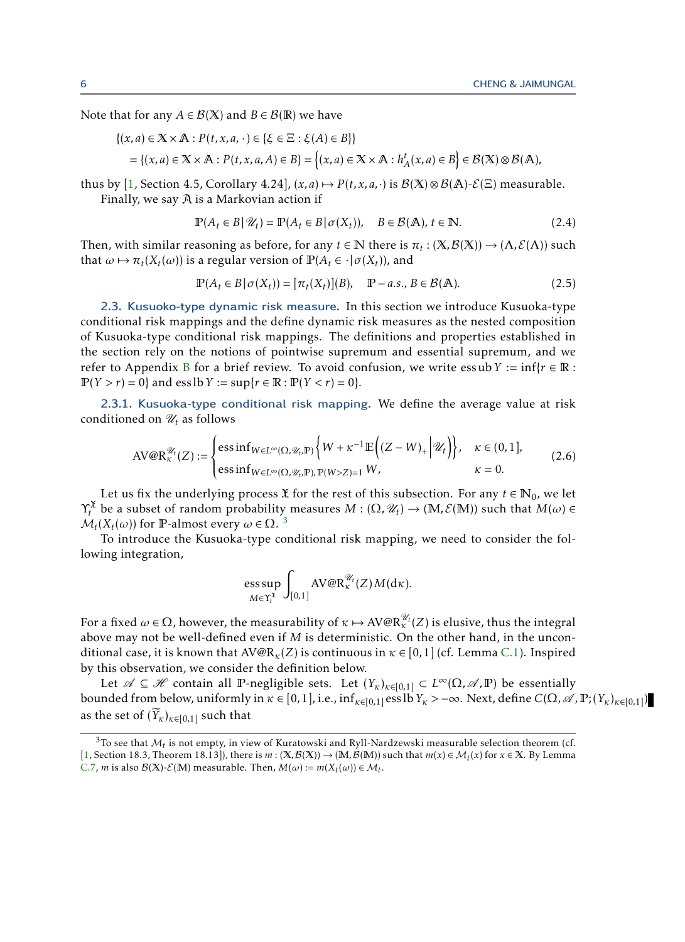Note that for any *A*  $\in$  *B*(X) and *B*  $\in$  *B*( $\mathbb{R}$ ) we have

$$
\{(x,a) \in \mathbb{X} \times \mathbb{A} : P(t,x,a,\cdot) \in \{\xi \in \Xi : \xi(A) \in B\}\}
$$
  
= 
$$
\{(x,a) \in \mathbb{X} \times \mathbb{A} : P(t,x,a,A) \in B\} = \{(x,a) \in \mathbb{X} \times \mathbb{A} : h_A^t(x,a) \in B\} \in \mathcal{B}(\mathbb{X}) \otimes \mathcal{B}(\mathbb{A}),
$$

thus by [\[1,](#page-23-3) Section 4.5, Corollary 4.24],  $(x, a) \mapsto P(t, x, a, \cdot)$  is  $\mathcal{B}(X) \otimes \mathcal{B}(A)$ - $\mathcal{E}(E)$  measurable. Finally, we say  $A$  is a Markovian action if

$$
\mathbb{P}(A_t \in B | \mathcal{U}_t) = \mathbb{P}(A_t \in B | \sigma(X_t)), \quad B \in \mathcal{B}(\mathbb{A}), t \in \mathbb{N}.
$$
 (2.4)

Then, with similar reasoning as before, for any  $t \in \mathbb{N}$  there is  $\pi_t : (\mathbb{X}, \mathcal{B}(\mathbb{X})) \to (\Lambda, \mathcal{E}(\Lambda))$  such that  $\omega \mapsto \pi_t(X_t(\omega))$  is a regular version of  $\mathbb{P}(A_t \in \cdot | \sigma(X_t))$ , and

<span id="page-5-3"></span>
$$
\mathbb{P}(A_t \in B | \sigma(X_t)) = [\pi_t(X_t)](B), \quad \mathbb{P}-a.s., B \in \mathcal{B}(\mathbb{A}).
$$
\n(2.5)

<span id="page-5-0"></span>2.3. Kusuoko-type dynamic risk measure. In this section we introduce Kusuoka-type conditional risk mappings and the define dynamic risk measures as the nested composition of Kusuoka-type conditional risk mappings. The definitions and properties established in the section rely on the notions of pointwise supremum and essential supremum, and we refer to Appendix [B](#page-25-0) for a brief review. To avoid confusion, we write essub  $Y := \inf\{r \in \mathbb{R} :$  $P(Y > r) = 0$ } and ess lb *Y* := sup{ $r \in \mathbb{R} : P(Y < r) = 0$ }.

<span id="page-5-4"></span>2.3.1. Kusuoka-type conditional risk mapping. We define the average value at risk conditioned on  $\mathcal{U}_t$  as follows

$$
\text{AV@R}^{\mathscr{U}_t}_{\kappa}(Z) := \begin{cases} \text{ess}\inf_{W \in L^{\infty}(\Omega, \mathscr{U}_t, \mathbb{P})} \left\{ W + \kappa^{-1} \mathbb{E}\left( (Z - W)_{+} \Big| \mathscr{U}_t \right) \right\}, & \kappa \in (0, 1], \\ \text{ess}\inf_{W \in L^{\infty}(\Omega, \mathscr{U}_t, \mathbb{P}), \mathbb{P}(W > Z) = 1} W, & \kappa = 0. \end{cases}
$$
(2.6)

Let us fix the underlying process  $\tilde{x}$  for the rest of this subsection. For any  $t \in \mathbb{N}_0$ , we let  $\Upsilon_t^{\mathfrak{X}}$  be a subset of random probability measures  $M:(\Omega,\mathscr{U}_t)\to (\mathbb{M},\mathcal{E}(\mathbb{M}))$  such that  $M(\omega)\in$  $\mathcal{M}_t(X_t(\omega))$  for **P**-almost every  $\omega \in \Omega$ .<sup>[3](#page-5-1)</sup>

To introduce the Kusuoka-type conditional risk mapping, we need to consider the following integration,

<span id="page-5-2"></span>
$$
\text{ess}\sup_{M\in \Upsilon_t^{\mathfrak{X}}}\int_{[0,1]}\text{AV@R}^{\mathscr{U}_t}_{\kappa}(Z)M(\text{d}\kappa).
$$

For a fixed  $\omega\in\Omega$ , however, the measurability of  $\kappa\mapsto \text{AV@R}_\kappa^{\mathscr{U}_t}(Z)$  is elusive, thus the integral above may not be well-defined even if *M* is deterministic. On the other hand, in the unconditional case, it is known that AV@R*κ*(*Z*) is continuous in *κ* ∈ [0*,*1] (cf. Lemma [C.1\)](#page-26-1). Inspired by this observation, we consider the definition below.

Let  $\mathscr{A} \subseteq \mathscr{H}$  contain all P-negligible sets. Let  $(Y_{\kappa})_{\kappa \in [0,1]} \subset L^{\infty}(\Omega, \mathscr{A}, \mathbb{P})$  be essentially bounded from below, uniformly in *κ* ∈ [0,1], i.e., inf<sub>*κ*∈[0,1]</sub> ess lb *Y<sub>κ</sub>* > −∞. Next, define *C*(Ω, ⊿, P; (*Y<sub>κ</sub>*)<sub>*κ*∈[0,1]</sub>) as the set of  $(\widetilde{Y}_k)_{k \in [0,1]}$  such that

<span id="page-5-1"></span> $3$ To see that  $M_t$  is not empty, in view of Kuratowski and Ryll-Nardzewski measurable selection theorem (cf. [\[1,](#page-23-3) Section 18.3, Theorem 18.13]), there is  $m$  : ( $\mathbb{X}, \mathcal{B}(\mathbb{X})$ ) → ( $\mathbb{M}, \mathcal{B}(\mathbb{M})$ ) such that  $m(x) \in \mathcal{M}_t(x)$  for  $x \in \mathbb{X}$ . By Lemma [C.7,](#page-28-1) *m* is also  $\mathcal{B}(\mathbb{X})$ - $\mathcal{E}(\mathbb{M})$  measurable. Then,  $M(\omega) := m(X_t(\omega)) \in \mathcal{M}_t$ .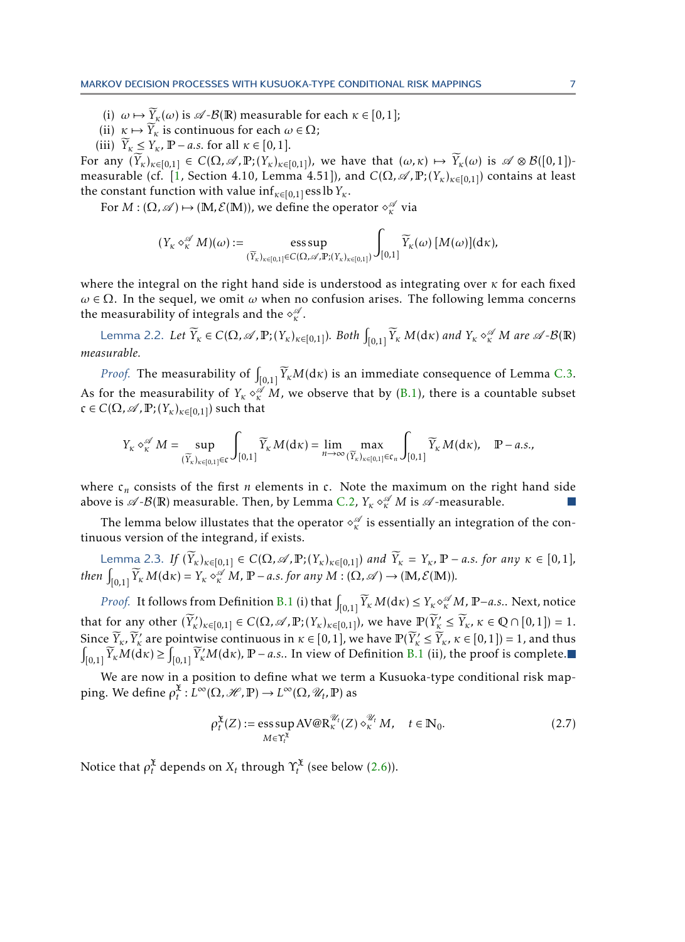- (i)  $\omega \mapsto \widetilde{Y}_{\kappa}(\omega)$  is  $\mathscr{A}\text{-}\mathcal{B}(\mathbb{R})$  measurable for each  $\kappa \in [0,1]$ ;
- (ii)  $\kappa \mapsto \widetilde{Y}_k$  is continuous for each  $\omega \in \Omega$ ;
- (iii)  $\widetilde{Y}_k \leq Y_k$ ,  $\mathbb{P}-a.s.$  for all  $\kappa \in [0,1].$

For any  $(\widetilde{Y}_k)_{k\in[0,1]} \in C(\Omega,\mathscr{A},\mathbb{P}; (Y_k)_{k\in[0,1]}),$  we have that  $(\omega,\kappa) \mapsto \widetilde{Y}_k(\omega)$  is  $\mathscr{A} \otimes \mathcal{B}([0,1])$ -measurable (cf. [\[1,](#page-23-3) Section 4.10, Lemma 4.51]), and  $C(\Omega, \mathscr{A}, \mathbb{P}; (Y_\kappa)_{\kappa \in [0,1]})$  contains at least the constant function with value  $\inf_{\kappa \in [0,1]} \text{ess lb } Y_{\kappa}$ .

For  $M: (\Omega, \mathscr{A}) \mapsto (\mathbb{M}, \mathcal{E}(\mathbb{M}))$ , we define the operator  $\diamond^{\mathscr{A}}_{\kappa}$  via

<span id="page-6-0"></span>
$$
(Y_{\kappa} \diamond_{\kappa}^{\mathscr{A}} M)(\omega) := \underset{(\widetilde{Y}_{\kappa})_{\kappa \in [0,1]} \in C(\Omega, \mathscr{A}, \mathbb{P}; (Y_{\kappa})_{\kappa \in [0,1]})}{{\rm ess \, sup}} \int_{[0,1]} \widetilde{Y}_{\kappa}(\omega) [M(\omega)](d\kappa),
$$

where the integral on the right hand side is understood as integrating over *κ* for each fixed  $ω ∈ Ω$ . In the sequel, we omit  $ω$  when no confusion arises. The following lemma concerns the measurability of integrals and the  $\diamond^\mathscr{A}_\kappa$ .

Lemma 2.2. Let  $\widetilde{Y}_\kappa\in C(\Omega,\mathscr{A},\mathbb{P};(Y_\kappa)_{\kappa\in[0,1]}).$  Both  $\int_{[0,1]}\widetilde{Y}_\kappa\;M(\mathrm{d}\kappa)$  and  $Y_\kappa\circ_{\kappa}^{\mathscr{A}}M$  are  $\mathscr{A}\text{-}\mathcal{B}(\mathbb{R})$ *measurable.*

*Proof.* The measurability of  $\int_{[0,1]} \widetilde{Y}_{\kappa}M(\mathrm{d}\kappa)$  is an immediate consequence of Lemma [C.3.](#page-26-2) As for the measurability of  $Y_k \circ \check{\mathbb{R}}^M M$ , we observe that by [\(B.1\)](#page-25-1), there is a countable subset  $c \in C(\Omega, \mathcal{A}, \mathbb{P}; (Y_{\kappa})_{\kappa \in [0,1]})$  such that

<span id="page-6-2"></span>
$$
Y_{\kappa} \diamond_{\kappa}^{\mathscr{A}} M = \sup_{(\widetilde{Y}_{\kappa})_{\kappa \in [0,1]} \in \mathfrak{c}} \int_{[0,1]} \widetilde{Y}_{\kappa} M(\mathrm{d}\kappa) = \lim_{n \to \infty} \max_{(\widetilde{Y}_{\kappa})_{\kappa \in [0,1]} \in \mathfrak{c}_n} \int_{[0,1]} \widetilde{Y}_{\kappa} M(\mathrm{d}\kappa), \quad \mathbb{P}-a.s.,
$$

where  $c_n$  consists of the first *n* elements in  $c$ . Note the maximum on the right hand side above is  $\mathscr{A}\textrm{-}\mathcal{B}(\mathbb{R})$  measurable. Then, by Lemma [C.2,](#page-26-3)  $Y_\kappa \diamond^{\mathscr{A}}_\kappa M$  is  $\mathscr{A}\textrm{-}$ measurable.

The lemma below illustates that the operator  $\diamond^\mathscr{A}_\kappa$  is essentially an integration of the continuous version of the integrand, if exists.

Lemma 2.3. If  $(\widetilde{Y}_{\kappa})_{\kappa \in [0,1]} \in C(\Omega, \mathscr{A}, \mathbb{P}; (Y_{\kappa})_{\kappa \in [0,1]})$  and  $\widetilde{Y}_{\kappa} = Y_{\kappa}$ ,  $\mathbb{P}-a.s.$  for any  $\kappa \in [0,1]$ ,  $then \int_{[0,1]} \widetilde{Y}_{\kappa} M(\mathrm{d}\kappa) = Y_{\kappa} \circ_{\kappa}^{\mathscr{A}} M$ ,  $\mathbb{P}-a.s.$  *for any*  $M : (\Omega, \mathscr{A}) \to (\mathbb{M}, \mathcal{E}(\mathbb{M})).$ 

*Proof.* It follows from Definition [B.1](#page-25-2) (i) that  $\int_{[0,1]} \widetilde{Y}_{\kappa} M(\mathrm{d}\kappa) \leq Y_{\kappa} \diamond^{\mathscr{A}}_{\kappa} M$ ,  $\mathbb{P}-a.s..$  Next, notice that for any other  $(\widetilde{Y}_{\kappa}')_{\kappa \in [0,1]} \in C(\Omega, \mathscr{A}, \mathbb{P}; (Y_{\kappa})_{\kappa \in [0,1]}),$  we have  $\mathbb{P}(\widetilde{Y}_{\kappa}' \leq \widetilde{Y}_{\kappa}, \kappa \in \mathbb{Q} \cap [0,1]) = 1.$ Since  $\widetilde{Y}_{\kappa}, \widetilde{Y}_{\kappa}'$  are pointwise continuous in  $\kappa \in [0,1]$ , we have  $\mathbb{P}(\widetilde{Y}_{\kappa}' \leq \widetilde{Y}_{\kappa}, \kappa \in [0,1]) = 1$ , and thus  $\int_{[0,1]} \widetilde{Y}_{\kappa} M(dx) \geq \int_{[0,1]} \widetilde{Y}_{\kappa}' M(dx)$ ,  $\mathbb{P}-a.s$ .. In view of Definiti

We are now in a position to define what we term a Kusuoka-type conditional risk map- $\text{ping. We define } ρ_t^{\mathfrak{X}}: L^{\infty}(\Omega, \mathcal{H}, \mathbb{P}) \to L^{\infty}(\Omega, \mathcal{U}_t, \mathbb{P}) \text{ as }$ 

<span id="page-6-3"></span>
$$
\rho_t^{\mathfrak{X}}(Z) := \operatorname*{ess\,sup}_{M \in \Upsilon_t^{\mathfrak{X}}} AV@R_{\kappa}^{\mathscr{U}_t}(Z) \diamond_{\kappa}^{\mathscr{U}_t} M, \quad t \in \mathbb{N}_0. \tag{2.7}
$$

<span id="page-6-1"></span>Notice that  $\rho_t^{\mathfrak{X}}$  depends on  $X_t$  through  $\Upsilon_t^{\mathfrak{X}}$  (see below [\(2.6\)](#page-5-2)).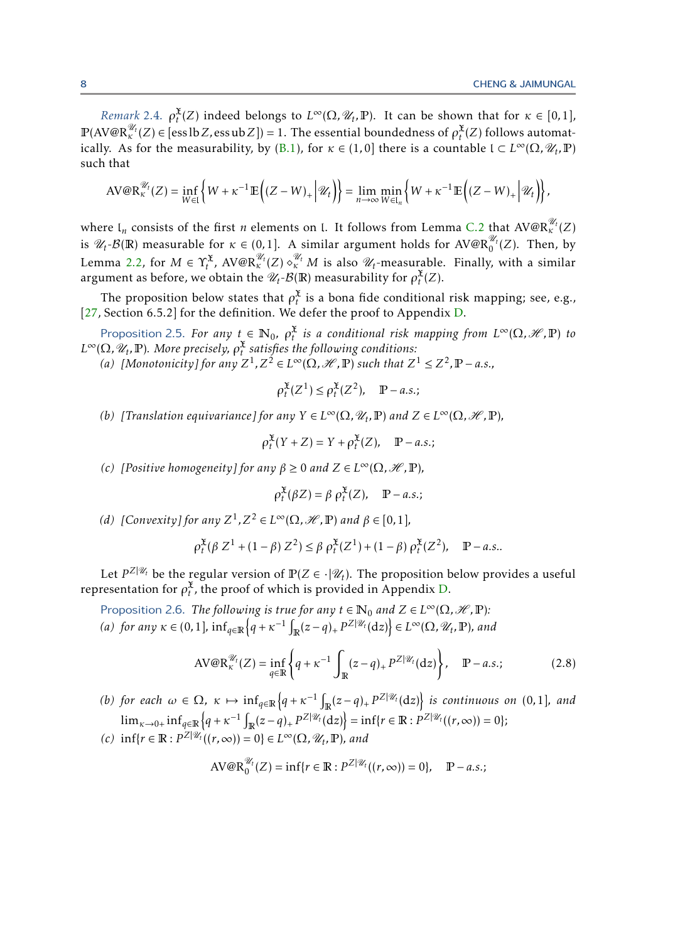*Remark* 2.4.  $\rho_t^{\mathfrak{X}}(Z)$  indeed belongs to  $L^{\infty}(\Omega, \mathcal{U}_t, \mathbb{P})$ . It can be shown that for  $\kappa \in [0,1]$ ,  $\mathbb{P}(\text{AV@R}^{\mathscr{U}_t}_\kappa(Z) \in [\text{ess}\,lb\,Z, \text{ess}\,ub\,Z]) = 1.$  The essential boundedness of  $\rho_t^{\mathfrak{X}}(Z)$  follows automat-ically. As for the measurability, by [\(B.1\)](#page-25-1), for  $\kappa \in (1,0]$  there is a countable  $I \subset L^{\infty}(\Omega, \mathcal{U}_t, \mathbb{P})$ such that

$$
\text{AV@R}^{\mathscr{U}_t}_\kappa(Z) = \inf_{W \in \mathfrak{l}} \left\{ W + \kappa^{-1} \mathbb{E} \left( (Z - W)_+ \Big| \mathscr{U}_t \right) \right\} = \lim_{n \to \infty} \min_{W \in \mathfrak{l}_n} \left\{ W + \kappa^{-1} \mathbb{E} \left( (Z - W)_+ \Big| \mathscr{U}_t \right) \right\},
$$

where  $\mathfrak{l}_n$  consists of the first *n* elements on  $\mathfrak{l}$ . It follows from Lemma [C.2](#page-26-3) that  $\text{AV@R}^{\mathscr{U}_t}_\kappa(Z)$ is  $\mathscr{U}_t$ - $\mathcal{B}(\mathbb{R})$  measurable for  $\kappa \in (0,1]$ . A similar argument holds for AV@R $_0^{\mathscr{U}_t}(Z)$ . Then, by Lemma [2.2,](#page-6-0) for  $M \in \Upsilon_t^{\mathfrak{X}},$   $\text{A} \text{V@R}^{\mathscr{U}_t}_\kappa(Z) \diamond^{\mathscr{U}_t}_\kappa M$  is also  $\mathscr{U}_t$ -measurable. Finally, with a similar argument as before, we obtain the  $\mathscr{U}_t$ - $\mathcal{B}(\mathbb{R})$  measurability for  $\rho_t^{\mathfrak{X}}(Z)$ .

The proposition below states that  $\rho_t^{\mathfrak{X}}$  is a bona fide conditional risk mapping; see, e.g., [\[27,](#page-24-19) Section 6.5.2] for the definition. We defer the proof to Appendix [D.](#page-28-0)

Proposition 2.5. *For any*  $t \in \mathbb{N}_0$ ,  $\rho_t^{\mathfrak{X}}$  *is a conditional risk mapping from*  $L^{\infty}(\Omega,\mathscr{H},\mathbb{P})$  *to*  $L^{\infty}(\Omega, \mathscr{U}_t, \mathbb{P})$ *. More precisely,*  $\rho_t^{\mathfrak{X}}$  *satisfies the following conditions:* 

(a) [Monotonicity] for any  $Z^1$ ,  $Z^2 \in L^\infty(\Omega, \mathcal{H}, \mathbb{P})$  such that  $Z^1 \leq Z^2, \mathbb{P} - a.s.,$ 

<span id="page-7-1"></span>
$$
\rho_t^{\mathfrak{X}}(Z^1) \le \rho_t^{\mathfrak{X}}(Z^2), \quad \mathbb{P}-a.s.;
$$

*(b) [Translation equivariance] for any*  $Y \in L^{\infty}(\Omega, \mathcal{U}_t, \mathbb{P})$  *and*  $Z \in L^{\infty}(\Omega, \mathcal{H}, \mathbb{P})$ *,* 

$$
\rho_t^{\mathfrak{X}}(Y+Z) = Y + \rho_t^{\mathfrak{X}}(Z), \quad \mathbb{P}-a.s.
$$

*(c) [Positive homogeneity] for any*  $\beta \ge 0$  *and*  $Z \in L^{\infty}(\Omega, \mathcal{H}, \mathbb{P})$ *,* 

<span id="page-7-2"></span><span id="page-7-0"></span>
$$
\rho_t^{\mathfrak{X}}(\beta Z) = \beta \rho_t^{\mathfrak{X}}(Z), \quad \mathbb{P}-a.s.
$$

*(d)* [Convexity] for any  $Z^1$ ,  $Z^2 \in L^\infty(\Omega, \mathcal{H}, \mathbb{P})$  and  $\beta \in [0, 1]$ *,* 

$$
\rho_t^{\mathfrak{X}}(\beta Z^1 + (1 - \beta) Z^2) \le \beta \rho_t^{\mathfrak{X}}(Z^1) + (1 - \beta) \rho_t^{\mathfrak{X}}(Z^2), \quad \mathbb{P}-a.s..
$$

Let  $P^{Z|\mathscr{U}_t}$  be the regular version of  $\mathbb{P}(Z \in \cdot|\mathscr{U}_t)$ . The proposition below provides a useful representation for  $\rho_t^{\mathfrak{X}}$ , the proof of which is provided in Appendix [D.](#page-28-0)

Proposition 2.6. *The following is true for any*  $t \in \mathbb{N}_0$  *and*  $Z \in L^\infty(\Omega, \mathcal{H}, \mathbb{P})$ *:*  $f(a)$  *for any*  $\kappa \in (0,1]$ ,  $\inf_{q \in \mathbb{R}} \left\{ q + \kappa^{-1} \int_{\mathbb{R}} (z-q)_+ P^{\mathbb{Z}|\mathscr{U}_t}(\mathrm{d}z) \right\} \in L^\infty(\Omega, \mathscr{U}_t, \mathbb{P})$ , and

$$
AV@R_{\kappa}^{\mathscr{U}_t}(Z) = \inf_{q \in \mathbb{R}} \left\{ q + \kappa^{-1} \int_{\mathbb{R}} (z - q)_+ P^{Z|\mathscr{U}_t}(\mathrm{d}z) \right\}, \quad \mathbb{P}-a.s.;\tag{2.8}
$$

(b) for each  $\omega \in \Omega$ ,  $\kappa \mapsto \inf_{q \in \mathbb{R}} \left\{ q + \kappa^{-1} \int_{\mathbb{R}} (z - q)_+ \, p^{\mathrm{Z} | \mathcal{U}_t} (\mathrm{d} z) \right\}$  is continuous on (0,1], and  $\lim_{\kappa \to 0+} \inf_{q \in \mathbb{R}} \left\{ q + \kappa^{-1} \int_{\mathbb{R}} (z-q)_+ \, P^{\mathbb{Z}|\mathscr{U}_t}(\mathrm{d} z) \right\} = \inf \{ r \in \mathbb{R} : P^{\mathbb{Z}|\mathscr{U}_t}((r,\infty)) = 0 \};$ 

 $f(c)$  inf{*r* ∈ **R**:  $P^{|z|}$ <sup>2|</sup> $\mathcal{U}_t((r, \infty)) = 0$ } ∈  $L^\infty(\Omega, \mathcal{U}_t, \mathbb{P})$ *, and* 

$$
AV@R_0^{\mathscr{U}_t}(Z) = \inf\{r \in \mathbb{R} : P^{Z|\mathscr{U}_t}((r,\infty)) = 0\}, \quad \mathbb{P}-a.s.;
$$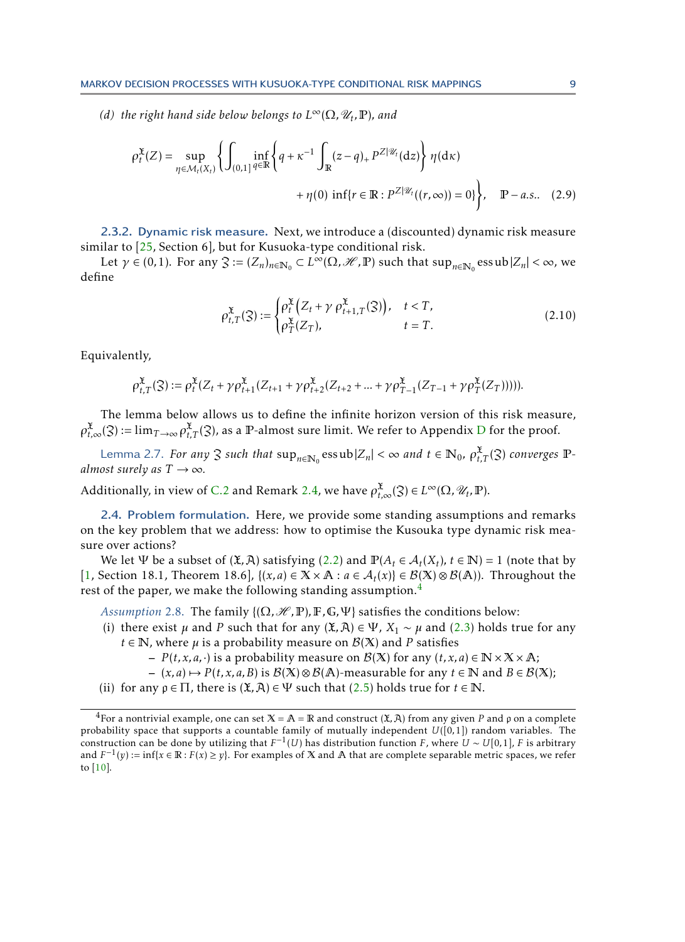*(d) the right hand side below belongs to*  $L^{\infty}(\Omega, \mathcal{U}_t, \mathbb{P})$ *, and* 

$$
\rho_t^{\mathfrak{X}}(Z) = \sup_{\eta \in \mathcal{M}_t(X_t)} \left\{ \int_{(0,1]} \inf_{q \in \mathbb{R}} \left\{ q + \kappa^{-1} \int_{\mathbb{R}} (z - q)_+ P^{Z|\mathcal{U}_t}(\mathrm{d}z) \right\} \eta(\mathrm{d}\kappa) + \eta(0) \inf \{ r \in \mathbb{R} : P^{Z|\mathcal{U}_t}((r,\infty)) = 0 \} \right\}, \quad \mathbb{P}-a.s.. \quad (2.9)
$$

2.3.2. Dynamic risk measure. Next, we introduce a (discounted) dynamic risk measure similar to [\[25,](#page-24-7) Section 6], but for Kusuoka-type conditional risk.

Let  $\gamma \in (0,1)$ . For any  $\mathfrak{Z} := (Z_n)_{n \in \mathbb{N}_0} \subset L^{\infty}(\Omega, \mathcal{H}, \mathbb{P})$  such that  $\sup_{n \in \mathbb{N}_0} \text{essub} |Z_n| < \infty$ , we define

<span id="page-8-4"></span><span id="page-8-3"></span><span id="page-8-2"></span>
$$
\rho_{t,T}^{\mathfrak{X}}(\mathfrak{Z}) := \begin{cases} \rho_t^{\mathfrak{X}} \left( Z_t + \gamma \rho_{t+1,T}^{\mathfrak{X}}(\mathfrak{Z}) \right), & t < T, \\ \rho_T^{\mathfrak{X}}(Z_T), & t = T. \end{cases} \tag{2.10}
$$

Equivalently,

$$
\rho_{t,T}^{\mathfrak{X}}(\mathfrak{Z}) := \rho_t^{\mathfrak{X}}(Z_t + \gamma \rho_{t+1}^{\mathfrak{X}}(Z_{t+1} + \gamma \rho_{t+2}^{\mathfrak{X}}(Z_{t+2} + \dots + \gamma \rho_{T-1}^{\mathfrak{X}}(Z_{T-1} + \gamma \rho_T^{\mathfrak{X}}(Z_T))))).
$$

The lemma below allows us to define the infinite horizon version of this risk measure,  $\rho_{t,\infty}^{\mathfrak{X}}(3)$  := lim<sub>*T*→∞</sub>  $\rho_{t,T}^{\mathfrak{X}}(3)$ , as a  $\mathbb{P}\text{-almost sure limit.}$  We refer to Appendix [D](#page-28-0) for the proof.

Lemma 2.7. *For any*  $\Im$  *such that*  $\sup_{n\in\mathbb{N}_0} \text{essub} |Z_n| < \infty$  *and*  $t \in \mathbb{N}_0$ ,  $\rho_{t,T}^{\mathfrak{X}}(\mathfrak{Z})$  *converges*  $\mathbb{P}$ *almost surely as*  $T \rightarrow \infty$ *.* 

Additionally, in view of [C.2](#page-26-3) and Remark [2.4,](#page-6-1) we have  $\rho_{t,\infty}^{\mathfrak{X}}(\mathfrak{Z}) \in L^{\infty}(\Omega,\mathscr{U}_t,\mathbb{P}).$ 

<span id="page-8-5"></span>2.4. Problem formulation. Here, we provide some standing assumptions and remarks on the key problem that we address: how to optimise the Kusouka type dynamic risk measure over actions?

We let  $\Psi$  be a subset of  $(\mathfrak{X}, \mathfrak{X})$  satisfying  $(2.2)$  and  $\mathbb{P}(A_t \in \mathcal{A}_t(X_t), t \in \mathbb{N}) = 1$  (note that by [\[1,](#page-23-3) Section 18.1, Theorem 18.6],  $\{(x, a) \in X \times \mathbb{A} : a \in \mathcal{A}_t(x)\} \in \mathcal{B}(X) \otimes \mathcal{B}(\mathbb{A})$ ). Throughout the rest of the paper, we make the following standing assumption.<sup>[4](#page-8-0)</sup>

<span id="page-8-1"></span>*Assumption* 2.8. The family  $\{(\Omega, \mathcal{H}, \mathbb{P}), \mathbb{F}, \mathbb{G}, \Psi\}$  satisfies the conditions below:

- (i) there exist  $\mu$  and *P* such that for any  $(\mathfrak{X}, \mathfrak{X}) \in \Psi$ ,  $X_1 \sim \mu$  and [\(2.3\)](#page-4-2) holds true for any  $t \in \mathbb{N}$ , where  $\mu$  is a probability measure on  $\mathcal{B}(X)$  and P satisfies
	- $-P(t, x, a, \cdot)$  is a probability measure on  $\mathcal{B}(X)$  for any  $(t, x, a) \in \mathbb{N} \times \mathbb{X} \times \mathbb{A}$ ;
	- $-$  (*x*, *a*)  $\mapsto$  *P*(*t*, *x*, *a*, *B*) is *B*( $\mathbb{X}$ )⊗ *B*( $\mathbb{A}$ )-measurable for any *t* ∈  $\mathbb{N}$  and *B* ∈ *B*( $\mathbb{X}$ );
- (ii) for any  $\rho \in \Pi$ , there is  $(\mathfrak{X}, \mathfrak{X}) \in \Psi$  such that [\(2.5\)](#page-5-3) holds true for  $t \in \mathbb{N}$ .

<span id="page-8-0"></span><sup>&</sup>lt;sup>4</sup>For a nontrivial example, one can set  $X = A = \mathbb{R}$  and construct  $(\mathfrak{X}, \mathfrak{X})$  from any given P and  $\rho$  on a complete probability space that supports a countable family of mutually independent  $U([0,1])$  random variables. The construction can be done by utilizing that  $F^{-1}(U)$  has distribution function *F*, where  $U \sim U[0,1]$ , *F* is arbitrary and  $F^{-1}(y) := \inf\{x \in \mathbb{R} : F(x) \geq y\}$ . For examples of X and A that are complete separable metric spaces, we refer to [\[10\]](#page-24-22).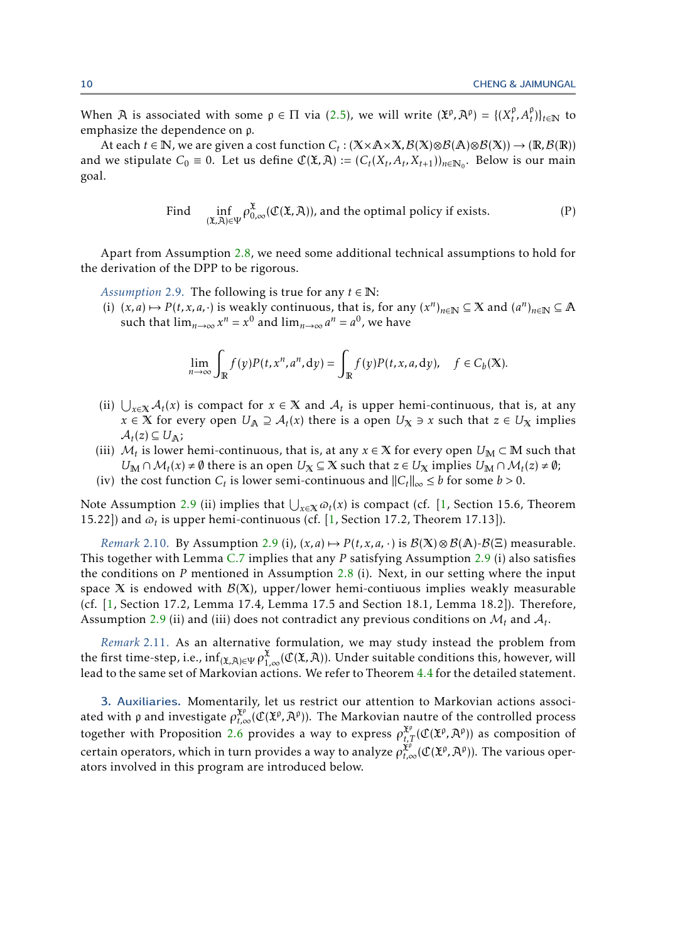When  $\widehat{A}$  is associated with some  $p \in \Pi$  via [\(2.5\)](#page-5-3), we will write  $(\widehat{X}^p, \widehat{A}^p) = \{ (X_t^p, \widehat{A}^p, \widehat{A}^p, \widehat{A}^p, \widehat{A}^p, \widehat{A}^p, \widehat{A}^p, \widehat{A}^p, \widehat{A}^p, \widehat{A}^p, \widehat{A}^p, \widehat{A}^p, \widehat{A}^p, \widehat{A}^p, \widehat{A$  $\{t^{\rho}, A_t^{\rho}\}\}_{t \in \mathbb{N}}$  to emphasize the dependence on p.

At each  $t \in \mathbb{N}$ , we are given a cost function  $C_t : (\mathbb{X} \times \mathbb{A} \times \mathbb{X}, \mathcal{B}(\mathbb{X}) \otimes \mathcal{B}(\mathbb{A}) \otimes \mathcal{B}(\mathbb{X})) \to (\mathbb{R}, \mathcal{B}(\mathbb{R}))$ and we stipulate  $C_0 \equiv 0$ . Let us define  $\mathcal{C}(\mathfrak{X}, \mathfrak{X}) := (C_t(X_t, A_t, X_{t+1}))_{n \in \mathbb{N}_0}$ . Below is our main goal.

<span id="page-9-1"></span>Find 
$$
\inf_{(\mathbf{\tilde{X}}, \mathbf{\tilde{A}}) \in \Psi} \rho_{0,\infty}^{\mathbf{\tilde{X}}}(\mathcal{C}(\mathbf{\tilde{X}}, \mathbf{\tilde{A}})),
$$
 and the optimal policy if exists. (P)

Apart from Assumption [2.8,](#page-8-1) we need some additional technical assumptions to hold for the derivation of the DPP to be rigorous.

*Assumption* 2.9. The following is true for any  $t \in \mathbb{N}$ :

(i)  $(x, a) \mapsto P(t, x, a, \cdot)$  is weakly continuous, that is, for any  $(x^n)_{n \in \mathbb{N}} \subseteq \mathbb{X}$  and  $(a^n)_{n \in \mathbb{N}} \subseteq \mathbb{A}$ such that  $\lim_{n\to\infty} x^n = x^0$  and  $\lim_{n\to\infty} a^n = a^0$ , we have

$$
\lim_{n \to \infty} \int_{\mathbb{R}} f(y)P(t, x^n, a^n, dy) = \int_{\mathbb{R}} f(y)P(t, x, a, dy), \quad f \in C_b(\mathbb{X}).
$$

- (ii)  $\bigcup_{x\in\mathbb{X}}\mathcal{A}_t(x)$  is compact for  $x \in \mathbb{X}$  and  $\mathcal{A}_t$  is upper hemi-continuous, that is, at any  $x \in X$  for every open  $U_A \supseteq A_t(x)$  there is a open  $U_X \ni x$  such that  $z \in U_X$  implies  $A_t(z) \subseteq U_A$ ;
- (iii)  $\mathcal{M}_t$  is lower hemi-continuous, that is, at any  $x \in X$  for every open  $U_M \subset M$  such that *U*<sub>M</sub> ∩  $M_t(x) \neq \emptyset$  there is an open *U*<sub>X</sub> ⊆ X such that *z* ∈ *U*<sub>X</sub> implies *U*<sub>M</sub> ∩  $M_t(z) \neq \emptyset$ ;
- (iv) the cost function  $C_t$  is lower semi-continuous and  $||C_t||_{\infty} \leq b$  for some  $b > 0$ .

Note Assumption [2.9](#page-9-1) (ii) implies that  $\bigcup_{x \in X} \varpi_t(x)$  is compact (cf. [\[1,](#page-23-3) Section 15.6, Theorem 15.22]) and  $\omega_t$  is upper hemi-continuous (cf. [\[1,](#page-23-3) Section 17.2, Theorem 17.13]).

*Remark* 2.10. By Assumption [2.9](#page-9-1) (i),  $(x, a) \mapsto P(t, x, a, \cdot)$  is  $\mathcal{B}(X) \otimes \mathcal{B}(A)$ - $\mathcal{B}(\Xi)$  measurable. This together with Lemma [C.7](#page-28-1) implies that any *P* satisfying Assumption [2.9](#page-9-1) (i) also satisfies the conditions on *P* mentioned in Assumption [2.8](#page-8-1) (i). Next, in our setting where the input space X is endowed with  $\mathcal{B}(X)$ , upper/lower hemi-contiuous implies weakly measurable (cf. [\[1,](#page-23-3) Section 17.2, Lemma 17.4, Lemma 17.5 and Section 18.1, Lemma 18.2]). Therefore, Assumption [2.9](#page-9-1) (ii) and (iii) does not contradict any previous conditions on  $\mathcal{M}_t$  and  $\mathcal{A}_t$ .

*Remark* 2.11. As an alternative formulation, we may study instead the problem from the first time-step, i.e.,  $\inf_{(\mathfrak{X},\mathfrak{X})\in \Psi} \rho_{1,\infty}^{\mathfrak{X}}(\mathfrak{C}(\mathfrak{X},\mathfrak{X}))$ . Under suitable conditions this, however, will lead to the same set of Markovian actions. We refer to Theorem [4.4](#page-18-0) for the detailed statement.

<span id="page-9-0"></span>3. Auxiliaries. Momentarily, let us restrict our attention to Markovian actions associated with ρ and investigate  $\rho_{t,\infty}^{x^\wp}(\mathfrak{C}(x^\wp, A^\rho)).$  The Markovian nautre of the controlled process together with Proposition [2.6](#page-7-0) provides a way to express  $\rho_{t,T}^{\mathfrak{X}^p}(\mathfrak{C}(\mathfrak{X}^p,\mathfrak{X}^p))$  as composition of certain operators, which in turn provides a way to analyze  $\rho_{t,\infty}^{\check{\chi}^\rho}(\mathfrak{C}(\check{\chi}^\rho,\mathfrak{A}^\rho)).$  The various operators involved in this program are introduced below.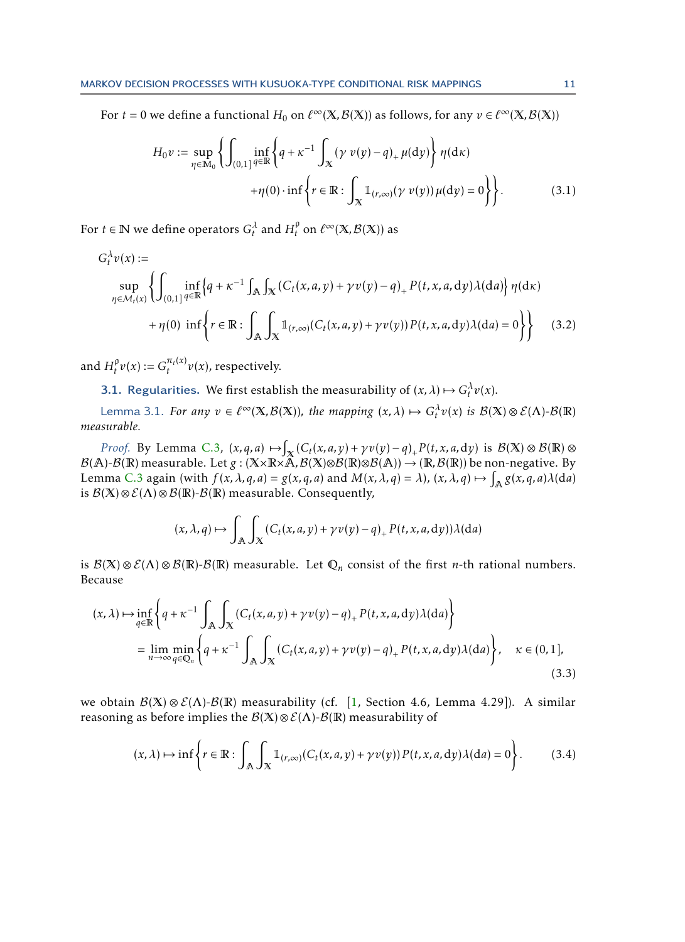For  $t = 0$  we define a functional  $H_0$  on  $\ell^\infty(\mathbb{X}, \mathcal{B}(\mathbb{X}))$  as follows, for any  $v \in \ell^\infty(\mathbb{X}, \mathcal{B}(\mathbb{X}))$ 

<span id="page-10-2"></span>
$$
H_0 v := \sup_{\eta \in \mathbb{M}_0} \left\{ \int_{(0,1]^{\mathcal{G}} \in \mathbb{R}} \left\{ q + \kappa^{-1} \int_X (\gamma v(y) - q)_+ \mu(dy) \right\} \eta(dx) + \eta(0) \cdot \inf \left\{ r \in \mathbb{R} : \int_X \mathbb{1}_{(r,\infty)} (\gamma v(y)) \mu(dy) = 0 \right\} \right\}.
$$
 (3.1)

For  $t \in \mathbb{N}$  we define operators  $G_t^{\lambda}$  and  $H_t^{\rho}$  $\int_t^\rho$  on  $\ell^\infty(\mathbb{X},\mathcal{B}(\mathbb{X}))$  as

$$
G_t^{\lambda} v(x) :=
$$
  
\n
$$
\sup_{\eta \in \mathcal{M}_t(x)} \left\{ \int_{(0,1]} \inf_{q \in \mathbb{R}} \left\{ q + \kappa^{-1} \int_{\mathbb{A}} \int_{\mathbb{X}} \left( C_t(x, a, y) + \gamma v(y) - q \right)_+ P(t, x, a, dy) \lambda(da) \right\} \eta(d\kappa)
$$
  
\n
$$
+ \eta(0) \inf \left\{ r \in \mathbb{R} : \int_{\mathbb{A}} \int_{\mathbb{X}} \mathbb{1}_{(r,\infty)} (C_t(x, a, y) + \gamma v(y)) P(t, x, a, dy) \lambda(da) = 0 \right\} \right\}
$$
(3.2)

and  $H_t^{\mathfrak{p}}$  $f_t^{\varphi} v(x) := G_t^{\pi_t(x)}$  $\int_t^{t(x)} v(x)$ , respectively.

**3.1.** Regularities. We first establish the measurability of  $(x, \lambda) \mapsto G_t^{\lambda} v(x)$ .

Lemma 3.1. *For any*  $v \in \ell^{\infty}(\mathbb{X}, \mathcal{B}(\mathbb{X}))$ , the mapping  $(x, \lambda) \mapsto G_t^{\lambda}v(x)$  is  $\mathcal{B}(\mathbb{X}) \otimes \mathcal{E}(\Lambda)$ - $\mathcal{B}(\mathbb{R})$ *measurable.*

*Proof.* By Lemma [C.3,](#page-26-2)  $(x, q, a) \mapsto \int_{\mathbb{X}} (C_t(x, a, y) + \gamma v(y) - q)_+ P(t, x, a, dy)$  is  $\mathcal{B}(\mathbb{X}) \otimes \mathcal{B}(\mathbb{R}) \otimes$  $\mathcal{B}(\mathbb{A})$ - $\mathcal{B}(\mathbb{R})$  measurable. Let  $g:(\mathbb{X}\times\mathbb{R}\times\mathbb{\hat{A}},\mathcal{B}(\mathbb{X})\otimes\mathcal{B}(\mathbb{R})\otimes\mathcal{B}(\mathbb{A}))\to (\mathbb{R},\mathcal{B}(\mathbb{R}))$  be non-negative. By Lemma [C.3](#page-26-2) again (with  $f(x, \lambda, q, a) = g(x, q, a)$  and  $M(x, \lambda, q) = \lambda$ ),  $(x, \lambda, q) \mapsto \int_{\mathbb{A}} g(x, q, a) \lambda(da)$ is  $\mathcal{B}(X) \otimes \mathcal{E}(\Lambda) \otimes \mathcal{B}(\mathbb{R})$ - $\mathcal{B}(\mathbb{R})$  measurable. Consequently,

<span id="page-10-1"></span><span id="page-10-0"></span>
$$
(x, \lambda, q) \mapsto \int_{\mathbb{A}} \int_{\mathbb{X}} (C_t(x, a, y) + \gamma v(y) - q)_+ P(t, x, a, dy)) \lambda(da)
$$

is  $\mathcal{B}(X) \otimes \mathcal{E}(\Lambda) \otimes \mathcal{B}(\mathbb{R})$ - $\mathcal{B}(\mathbb{R})$  measurable. Let  $\mathbb{Q}_n$  consist of the first *n*-th rational numbers. Because

$$
(x,\lambda) \mapsto \inf_{q\in\mathbb{R}} \left\{ q + \kappa^{-1} \int_{\mathbb{A}} \int_{\mathbb{X}} \left( C_t(x,a,y) + \gamma v(y) - q \right)_+ P(t,x,a,dy) \lambda(da) \right\}
$$
  
= 
$$
\lim_{n \to \infty} \min_{q \in \mathbb{Q}_n} \left\{ q + \kappa^{-1} \int_{\mathbb{A}} \int_{\mathbb{X}} \left( C_t(x,a,y) + \gamma v(y) - q \right)_+ P(t,x,a,dy) \lambda(da) \right\}, \quad \kappa \in (0,1],
$$
  
(3.3)

we obtain  $\mathcal{B}(X) \otimes \mathcal{E}(\Lambda)$ - $\mathcal{B}(R)$  measurability (cf. [\[1,](#page-23-3) Section 4.6, Lemma 4.29]). A similar reasoning as before implies the  $\mathcal{B}(X)\otimes \mathcal{E}(\Lambda)-\mathcal{B}(\mathbb{R})$  measurability of

$$
(x,\lambda)\mapsto\inf\left\{r\in\mathbb{R}:\int_{\mathbb{A}}\int_{X}\mathbb{1}_{(r,\infty)}(C_t(x,a,y)+\gamma v(y))P(t,x,a,\mathrm{d}y)\lambda(\mathrm{d}a)=0\right\}.\tag{3.4}
$$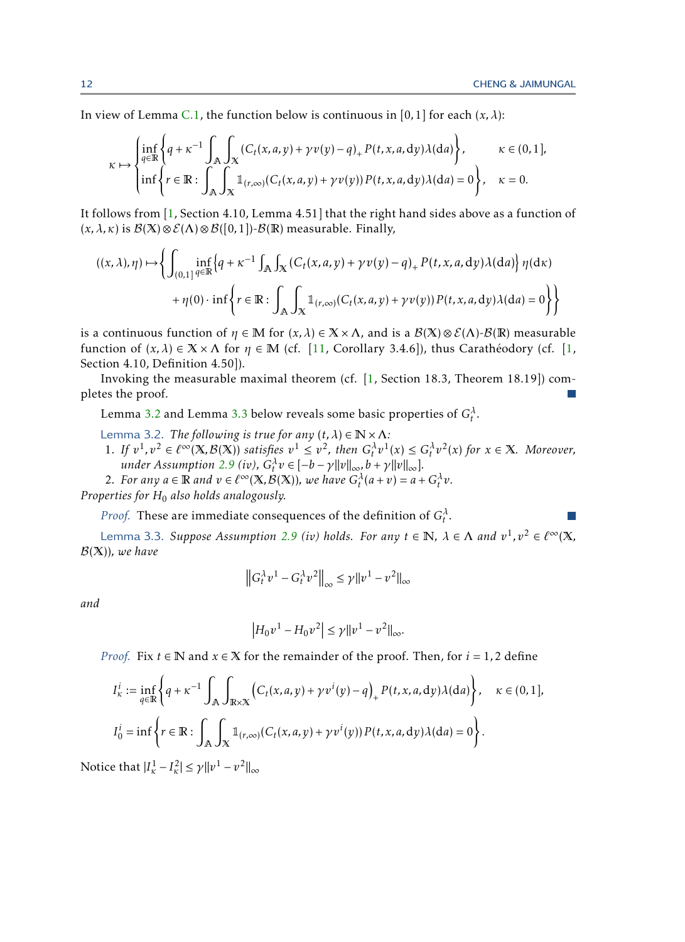<span id="page-11-0"></span> $\mathcal{C}^{\mathcal{A}}$ 

In view of Lemma [C.1,](#page-26-1) the function below is continuous in [0,1] for each  $(x, \lambda)$ :

$$
\kappa \mapsto \begin{cases} \inf_{q \in \mathbb{R}} \left\{ q + \kappa^{-1} \int_{\mathbb{A}} \int_{\mathbb{X}} \left( C_t(x, a, y) + \gamma v(y) - q \right)_+ P(t, x, a, dy) \lambda(da) \right\}, & \kappa \in (0, 1], \\ \inf \left\{ r \in \mathbb{R} : \int_{\mathbb{A}} \int_{\mathbb{X}} \mathbb{1}_{(r, \infty)} \left( C_t(x, a, y) + \gamma v(y) \right) P(t, x, a, dy) \lambda(da) = 0 \right\}, & \kappa = 0. \end{cases}
$$

It follows from [\[1,](#page-23-3) Section 4.10, Lemma 4.51] that the right hand sides above as a function of  $(x, \lambda, \kappa)$  is  $\mathcal{B}(X) \otimes \mathcal{E}(\Lambda) \otimes \mathcal{B}([0, 1])$ - $\mathcal{B}(\mathbb{R})$  measurable. Finally,

$$
((x,\lambda),\eta) \mapsto \left\{ \int_{(0,1]^{\,q\in\mathbb{R}}} \inf_{q\in\mathbb{R}} \left\{ q + \kappa^{-1} \int_{\mathbb{A}} \int_{\mathbb{X}} \left( C_t(x,a,y) + \gamma v(y) - q \right)_+ P(t,x,a,dy) \lambda(da) \right\} \eta(dx) + \eta(0) \cdot \inf \left\{ r \in \mathbb{R} : \int_{\mathbb{A}} \int_{\mathbb{X}} \mathbb{1}_{(r,\infty)} \left( C_t(x,a,y) + \gamma v(y) \right) P(t,x,a,dy) \lambda(da) = 0 \right\} \right\}
$$

is a continuous function of  $\eta \in M$  for  $(x, \lambda) \in X \times \Lambda$ , and is a  $\mathcal{B}(X) \otimes \mathcal{E}(\Lambda)$ - $\mathcal{B}(R)$  measurable function of  $(x, \lambda) \in X \times \Lambda$  for  $\eta \in M$  (cf. [\[11,](#page-24-23) Corollary 3.4.6]), thus Caratheodory (cf. [[1,](#page-23-3) Section 4.10, Definition 4.50]).

Invoking the measurable maximal theorem (cf. [\[1,](#page-23-3) Section 18.3, Theorem 18.19]) completes the proof.  $\mathcal{C}^{\mathcal{A}}$ 

Lemma [3.2](#page-11-0) and Lemma [3.3](#page-11-1) below reveals some basic properties of  $G_t^{\lambda}$ .

- Lemma 3.2. *The following is true for any*  $(t, \lambda) \in \mathbb{N} \times \Lambda$ : 1. If  $v^1, v^2 \in \ell^{\infty}(\mathbb{X}, \mathcal{B}(\mathbb{X}))$  satisfies  $v^1 \le v^2$ , then  $G_t^{\lambda}v^1(x) \le G_t^{\lambda}v^2(x)$  for  $x \in \mathbb{X}$ . Moreover, *under Assumption [2.9](#page-9-1) (iv),*  $G_t^{\lambda} v \in [-b - \gamma ||v||_{\infty}, b + \gamma ||v||_{\infty}$ *.*
- 2. For any  $a \in \mathbb{R}$  and  $v \in \ell^{\infty}(\mathbb{X}, \mathcal{B}(\mathbb{X}))$ , we have  $G_t^{\lambda}(a+v) = a + G_t^{\lambda}v$ .

*Properties for H*<sup>0</sup> *also holds analogously.*

*Proof.* These are immediate consequences of the definition of  $G_t^{\lambda}$ .

<span id="page-11-1"></span>Lemma 3.3. *Suppose Assumption [2.9](#page-9-1) (iv) holds. For any*  $t \in \mathbb{N}$ ,  $\lambda \in \Lambda$  and  $v^1, v^2 \in \ell^\infty(\mathbb{X}, \mathbb{R})$ B(X))*, we have*

$$
\left\|G_t^{\lambda}v^1 - G_t^{\lambda}v^2\right\|_{\infty} \le \gamma \|v^1 - v^2\|_{\infty}
$$

*and*

$$
\left|H_0v^1 - H_0v^2\right| \le \gamma \|v^1 - v^2\|_{\infty}.
$$

*Proof.* Fix  $t \in \mathbb{N}$  and  $x \in \mathbb{X}$  for the remainder of the proof. Then, for  $i = 1, 2$  define

$$
I_{\kappa}^{i} := \inf_{q \in \mathbb{R}} \left\{ q + \kappa^{-1} \int_{\mathbb{A}} \int_{\mathbb{R} \times \mathbb{X}} \left( C_{t}(x, a, y) + \gamma v^{i}(y) - q \right)_{+} P(t, x, a, dy) \lambda(da) \right\}, \quad \kappa \in (0, 1],
$$
  
\n
$$
I_{0}^{i} = \inf \left\{ r \in \mathbb{R} : \int_{\mathbb{A}} \int_{\mathbb{X}} \mathbb{1}_{(r, \infty)} (C_{t}(x, a, y) + \gamma v^{i}(y)) P(t, x, a, dy) \lambda(da) = 0 \right\}.
$$

Notice that  $|I_{\kappa}^1 - I_{\kappa}^2| \leq \gamma ||v^1 - v^2||_{\infty}$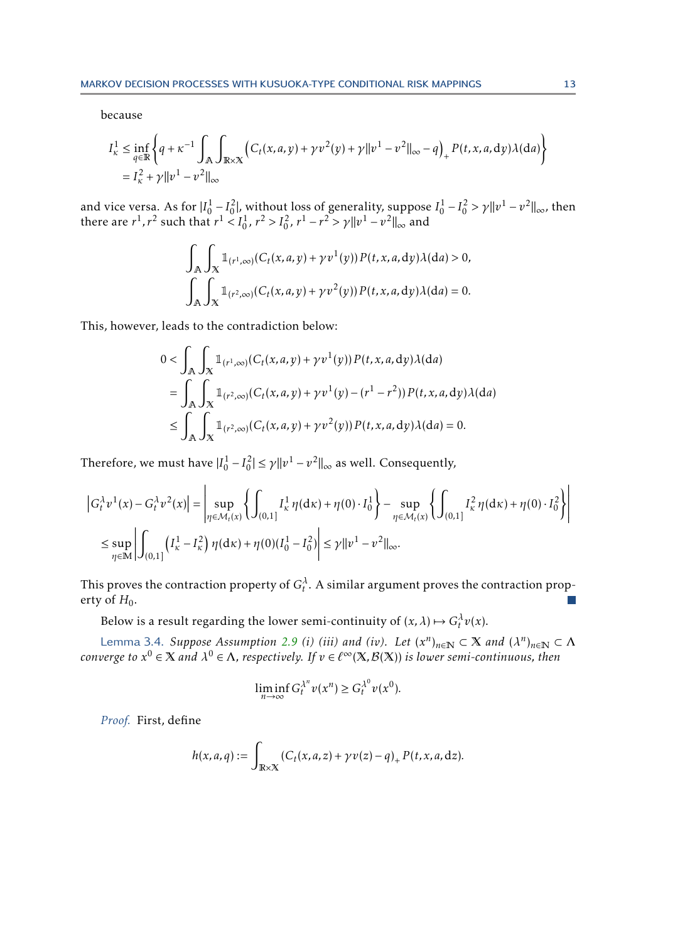because

$$
I_{\kappa}^{1} \leq \inf_{q \in \mathbb{R}} \left\{ q + \kappa^{-1} \int_{\mathbb{A}} \int_{\mathbb{R} \times \mathbb{X}} \left( C_{t}(x, a, y) + \gamma v^{2}(y) + \gamma ||v^{1} - v^{2}||_{\infty} - q \right)_{+} P(t, x, a, dy) \lambda(da) \right\}
$$
  
=  $I_{\kappa}^{2} + \gamma ||v^{1} - v^{2}||_{\infty}$ 

and vice versa. As for  $|I_0^1 - I_0^2|$ , without loss of generality, suppose  $I_0^1 - I_0^2 > \gamma ||v^1 - v^2||_{\infty}$ , then there are  $r^1$ ,  $r^2$  such that  $r^1 < I_0^1$ ,  $r^2 > I_0^2$ ,  $r^1 - r^2 > \gamma ||v^1 - v^2||_{\infty}$  and

$$
\int_{\mathbb{A}} \int_{\mathbb{X}} \mathbb{1}_{(r^1,\infty)}(C_t(x,a,y) + \gamma v^1(y)) P(t,x,a,dy) \lambda(da) > 0,
$$
  

$$
\int_{\mathbb{A}} \int_{\mathbb{X}} \mathbb{1}_{(r^2,\infty)}(C_t(x,a,y) + \gamma v^2(y)) P(t,x,a,dy) \lambda(da) = 0.
$$

This, however, leads to the contradiction below:

$$
0 < \int_{\mathbb{A}} \int_{\mathbb{X}} \mathbb{1}_{(r^1,\infty)}(C_t(x,a,y) + \gamma v^1(y)) P(t,x,a,dy) \lambda(da)
$$
  
= 
$$
\int_{\mathbb{A}} \int_{\mathbb{X}} \mathbb{1}_{(r^2,\infty)}(C_t(x,a,y) + \gamma v^1(y) - (r^1 - r^2)) P(t,x,a,dy) \lambda(da)
$$
  

$$
\leq \int_{\mathbb{A}} \int_{\mathbb{X}} \mathbb{1}_{(r^2,\infty)}(C_t(x,a,y) + \gamma v^2(y)) P(t,x,a,dy) \lambda(da) = 0.
$$

Therefore, we must have  $|I_0^1 - I_0^2| \le \gamma ||v^1 - v^2||_{\infty}$  as well. Consequently,

$$
\left| G_t^{\lambda} v^1(x) - G_t^{\lambda} v^2(x) \right| = \left| \sup_{\eta \in \mathcal{M}_t(x)} \left\{ \int_{(0,1]} I_{\kappa}^1 \eta(dx) + \eta(0) \cdot I_0^1 \right\} - \sup_{\eta \in \mathcal{M}_t(x)} \left\{ \int_{(0,1]} I_{\kappa}^2 \eta(dx) + \eta(0) \cdot I_0^2 \right\} \right|
$$
  
\$\leq \sup\_{\eta \in \mathbb{M}} \left| \int\_{(0,1]} \left( I\_{\kappa}^1 - I\_{\kappa}^2 \right) \eta(dx) + \eta(0) (I\_0^1 - I\_0^2) \right| \leq \gamma \| v^1 - v^2 \|\_{\infty}.

This proves the contraction property of  $G_t^{\lambda}$ . A similar argument proves the contraction property of  $H_0$ .  $\sim$ 

Below is a result regarding the lower semi-continuity of  $(x, \lambda) \mapsto G_t^{\lambda} v(x)$ .

Lemma 3.4. *Suppose Assumption* [2.9](#page-9-1) *(i) (iii) and (iv).* Let  $(x^n)_{n\in\mathbb{N}}\subset X$  and  $(\lambda^n)_{n\in\mathbb{N}}\subset \Lambda$ *converge to*  $x^0 \in X$  *and*  $\lambda^0 \in \Lambda$ , respectively. If  $v \in \ell^\infty(\mathbb{X}, \mathcal{B}(\mathbb{X}))$  is lower semi-continuous, then

<span id="page-12-0"></span>
$$
\liminf_{n\to\infty} G_t^{\lambda^n} v(x^n) \ge G_t^{\lambda^0} v(x^0).
$$

*Proof.* First, define

$$
h(x,a,q):=\int_{\mathbb{R}\times\mathbb{X}}\left(C_t(x,a,z)+\gamma v(z)-q\right)_+P(t,x,a,\mathrm{d}z).
$$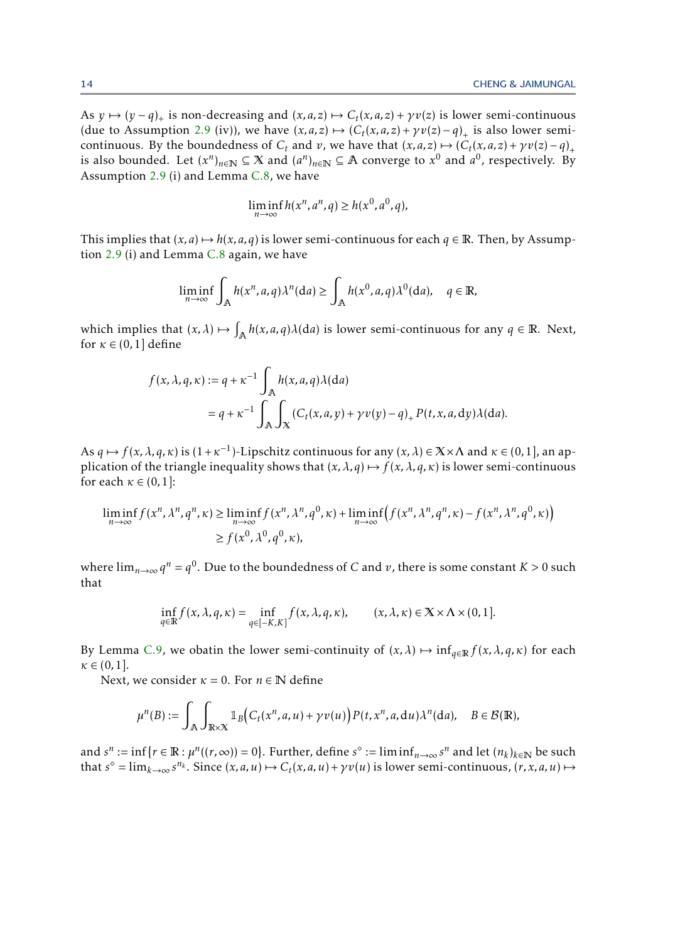As  $y \mapsto (y - q)_+$  is non-decreasing and  $(x, a, z) \mapsto C_t(x, a, z) + \gamma v(z)$  is lower semi-continuous (due to Assumption [2.9](#page-9-1) (iv)), we have  $(x, a, z) \mapsto (C_t(x, a, z) + \gamma v(z) - q)_+$  is also lower semicontinuous. By the boundedness of *C<sub>t</sub>* and *v*, we have that  $(x, a, z) \mapsto (C_t(x, a, z) + \gamma v(z) - q)_+$ is also bounded. Let  $(x^n)_{n\in\mathbb{N}}\subseteq X$  and  $(a^n)_{n\in\mathbb{N}}\subseteq A$  converge to  $x^0$  and  $a^0$ , respectively. By Assumption [2.9](#page-9-1) (i) and Lemma [C.8,](#page-28-2) we have

$$
\liminf_{n \to \infty} h(x^n, a^n, q) \ge h(x^0, a^0, q),
$$

This implies that  $(x, a) \mapsto h(x, a, q)$  is lower semi-continuous for each  $q \in \mathbb{R}$ . Then, by Assumption [2.9](#page-9-1) (i) and Lemma [C.8](#page-28-2) again, we have

$$
\liminf_{n\to\infty}\int_{\mathbb{A}}h(x^n,a,q)\lambda^n(\mathrm{d}a)\geq \int_{\mathbb{A}}h(x^0,a,q)\lambda^0(\mathrm{d}a),\quad q\in\mathbb{R},
$$

which implies that  $(x, \lambda) \mapsto \int_{\mathbb{A}} h(x, a, q) \lambda(da)$  is lower semi-continuous for any  $q \in \mathbb{R}$ . Next, for  $\kappa \in (0,1]$  define

$$
f(x, \lambda, q, \kappa) := q + \kappa^{-1} \int_{\mathbb{A}} h(x, a, q) \lambda(da)
$$
  
=  $q + \kappa^{-1} \int_{\mathbb{A}} \int_{X} (C_t(x, a, y) + \gamma v(y) - q)_+ P(t, x, a, dy) \lambda(da).$ 

As  $q \mapsto f(x, \lambda, q, \kappa)$  is  $(1+\kappa^{-1})$ -Lipschitz continuous for any  $(x, \lambda) \in X \times \Lambda$  and  $\kappa \in (0,1]$ , an application of the triangle inequality shows that  $(x, \lambda, q) \mapsto f(x, \lambda, q, \kappa)$  is lower semi-continuous for each  $\kappa \in (0,1]$ :

$$
\liminf_{n \to \infty} f(x^n, \lambda^n, q^n, \kappa) \ge \liminf_{n \to \infty} f(x^n, \lambda^n, q^0, \kappa) + \liminf_{n \to \infty} (f(x^n, \lambda^n, q^n, \kappa) - f(x^n, \lambda^n, q^0, \kappa))
$$
  
\n
$$
\ge f(x^0, \lambda^0, q^0, \kappa),
$$

where  $\lim_{n\to\infty} q^n = q^0$ . Due to the boundedness of *C* and *v*, there is some constant *K* > 0 such that

$$
\inf_{q\in\mathbb{R}} f(x,\lambda,q,\kappa) = \inf_{q\in[-K,K]} f(x,\lambda,q,\kappa), \qquad (x,\lambda,\kappa) \in \mathbb{X} \times \Lambda \times (0,1].
$$

By Lemma [C.9,](#page-28-3) we obatin the lower semi-continuity of  $(x, \lambda) \mapsto \inf_{q \in \mathbb{R}} f(x, \lambda, q, \kappa)$  for each  $\kappa \in (0,1].$ 

Next, we consider  $\kappa = 0$ . For  $n \in \mathbb{N}$  define

$$
\mu^{n}(B) := \int_{\mathbb{A}} \int_{\mathbb{R} \times \mathbb{X}} \mathbb{1}_{B} \Big( C_t(x^n, a, u) + \gamma v(u) \Big) P(t, x^n, a, \mathrm{d}u) \lambda^n(\mathrm{d}a), \quad B \in \mathcal{B}(\mathbb{R}),
$$

and  $s^n := \inf\{r \in \mathbb{R} : \mu^n((r, \infty)) = 0\}$ . Further, define  $s^\diamond := \liminf_{n \to \infty} s^n$  and let  $(n_k)_{k \in \mathbb{N}}$  be such that  $s^{\circ} = \lim_{k \to \infty} s^{n_k}$ . Since  $(x, a, u) \mapsto C_t(x, a, u) + \gamma v(u)$  is lower semi-continuous,  $(r, x, a, u) \mapsto$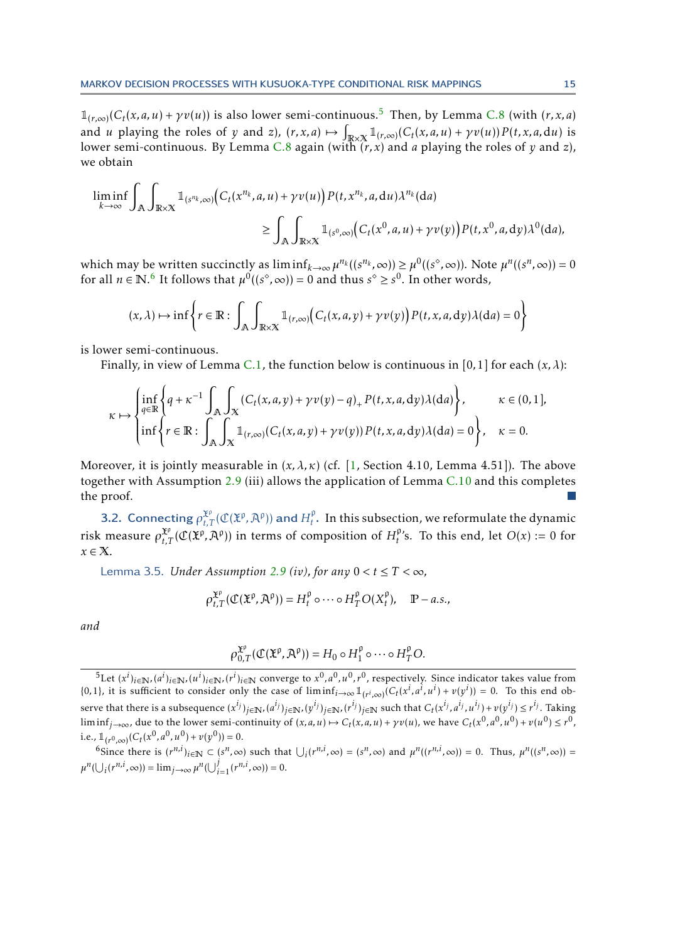$\mathbb{1}_{(r,\infty)}(C_t(x,a,u) + \gamma v(u))$  is also lower semi-continuous.<sup>[5](#page-14-0)</sup> Then, by Lemma [C.8](#page-28-2) (with  $(r, x, a)$ ) and *u* playing the roles of *y* and *z*),  $(r, x, a) \mapsto \int_{\mathbb{R} \times \mathbb{X}} \mathbb{1}_{(r,\infty)}(C_t(x,a,u) + \gamma v(u)) P(t, x, a, du)$  is lower semi-continuous. By Lemma [C.8](#page-28-2) again (with (*r, x*) and *a* playing the roles of *y* and *z*), we obtain

$$
\liminf_{k \to \infty} \int_{\mathbb{R}} \int_{\mathbb{R} \times \mathbb{X}} \mathbb{1}_{(s^{n_k}, \infty)} \Big( C_t(x^{n_k}, a, u) + \gamma v(u) \Big) P(t, x^{n_k}, a, du) \lambda^{n_k}(da)
$$
  
\n
$$
\geq \int_{\mathbb{R}} \int_{\mathbb{R} \times \mathbb{X}} \mathbb{1}_{(s^0, \infty)} \Big( C_t(x^0, a, u) + \gamma v(y) \Big) P(t, x^0, a, dy) \lambda^0(da),
$$

which may be written succinctly as  $\liminf_{k\to\infty}\mu^{n_k}((s^{n_k},\infty)) \geq \mu^0((s^{\circ},\infty))$ . Note  $\mu^n((s^n,\infty)) = 0$ for all  $n \in \mathbb{N}$ .<sup>[6](#page-14-1)</sup> It follows that  $\mu^0((s^\circ,\infty)) = 0$  and thus  $s^\circ \ge s^0$ . In other words,

$$
(x,\lambda) \mapsto \inf \left\{ r \in \mathbb{R} : \int_{\mathbb{R}} \int_{\mathbb{R} \times \mathbb{X}} \mathbb{1}_{(r,\infty)} \Big( C_t(x,a,y) + \gamma v(y) \Big) P(t,x,a,\mathrm{d}y) \lambda(\mathrm{d}a) = 0 \right\}
$$

is lower semi-continuous.

Finally, in view of Lemma [C.1,](#page-26-1) the function below is continuous in [0,1] for each  $(x, \lambda)$ :

$$
\kappa \mapsto \begin{cases} \inf_{q \in \mathbb{R}} \left\{ q + \kappa^{-1} \int_{\mathbb{A}} \int_{\mathbb{X}} \left( C_t(x, a, y) + \gamma v(y) - q \right)_+ P(t, x, a, dy) \lambda(da) \right\}, & \kappa \in (0, 1], \\ \inf \left\{ r \in \mathbb{R} : \int_{\mathbb{A}} \int_{\mathbb{X}} \mathbb{1}_{(r, \infty)} \left( C_t(x, a, y) + \gamma v(y) \right) P(t, x, a, dy) \lambda(da) = 0 \right\}, & \kappa = 0. \end{cases}
$$

Moreover, it is jointly measurable in  $(x, \lambda, \kappa)$  (cf. [\[1,](#page-23-3) Section 4.10, Lemma 4.51]). The above together with Assumption [2.9](#page-9-1) (iii) allows the application of Lemma  $C.10$  and this completes the proof.

**3.2.** Connecting  $\rho_{t,T}^{\mathfrak{X}^p}(\mathfrak{C}(\mathfrak{X}^p,\mathfrak{A}^p))$  and  $H_t^{\mathfrak{p}}$  $t<sub>t</sub>$ . In this subsection, we reformulate the dynamic risk measure  $\rho_{t,T}^{\mathfrak{X}^{\rho}}(\mathfrak{C}(\mathfrak{X}^{\rho},\mathfrak{A}^{\rho}))$  in terms of composition of  $H^{\rho}_{t}$  $t<sup>\mu</sup>$ 's. To this end, let *O*(*x*) := 0 for *x* ∈ X.

<span id="page-14-2"></span>Lemma 3.5. *Under Assumption [2.9](#page-9-1) (iv), for any*  $0 < t \leq T < \infty$ ,

$$
\rho_{t,T}^{\mathfrak{X}^{\rho}}(\mathfrak{C}(\mathfrak{X}^{\rho}, \mathfrak{A}^{\rho}))=H_t^{\rho}\circ \cdots \circ H_T^{\rho}O(X_t^{\rho}),\quad \mathbb{P}-a.s.,
$$

*and*

$$
\rho_{0,T}^{\mathfrak{X}^{\rho}}(\mathfrak{C}(\mathfrak{X}^{\rho}, \mathfrak{A}^{\rho})) = H_0 \circ H_1^{\rho} \circ \cdots \circ H_T^{\rho} O.
$$

<span id="page-14-1"></span><sup>6</sup>Since there is  $(r^{n,i})_{i\in\mathbb{N}} \subset (s^n,\infty)$  such that  $\bigcup_i (r^{n,i},\infty) = (s^n,\infty)$  and  $\mu^n((r^{n,i},\infty)) = 0$ . Thus,  $\mu^n((s^n,\infty)) =$  $\mu^{n}(\bigcup_{i} (r^{n,i}, \infty)) = \lim_{j \to \infty} \mu^{n}(\bigcup_{i=1}^{j} (r^{n,i}, \infty)) = 0.$ 

<span id="page-14-0"></span><sup>&</sup>lt;sup>5</sup>Let  $(x^i)_{i\in\mathbb{N}}, (a^i)_{i\in\mathbb{N}}, (u^i)_{i\in\mathbb{N}}$ ,  $(r^i)_{i\in\mathbb{N}}$  converge to  $x^0, a^0, u^0, r^0$ , respectively. Since indicator takes value from  $\{0,1\}$ , it is sufficient to consider only the case of  $\liminf_{i\to\infty} \mathbb{1}_{(r^i,\infty)}(C_t(x^i,a^i,u^i)+v(y^i))=0$ . To this end observe that there is a subsequence  $(x^{i_j})_{j\in\mathbb{N}},(a^{i_j})_{j\in\mathbb{N}},(y^{i_j})_{j\in\mathbb{N}},(r^{i_j})_{j\in\mathbb{N}}$  such that  $C_t(x^{i_j},a^{i_j},u^{i_j})+v(y^{i_j})\leq r^{i_j}.$  Taking  $\liminf_{j\to\infty}$ , due to the lower semi-continuity of  $(x,a,u)\mapsto C_t(x,a,u)+\gamma v(u)$ , we have  $C_t(x^0,a^0,u^0)+v(u^0)\leq r^0$ , i.e.,  $\mathbb{1}_{(r^0,\infty)}(C_t(x^0, a^0, u^0) + v(y^0)) = 0.$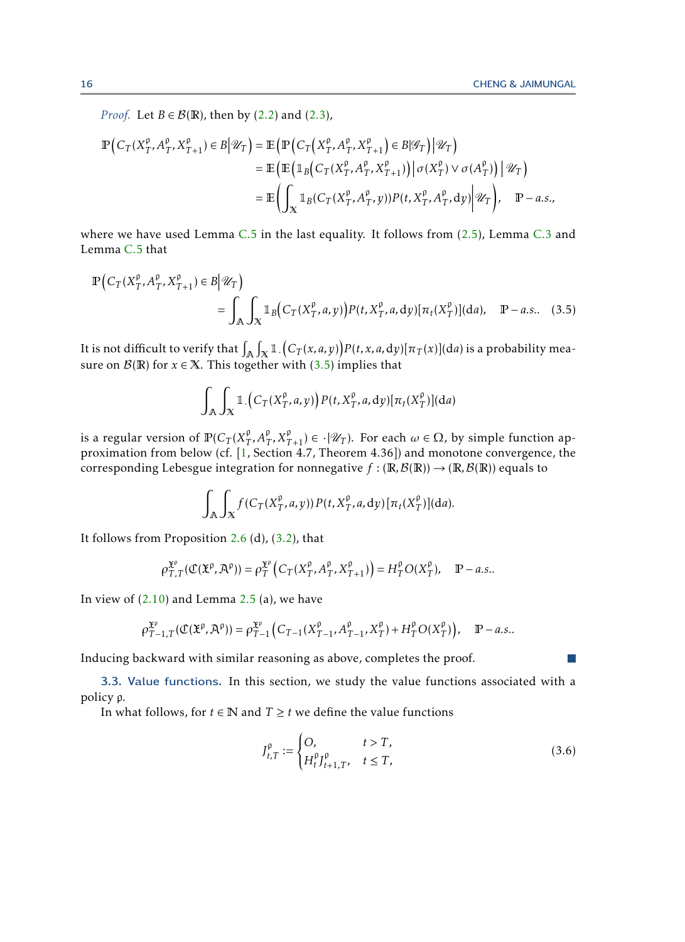<span id="page-15-1"></span><span id="page-15-0"></span>**I** 

*Proof.* Let *B*  $\in$  *B*( $\mathbb{R}$ ), then by [\(2.2\)](#page-4-1) and [\(2.3\)](#page-4-2),

$$
\mathbb{P}\Big(C_T(X_T^{\rho}, A_T^{\rho}, X_{T+1}^{\rho}) \in B \big| \mathcal{U}_T\Big) = \mathbb{E}\Big(\mathbb{P}\Big(C_T\Big(X_T^{\rho}, A_T^{\rho}, X_{T+1}^{\rho}\Big) \in B \big| \mathcal{G}_T\Big) \big| \mathcal{U}_T\Big) \n= \mathbb{E}\Big(\mathbb{E}\Big(\mathbb{1}_B\Big(C_T(X_T^{\rho}, A_T^{\rho}, X_{T+1}^{\rho})\Big) \big| \sigma(X_T^{\rho}) \vee \sigma(A_T^{\rho})\Big) \big| \mathcal{U}_T\Big) \n= \mathbb{E}\Big(\int_X \mathbb{1}_B(C_T(X_T^{\rho}, A_T^{\rho}, y)) P(t, X_T^{\rho}, A_T^{\rho}) dy \big| \mathcal{U}_T\Big), \quad \mathbb{P}-a.s.,
$$

where we have used Lemma  $C.5$  in the last equality. It follows from [\(2.5\)](#page-5-3), Lemma  $C.3$  and Lemma [C.5](#page-26-4) that

$$
\mathbb{P}\Big(C_T(X_T^{\rho}, A_T^{\rho}, X_{T+1}^{\rho}) \in B \Big| \mathcal{U}_T\Big) \n= \int_{\mathbb{A}} \int_{X} \mathbb{1}_{B}\Big(C_T(X_T^{\rho}, a, y)\Big) P(t, X_T^{\rho}, a, dy) [\pi_t(X_T^{\rho})](da), \quad \mathbb{P}-a.s.. \quad (3.5)
$$

It is not difficult to verify that  $\int_\mathbb{A}\int_\mathbb{X} \mathbb{1}. \big(C_T(x,a,y)\big) P(t,x,a,\mathrm{d} y)[\pi_T(x)](\mathrm{d} a)$  is a probability measure on  $\mathcal{B}(\mathbb{R})$  for  $x \in \mathbb{X}$ . This together with [\(3.5\)](#page-15-0) implies that

$$
\int_{\mathbb{A}} \int_{\mathbb{X}} \mathbb{1}. \Big(C_T(X_T^{\rho}, a, y)\Big) P(t, X_T^{\rho}, a, dy) [\pi_t(X_T^{\rho})](da)
$$

is a regular version of  $\operatorname{\mathbb{P}}(C_T(X_T^{\mathfrak{p}}))$  $T^{\rho}$ ,  $A_T^{\rho}$ ,  $X_{T+1}^{\rho}$ )  $\in \cdot | \mathcal{U}_T$ ). For each  $\omega \in \Omega$ , by simple function approximation from below (cf. [\[1,](#page-23-3) Section 4.7, Theorem 4.36]) and monotone convergence, the corresponding Lebesgue integration for nonnegative  $f : (\mathbb{R}, \mathcal{B}(\mathbb{R})) \to (\mathbb{R}, \mathcal{B}(\mathbb{R}))$  equals to

$$
\int_{\mathbb{A}} \int_{X} f(C_T(X_T^{\rho}, a, y)) P(t, X_T^{\rho}, a, dy) [\pi_t(X_T^{\rho})](da).
$$

It follows from Proposition [2.6](#page-7-0) (d),  $(3.2)$ , that

$$
\rho_{T,T}^{\mathfrak{X}^{\rho}}(\mathfrak{C}(\mathfrak{X}^{\rho}, \mathfrak{X}^{\rho})) = \rho_T^{\mathfrak{X}^{\rho}}\left(C_T(X_T^{\rho}, A_T^{\rho}, X_{T+1}^{\rho})\right) = H_T^{\rho}O(X_T^{\rho}), \quad \mathbb{P}-a.s..
$$

In view of  $(2.10)$  and Lemma [2.5](#page-7-1) (a), we have

$$
\rho_{T-1,T}^{\mathfrak{X}^{\mathfrak{p}}}(\mathfrak{C}(\mathfrak{X}^{\mathfrak{p}}, \mathcal{A}^{\mathfrak{p}})) = \rho_{T-1}^{\mathfrak{X}^{\mathfrak{p}}} \Big( C_{T-1}(X_{T-1}^{\mathfrak{p}}, A_{T-1}^{\mathfrak{p}}, X_{T}^{\mathfrak{p}}) + H_{T}^{\mathfrak{p}} O(X_{T}^{\mathfrak{p}}) \Big), \quad \mathbb{P}-a.s..
$$

Inducing backward with similar reasoning as above, completes the proof.

3.3. Value functions. In this section, we study the value functions associated with a policy p.

In what follows, for *t* ∈ **N** and *T* ≥ *t* we define the value functions

$$
J_{t,T}^{\rho} := \begin{cases} O, & t > T, \\ H_t^{\rho} J_{t+1,T}^{\rho}, & t \le T, \end{cases} \tag{3.6}
$$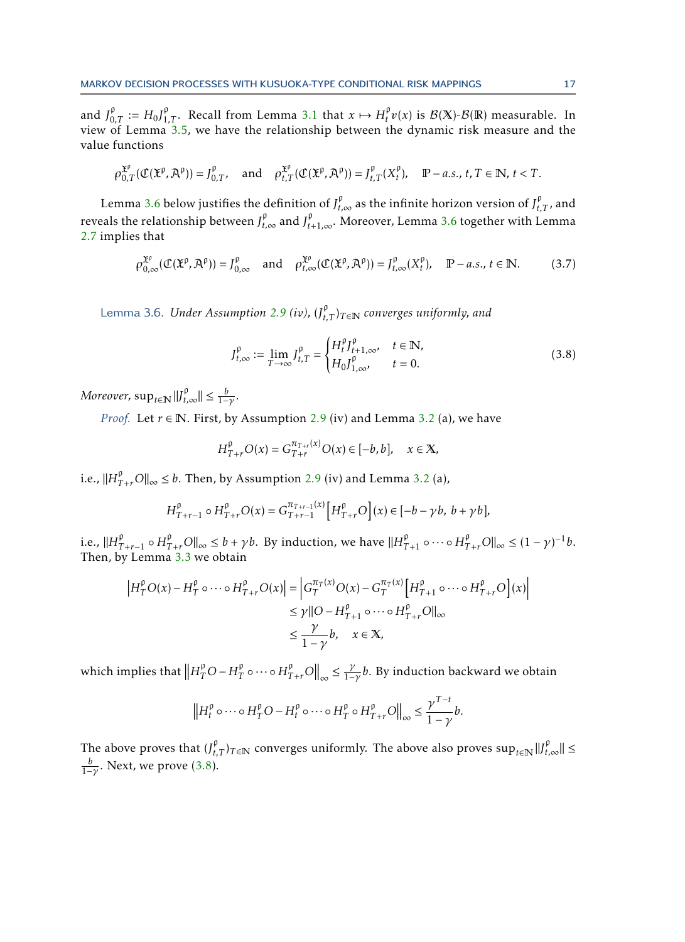and  $J_{0,T}^{\rho} := H_0 J_{1,T}^{\rho}$ . Recall from Lemma [3.1](#page-10-1) that  $x \mapsto H_t^{\rho}$  $f_t^{\mathfrak{p}}v(x)$  is  $\mathcal{B}(\mathbb{X})$ - $\mathcal{B}(\mathbb{R})$  measurable. In view of Lemma [3.5,](#page-14-2) we have the relationship between the dynamic risk measure and the value functions

$$
\rho_{0,T}^{\mathfrak{X}^p}(\mathcal{C}(\mathfrak{X}^p,\mathcal{A}^p))=J_{0,T}^p,\quad\text{and}\quad\rho_{t,T}^{\mathfrak{X}^p}(\mathcal{C}(\mathfrak{X}^p,\mathcal{A}^p))=J_{t,T}^p(X_t^p),\quad\mathbb{P}-a.s.,\ t,T\in\mathbb{N},\ t
$$

Lemma [3.6](#page-16-0) below justifies the definition of  $J_{t,\infty}^{\rho}$  as the infinite horizon version of  $J_{t,T}^{\rho}$ , and reveals the relationship between  $J_{t,\infty}^{\rho}$  and  $J_{t+1,\infty}^{\rho}$ . Moreover, Lemma [3.6](#page-16-0) together with Lemma [2.7](#page-8-3) implies that

$$
\rho_{0,\infty}^{\mathfrak{X}^{\rho}}(\mathfrak{C}(\mathfrak{X}^{\rho},\mathfrak{A}^{\rho}))=J_{0,\infty}^{\rho}\quad\text{and}\quad\rho_{t,\infty}^{\mathfrak{X}^{\rho}}(\mathfrak{C}(\mathfrak{X}^{\rho},\mathfrak{A}^{\rho}))=J_{t,\infty}^{\rho}(X_{t}^{\rho}),\quad\mathbb{P}-a.s.,\ t\in\mathbb{N}.\tag{3.7}
$$

<span id="page-16-0"></span>Lemma 3.6. *Under Assumption [2.9](#page-9-1) (iv),* (*J* p *t,T* )*<sup>T</sup>* <sup>∈</sup><sup>N</sup> *converges uniformly, and*

<span id="page-16-2"></span><span id="page-16-1"></span>
$$
J_{t,\infty}^{\rho} := \lim_{T \to \infty} J_{t,T}^{\rho} = \begin{cases} H_t^{\rho} J_{t+1,\infty}^{\rho}, & t \in \mathbb{N}, \\ H_0 J_{1,\infty}^{\rho}, & t = 0. \end{cases}
$$
 (3.8)

*Moreover,*  $\sup_{t \in \mathbb{N}} ||f_{t,\infty}^{\rho}|| \leq \frac{b}{1-\gamma}$ *.* 

*Proof.* Let  $r \in \mathbb{N}$ . First, by Assumption [2.9](#page-9-1) (iv) and Lemma [3.2](#page-11-0) (a), we have

$$
H_{T+r}^{p}O(x) = G_{T+r}^{\pi_{T+r}(x)}O(x) \in [-b, b], \quad x \in \mathbb{X},
$$

i.e.,  $||H_{T+r}^{\rho}O||_{\infty} \leq b$ . Then, by Assumption [2.9](#page-9-1) (iv) and Lemma [3.2](#page-11-0) (a),

$$
H_{T+r-1}^{\rho} \circ H_{T+r}^{\rho} O(x) = G_{T+r-1}^{\pi_{T+r-1}} \left[ H_{T+r}^{\rho} O \right](x) \in [-b - \gamma b, b + \gamma b],
$$

i.e.,  $||H_{T+r-1}^{\rho} \circ H_{T+r}^{\rho} O||_{\infty} \leq b + \gamma b$ . By induction, we have  $||H_{T+1}^{\rho} \circ \cdots \circ H_{T+r}^{\rho} O||_{\infty} \leq (1 - \gamma)^{-1} b$ . Then, by Lemma [3.3](#page-11-1) we obtain

$$
\left| H_T^{\rho} O(x) - H_T^{\rho} \circ \cdots \circ H_{T+r}^{\rho} O(x) \right| = \left| G_T^{\pi_T(x)} O(x) - G_T^{\pi_T(x)} \left[ H_{T+1}^{\rho} \circ \cdots \circ H_{T+r}^{\rho} O \right](x) \right|
$$
  
\n
$$
\leq \gamma \left\| O - H_{T+1}^{\rho} \circ \cdots \circ H_{T+r}^{\rho} O \right\|_{\infty}
$$
  
\n
$$
\leq \frac{\gamma}{1-\gamma} b, \quad x \in \mathbb{X},
$$

which implies that  $\left\| H_T^{\mathfrak{p}} O - H_T^{\mathfrak{p}} \right\|$  $\int_T^{\rho} \circ \cdots \circ H_{T+r}^{\rho} O \Big\|_{\infty} \leq \frac{\gamma}{1-\gamma} b$ . By induction backward we obtain

$$
\left\|H_t^{\rho}\circ\cdots\circ H_T^{\rho}O-H_t^{\rho}\circ\cdots\circ H_T^{\rho}\circ H_{T+r}^{\rho}O\right\|_{\infty}\leq \frac{\gamma^{T-t}}{1-\gamma}b.
$$

The above proves that  $(J_{t,T}^{\rho})_{T \in \mathbb{N}}$  converges uniformly. The above also proves  $\sup_{t \in \mathbb{N}} ||J_{t,\infty}^{\rho}|| \leq$ *b* 1−*γ* . Next, we prove [\(3.8\)](#page-16-1).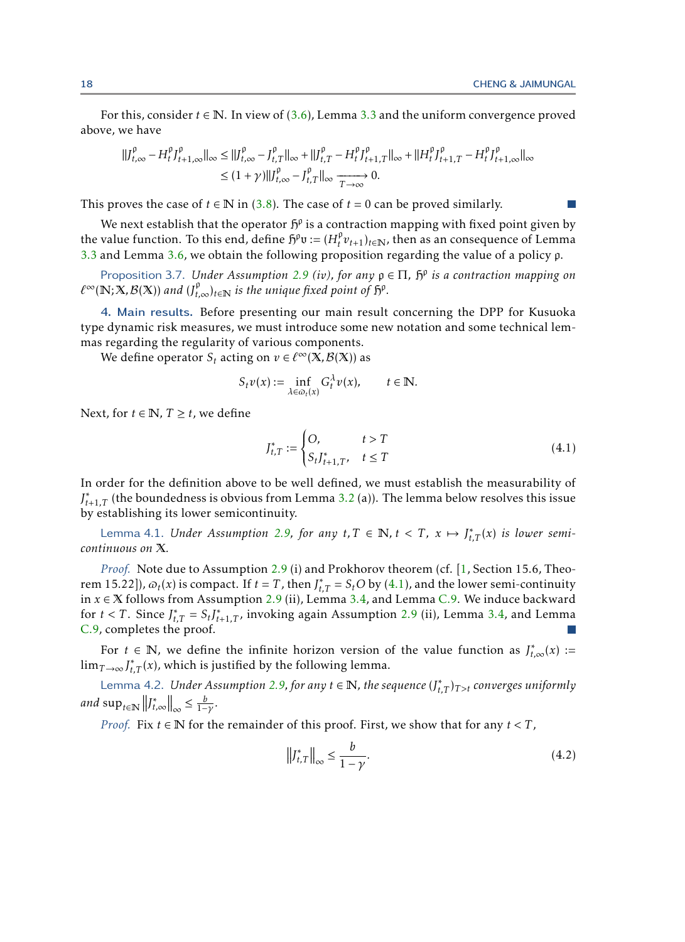For this, consider  $t \in \mathbb{N}$ . In view of [\(3.6\)](#page-15-1), Lemma [3.3](#page-11-1) and the uniform convergence proved above, we have

$$
\begin{aligned} ||J_{t,\infty}^{\rho} - H_t^{\rho} J_{t+1,\infty}^{\rho}||_{\infty} &\leq ||J_{t,\infty}^{\rho} - J_{t,T}^{\rho}||_{\infty} + ||J_{t,T}^{\rho} - H_t^{\rho} J_{t+1,T}^{\rho}||_{\infty} + ||H_t^{\rho} J_{t+1,T}^{\rho} - H_t^{\rho} J_{t+1,\infty}^{\rho}||_{\infty} \\ &\leq (1+\gamma) ||J_{t,\infty}^{\rho} - J_{t,T}^{\rho}||_{\infty} \xrightarrow[T \to \infty]{} 0. \end{aligned}
$$

This proves the case of  $t \in \mathbb{N}$  in [\(3.8\)](#page-16-1). The case of  $t = 0$  can be proved similarly.

We next establish that the operator  $\mathfrak{h}^{\mathfrak{g}}$  is a contraction mapping with fixed point given by the value function. To this end, define  $\tilde{p}^{\rho}v := (H_t^{\rho})$  $\int_t^p v_{t+1}$ <sub>*t*</sub> $\in$ N<sub>*t*</sub>, then as an consequence of Lemma [3.3](#page-11-1) and Lemma [3.6,](#page-16-0) we obtain the following proposition regarding the value of a policy p.

Proposition 3.7. *Under Assumption [2.9](#page-9-1) (iv), for any* p ∈ Π*,* H p *is a contraction mapping on*  $\ell^{\infty}(\mathbb{N}; X, \mathcal{B}(X))$  and  $(J_{t,\infty}^{\rho})_{t \in \mathbb{N}}$  is the unique fixed point of  $\mathfrak{H}^{\rho}$ .

<span id="page-17-0"></span>4. Main results. Before presenting our main result concerning the DPP for Kusuoka type dynamic risk measures, we must introduce some new notation and some technical lemmas regarding the regularity of various components.

We define operator  $S_t$  acting on  $v \in \ell^{\infty}(\mathbf{X}, \mathcal{B}(\mathbf{X}))$  as

<span id="page-17-5"></span>
$$
S_t v(x) := \inf_{\lambda \in \omega_t(x)} G_t^{\lambda} v(x), \qquad t \in \mathbb{N}.
$$

Next, for *t*  $\in$  N, *T*  $\ge$  *t*, we define

<span id="page-17-3"></span><span id="page-17-1"></span>
$$
J_{t,T}^* := \begin{cases} O, & t > T \\ S_t J_{t+1,T}^*, & t \le T \end{cases}
$$
 (4.1)

In order for the definition above to be well defined, we must establish the measurability of  $J_{t+1,T}^*$  (the boundedness is obvious from Lemma [3.2](#page-11-0) (a)). The lemma below resolves this issue by establishing its lower semicontinuity.

Lemma 4.1. *Under Assumption [2.9,](#page-9-1) for any*  $t, T \in \mathbb{N}$ ,  $t < T$ ,  $x \mapsto J_{t,T}^*(x)$  *is lower semicontinuous on* X*.*

*Proof.* Note due to Assumption [2.9](#page-9-1) (i) and Prokhorov theorem (cf. [\[1,](#page-23-3) Section 15.6, Theorem 15.22]),  $\omega_t(x)$  is compact. If  $t = T$ , then  $J_{t,T}^* = S_t O$  by [\(4.1\)](#page-17-1), and the lower semi-continuity in *x* ∈ X follows from Assumption [2.9](#page-9-1) (ii), Lemma [3.4,](#page-12-0) and Lemma [C.9.](#page-28-3) We induce backward for  $t < T$ . Since  $J_{t,T}^* = S_t J_{t+1,T}^*$ , invoking again Assumption [2.9](#page-9-1) (ii), Lemma [3.4,](#page-12-0) and Lemma [C.9,](#page-28-3) completes the proof.  $\mathcal{C}^{\mathcal{A}}$ 

For  $t \in \mathbb{N}$ , we define the infinite horizon version of the value function as  $J_{t,\infty}^*(x)$  :=  $\lim_{T\to\infty} J_{t,T}^*(x)$ , which is justified by the following lemma.

Lemma 4.2. *Under Assumption [2.9,](#page-9-1) for any*  $t \in \mathbb{N}$ , the sequence  $(J_{t,T}^*)_{T > t}$  converges uniformly  $and \sup_{t \in \mathbb{N}} ||f^*_{t,\infty}||_{\infty} \leq \frac{b}{1-\gamma}.$ 

*Proof.* Fix *t* ∈ **N** for the remainder of this proof. First, we show that for any *t* < *T*,

<span id="page-17-4"></span><span id="page-17-2"></span>
$$
\left\|J_{t,T}^*\right\|_{\infty} \le \frac{b}{1-\gamma}.\tag{4.2}
$$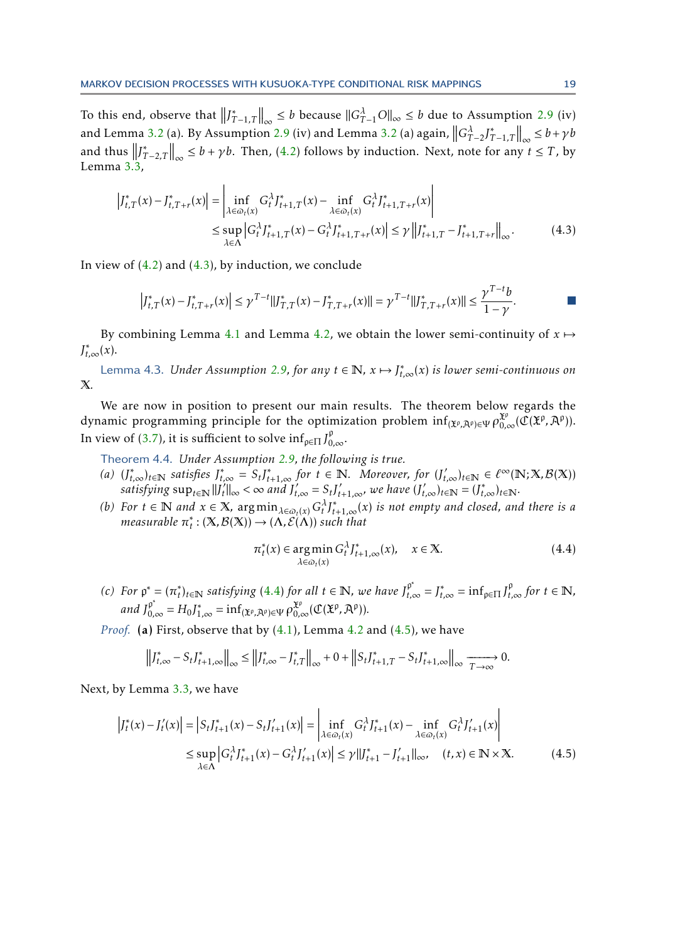To this end, observe that  $||J_{T-1,T}^*||_{\infty} \leq b$  because  $||G_{T-1}^{\lambda}O||_{\infty} \leq b$  due to Assumption [2.9](#page-9-1) (iv) and Lemma [3.2](#page-11-0) (a). By Assumption [2.9](#page-9-1) (iv) and Lemma 3.2 (a) again,  $||G_{T-2}^{\lambda}J_{T-1,T}^*||_{\infty} \leq b + \gamma b$ and thus  $||J^*_{T-2,T}||_{\infty} \leq b + \gamma b$ . Then, [\(4.2\)](#page-17-2) follows by induction. Next, note for any  $t \leq T$ , by Lemma [3.3,](#page-11-1)

$$
\left| J_{t,T}^{*}(x) - J_{t,T+r}^{*}(x) \right| = \left| \inf_{\lambda \in \Omega_{t}(x)} G_{t}^{\lambda} J_{t+1,T}^{*}(x) - \inf_{\lambda \in \Omega_{t}(x)} G_{t}^{\lambda} J_{t+1,T+r}^{*}(x) \right|
$$
  
\n
$$
\leq \sup_{\lambda \in \Lambda} \left| G_{t}^{\lambda} J_{t+1,T}^{*}(x) - G_{t}^{\lambda} J_{t+1,T+r}^{*}(x) \right| \leq \gamma \left\| J_{t+1,T}^{*} - J_{t+1,T+r}^{*} \right\|_{\infty}.
$$
 (4.3)

In view of  $(4.2)$  and  $(4.3)$ , by induction, we conclude

<span id="page-18-1"></span>
$$
\left|J_{t,T}^*(x)-J_{t,T+r}^*(x)\right|\leq \gamma^{T-t}\|J_{T,T}^*(x)-J_{T,T+r}^*(x)\|=\gamma^{T-t}\|J_{T,T+r}^*(x)\|\leq \frac{\gamma^{T-t}b}{1-\gamma}.
$$

<span id="page-18-4"></span>By combining Lemma [4.1](#page-17-3) and Lemma [4.2,](#page-17-4) we obtain the lower semi-continuity of  $x \mapsto$ *J* ∗ *t,*∞(*x*).

Lemma 4.3. *Under Assumption [2.9,](#page-9-1) for any*  $t \in \mathbb{N}$ ,  $x \mapsto \int_{t,\infty}^{*}(x)$  *is lower semi-continuous on* X*.*

We are now in position to present our main results. The theorem below regards the dynamic programming principle for the optimization problem  $\inf_{(\mathbf{X}^p, \mathcal{A}^p) \in \Psi} \rho_{0,\infty}^{\mathbf{X}^p}(\mathfrak{C}(\mathbf{X}^p, \mathcal{A}^p)).$ In view of [\(3.7\)](#page-16-2), it is sufficient to solve  $\inf_{\rho \in \Pi} J_{0,\infty}^{\rho}$ .

Theorem 4.4. *Under Assumption [2.9,](#page-9-1) the following is true.*

- (a)  $(J_{t,\infty}^*)_{t\in\mathbb{N}}$  satisfies  $J_{t,\infty}^* = S_t J_{t+1,\infty}^*$  for  $t \in \mathbb{N}$ . Moreover, for  $(J_{t,\infty}')_{t\in\mathbb{N}} \in \ell^{\infty}(\mathbb{N}; X, \mathcal{B}(X))$  $satisfying \sup_{t \in \mathbb{N}} ||f_t||$  $t'_{t}||_{\infty} < \infty$  and  $J'_{t,\infty} = S_{t}J'_{t+1,\infty}$ , we have  $(J'_{t,\infty})_{t \in \mathbb{N}} = (J^*_{t,\infty})_{t \in \mathbb{N}}$ .
- *(b)* For  $t \in \mathbb{N}$  and  $x \in \mathbb{X}$ ,  $\arg\min_{\lambda \in \mathcal{Q}_t(x)} G_t^{\lambda} I_{t+1,\infty}^*(x)$  *is not empty and closed, and there is a measurable π* ∗  $f_t^* : (\mathbf{X}, \mathcal{B}(\mathbf{X})) \to (\Lambda, \mathcal{E}(\Lambda))$  *such that*

<span id="page-18-3"></span><span id="page-18-2"></span><span id="page-18-0"></span>
$$
\pi_t^*(x) \in \underset{\lambda \in \varpi_t(x)}{\arg \min} \, G_t^{\lambda} J_{t+1,\infty}^*(x), \quad x \in \mathbb{X}.
$$
\n
$$
(4.4)
$$

*(c) For*  $p^* = (n_t^*)$ *t*<sup>*t*</sup></sup> $\sum_{t=1}^{n}$  *t t satisfying* [\(4.4\)](#page-18-2) *for all t* ∈ **N**, we have  $J_{t,\infty}^{\rho^*} = J_{t,\infty}^* = \inf_{\rho \in \Pi} J_{t,\infty}^{\rho}$  *for t* ∈ **N**, *and*  $J_{0,\infty}^{p^*} = H_0 J_{1,\infty}^* = \inf_{(\mathfrak{X}^p, \mathfrak{X}^p) \in \Psi} \rho_{0,\infty}^{\mathfrak{X}^p}(\mathfrak{C}(\mathfrak{X}^p, \mathfrak{X}^p)).$ 

*Proof.* (a) First, observe that by  $(4.1)$ , Lemma [4.2](#page-17-4) and  $(4.5)$ , we have

$$
\left\|J_{t,\infty}^* - S_t J_{t+1,\infty}^*\right\|_{\infty} \le \left\|J_{t,\infty}^* - J_{t,T}^*\right\|_{\infty} + 0 + \left\|S_t J_{t+1,T}^* - S_t J_{t+1,\infty}^*\right\|_{\infty} \xrightarrow[T \to \infty]{} 0.
$$

Next, by Lemma [3.3,](#page-11-1) we have

$$
\left|J_t^*(x) - J_t'(x)\right| = \left|S_t J_{t+1}^*(x) - S_t J_{t+1}'(x)\right| = \left|\inf_{\lambda \in \omega_t(x)} G_t^{\lambda} J_{t+1}^*(x) - \inf_{\lambda \in \omega_t(x)} G_t^{\lambda} J_{t+1}'(x)\right|
$$
  
\n
$$
\leq \sup_{\lambda \in \Lambda} \left|G_t^{\lambda} J_{t+1}^*(x) - G_t^{\lambda} J_{t+1}'(x)\right| \leq \gamma \|J_{t+1}^* - J_{t+1}'\|_{\infty}, \quad (t, x) \in \mathbb{N} \times \mathbb{X}.
$$
 (4.5)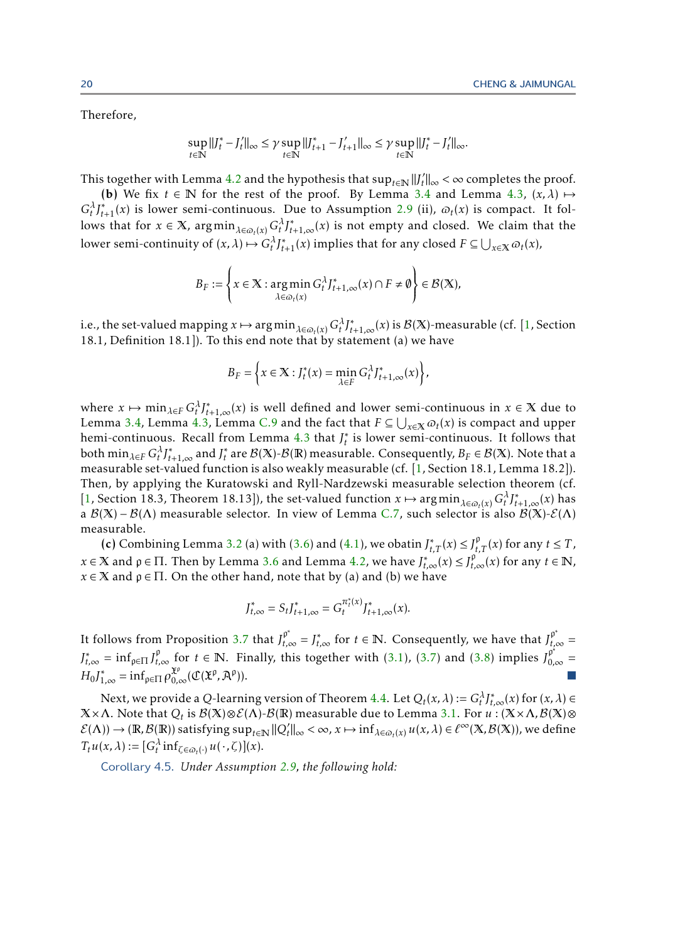Therefore,

$$
\sup_{t \in \mathbb{N}} ||J_t^* - J_t'||_{\infty} \le \gamma \sup_{t \in \mathbb{N}} ||J_{t+1}^* - J_{t+1}'||_{\infty} \le \gamma \sup_{t \in \mathbb{N}} ||J_t^* - J_t'||_{\infty}.
$$

This together with Lemma [4.2](#page-17-4) and the hypothesis that  $\sup_{t\in\mathbb{N}}$   $||J_t^H||$  $t'$ ll∞ < ∞ completes the proof.

(b) We fix  $t \in \mathbb{N}$  for the rest of the proof. By Lemma [3.4](#page-12-0) and Lemma [4.3,](#page-18-4)  $(x, \lambda) \mapsto$  $G_t^{\lambda} J_{t+1}^*(x)$  is lower semi-continuous. Due to Assumption [2.9](#page-9-1) (ii),  $\omega_t(x)$  is compact. It follows that for  $x \in \mathbb{X}$ ,  $\arg\min_{\lambda \in \omega_t(x)} G_t^{\lambda} J_{t+1,\infty}^*(x)$  is not empty and closed. We claim that the lower semi-continuity of  $(x, \lambda) \mapsto G_t^{\lambda} J_{t+1}^*(x)$  implies that for any closed  $F \subseteq \bigcup_{x \in \mathbb{X}} \varpi_t(x)$ ,

$$
B_F := \left\{ x \in \mathbb{X} : \underset{\lambda \in \varpi_t(x)}{\arg \min} \, G_t^{\lambda} J_{t+1,\infty}^*(x) \cap F \neq \emptyset \right\} \in \mathcal{B}(\mathbb{X}),
$$

i.e., the set-valued mapping  $x \mapsto \argmin_{\lambda \in \varpi_t(x)} G_t^{\lambda} J_{t+1,\infty}^*(x)$  is  $\mathcal{B}(X)$ -measurable (cf. [\[1,](#page-23-3) Section 18.1, Definition 18.1]). To this end note that by statement (a) we have

$$
B_F = \left\{ x \in \mathbb{X} : J_t^*(x) = \min_{\lambda \in F} G_t^{\lambda} J_{t+1,\infty}^*(x) \right\},\
$$

where  $x \mapsto \min_{\lambda \in F} G_t^{\lambda} J_{t+1,\infty}^*(x)$  is well defined and lower semi-continuous in  $x \in X$  due to Lemma [3.4,](#page-12-0) Lemma [4.3,](#page-18-4) Lemma [C.9](#page-28-3) and the fact that  $F \subseteq \bigcup_{x \in X} \varpi_t(x)$  is compact and upper hemi-continuous. Recall from Lemma [4.3](#page-18-4) that *J* ∗ *t* is lower semi-continuous. It follows that both  $\min_{\lambda \in F} G_t^{\lambda} J_{t+1,\infty}^*$  and  $J_t^*$  $f_t^*$  are  $\mathcal{B}(\mathbb{X})$ - $\mathcal{B}(\mathbb{R})$  measurable. Consequently,  $B_F \in \mathcal{B}(\mathbb{X})$ . Note that a measurable set-valued function is also weakly measurable (cf. [\[1,](#page-23-3) Section 18.1, Lemma 18.2]). Then, by applying the Kuratowski and Ryll-Nardzewski measurable selection theorem (cf. [\[1,](#page-23-3) Section 18.3, Theorem 18.13]), the set-valued function  $x \mapsto \arg \min_{\lambda \in \omega_t(x)} G_t^{\lambda} J_{t+1,\infty}^*(x)$  has a  $B(X) - B(\Lambda)$  measurable selector. In view of Lemma [C.7,](#page-28-1) such selector is also  $B(X) - E(\Lambda)$ measurable.

(c) Combining Lemma [3.2](#page-11-0) (a) with [\(3.6\)](#page-15-1) and [\(4.1\)](#page-17-1), we obatin  $J_{t,T}^*(x) \leq J_{t,T}^{\rho}(x)$  for any  $t \leq T$ , *x* ∈ X and  $ρ$  ∈ Π. Then by Lemma [3.6](#page-16-0) and Lemma [4.2,](#page-17-4) we have  $J_{t,\infty}^{*}(x) \leq J_{t,\infty}^{p}$  (*x*) for any *t* ∈ N,  $x \in X$  and  $p \in \Pi$ . On the other hand, note that by (a) and (b) we have

<span id="page-19-0"></span>
$$
J_{t,\infty}^* = S_t J_{t+1,\infty}^* = G_t^{\pi_t^*(x)} J_{t+1,\infty}^*(x).
$$

It follows from Proposition [3.7](#page-17-5) that  $J_{t,\infty}^{\rho^*} = J_{t,\infty}^*$  for  $t \in \mathbb{N}$ . Consequently, we have that  $J_{t,\infty}^{\rho^*} =$  $J_{t,\infty}^* = \inf_{\rho \in \Pi} J_{t,\infty}^{\rho}$  for  $t \in \mathbb{N}$ . Finally, this together with [\(3.1\)](#page-10-2), [\(3.7\)](#page-16-2) and [\(3.8\)](#page-16-1) implies  $J_{0,\infty}^{\rho^*} =$  $H_0 J_{1,\infty}^* = \inf_{\rho \in \Pi} \rho_{0,\infty}^{\mathfrak{X}^{\rho}}(\mathfrak{C}(\mathfrak{X}^{\rho}, \mathfrak{X}^{\rho})).$ 

Next, we provide a Q-learning version of Theorem [4.4.](#page-18-0) Let  $Q_t(x, \lambda) := G_t^{\lambda} J_{t,\infty}^*(x)$  for  $(x, \lambda) \in$  $X\times\Lambda$ . Note that  $Q_t$  is  $\mathcal{B}(X)\otimes\mathcal{E}(\Lambda)\text{-}\mathcal{B}(\R)$  measurable due to Lemma [3.1.](#page-10-1) For  $u$  :  $(X\times\Lambda,\mathcal{B}(X)\otimes\R)$  $\mathcal{E}(\Lambda) \to (\mathbb{R}, \mathcal{B}(\mathbb{R}))$  satisfying  $\sup_{t \in \mathbb{N}} ||Q'_t||_{\infty} < \infty$ ,  $x \mapsto \inf_{\lambda \in \varpi_t(x)} u(x, \lambda) \in \ell^{\infty}(\mathbb{X}, \mathcal{B}(\mathbb{X}))$ , we define  $T_t u(x, \lambda) := [G_t^{\lambda} \inf_{\zeta \in \omega_t(\cdot)} u(\cdot, \zeta)](x).$ 

Corollary 4.5. *Under Assumption [2.9,](#page-9-1) the following hold:*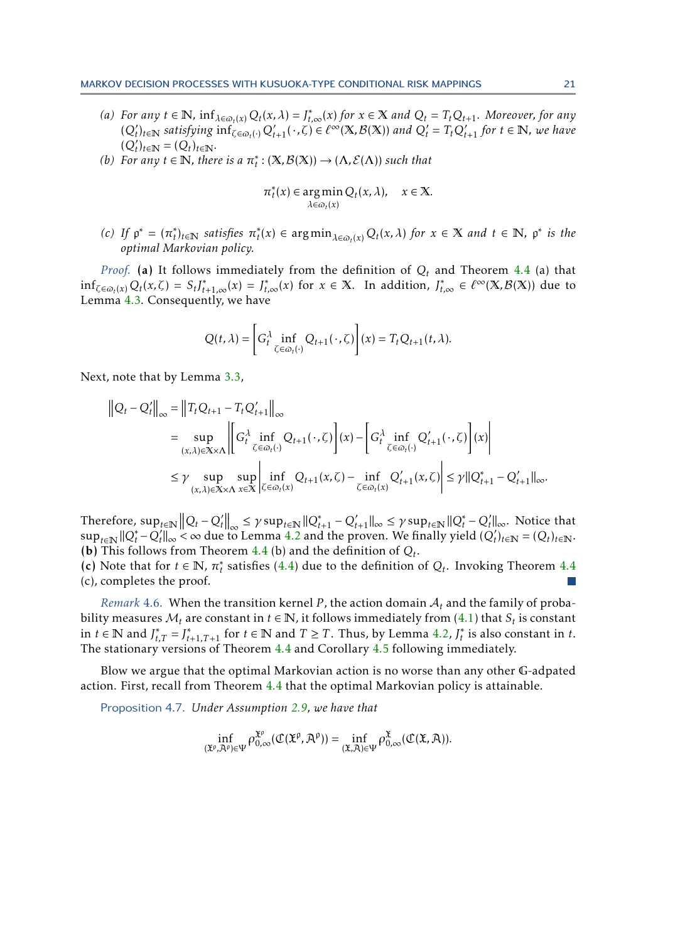- (a) For any  $t \in \mathbb{N}$ ,  $\inf_{\lambda \in \omega_t(x)} Q_t(x, \lambda) = J_{t,\infty}^*(x)$  for  $x \in \mathbb{X}$  and  $Q_t = T_t Q_{t+1}$ . Moreover, for any  $(Q'_t)_{t\in\mathbb{N}}$  satisfying  $\inf_{\zeta\in\omega_t(\cdot)}Q'_{t+1}(\cdot,\zeta)\in\ell^{\infty}(\mathbb{X},\mathcal{B}(\mathbb{X}))$  and  $Q'_t=T_tQ'_{t+1}$  for  $t\in\mathbb{N}$ , we have  $(Q'_t)_{t \in \mathbb{N}} = (Q_t)_{t \in \mathbb{N}}.$
- *(b)* For any  $t \in \mathbb{N}$ , there is a  $\pi_t^*$  $f_t^* : (\mathbb{X}, \mathcal{B}(\mathbb{X})) \to (\Lambda, \mathcal{E}(\Lambda))$  *such that*

$$
\pi_t^*(x) \in \underset{\lambda \in \varpi_t(x)}{\arg \min} Q_t(x, \lambda), \quad x \in \mathbb{X}.
$$

*(c) If*  $p^* = (\pi_t^*)$ *t* )*t*∈<sup>N</sup> *satisfies π* ∗ *t*<sup>\*</sup>(*x*) ∈ arg min<sub> $λ ∈ ∞_t(x)$ </sub>  $Q_t(x, λ)$  *for*  $x ∈ X$  *and*  $t ∈ \mathbb{N}$ *,*  $ρ^*$  *is the optimal Markovian policy.*

*Proof.* (a) It follows immediately from the definition of *Q<sup>t</sup>* and Theorem [4.4](#page-18-0) (a) that  $\inf_{\zeta \in \mathcal{O}_t(x)} Q_t(x,\zeta) = S_t J_{t+1,\infty}^*(x) = J_{t,\infty}^*(x)$  for  $x \in \mathbb{X}$ . In addition,  $J_{t,\infty}^* \in \ell^{\infty}(\mathbb{X}, \mathcal{B}(\mathbb{X}))$  due to Lemma [4.3.](#page-18-4) Consequently, we have

$$
Q(t,\lambda) = \left[G_t^{\lambda} \inf_{\zeta \in \omega_t(\cdot)} Q_{t+1}(\cdot,\zeta)\right](x) = T_t Q_{t+1}(t,\lambda).
$$

Next, note that by Lemma [3.3,](#page-11-1)

$$
\|Q_t - Q'_t\|_{\infty} = \|T_t Q_{t+1} - T_t Q'_{t+1}\|_{\infty}
$$
  
\n
$$
= \sup_{(x,\lambda)\in\mathbb{X}\times\Lambda} \left\|G_t^{\lambda} \inf_{\zeta\in\omega_t(\cdot)} Q_{t+1}(\cdot,\zeta)\right|(x) - \left[G_t^{\lambda} \inf_{\zeta\in\omega_t(\cdot)} Q'_{t+1}(\cdot,\zeta)\right|(x) \right\|
$$
  
\n
$$
\leq \gamma \sup_{(x,\lambda)\in\mathbb{X}\times\Lambda} \sup_{x\in\mathbb{X}} \left|\inf_{\zeta\in\omega_t(x)} Q_{t+1}(x,\zeta) - \inf_{\zeta\in\omega_t(x)} Q'_{t+1}(x,\zeta)\right| \leq \gamma \|Q_{t+1}^* - Q'_{t+1}\|_{\infty}.
$$

Therefore,  $\sup_{t\in\mathbb{N}} ||Q_t - Q'_t||_{\infty} \leq \gamma \sup_{t\in\mathbb{N}} ||Q_{t+1}^* - Q'_{t+1}||_{\infty} \leq \gamma \sup_{t\in\mathbb{N}} ||Q_t^* - Q'_t||_{\infty}$ . Notice that  $\sup_{t\in\mathbb{N}} ||Q_t^* - Q_t'||_\infty < \infty$  due to Lemma [4.2](#page-17-4) and the proven. We finally yield  $(Q_t')_{t\in\mathbb{N}} = (Q_t)_{t\in\mathbb{N}}$ . **(b)** This follows from Theorem [4.4](#page-18-0) (b) and the definition of  $Q_t$ .

(c) Note that for  $t \in \mathbb{N}$ ,  $\pi_t^*$ *t* satisfies [\(4.4\)](#page-18-2) due to the definition of *Q<sup>t</sup>* . Invoking Theorem [4.4](#page-18-0) (c), completes the proof.

*Remark* 4.6. When the transition kernel *P*, the action domain  $A_t$  and the family of probability measures  $\mathcal{M}_t$  are constant in  $t \in \mathbb{N}$ , it follows immediately from  $(4.1)$  that  $\mathcal{S}_t$  is constant in *t* ∈ **N** and *J*<sub>*t*</sub><sup>\*</sup>,*T* = *J*<sub>*t*</sub><sup>\*</sup><sub>+1</sub>,*T*<sub>+1</sub> for *t* ∈ **N** and *T* ≥ *T*. Thus, by Lemma [4.2,](#page-17-4) *J*<sup>\*</sup> *t* is also constant in *t*. The stationary versions of Theorem [4.4](#page-18-0) and Corollary [4.5](#page-19-0) following immediately.

Blow we argue that the optimal Markovian action is no worse than any other G-adpated action. First, recall from Theorem [4.4](#page-18-0) that the optimal Markovian policy is attainable.

Proposition 4.7. *Under Assumption [2.9,](#page-9-1) we have that*

<span id="page-20-0"></span>
$$
\inf_{(\mathfrak{X}^{\rho}, \mathfrak{X}^{\rho}) \in \Psi} \rho_{0,\infty}^{\mathfrak{X}^{\rho}}(\mathcal{C}(\mathfrak{X}^{\rho}, \mathfrak{X}^{\rho})) = \inf_{(\mathfrak{X}, \mathfrak{X}) \in \Psi} \rho_{0,\infty}^{\mathfrak{X}}(\mathcal{C}(\mathfrak{X}, \mathfrak{X})).
$$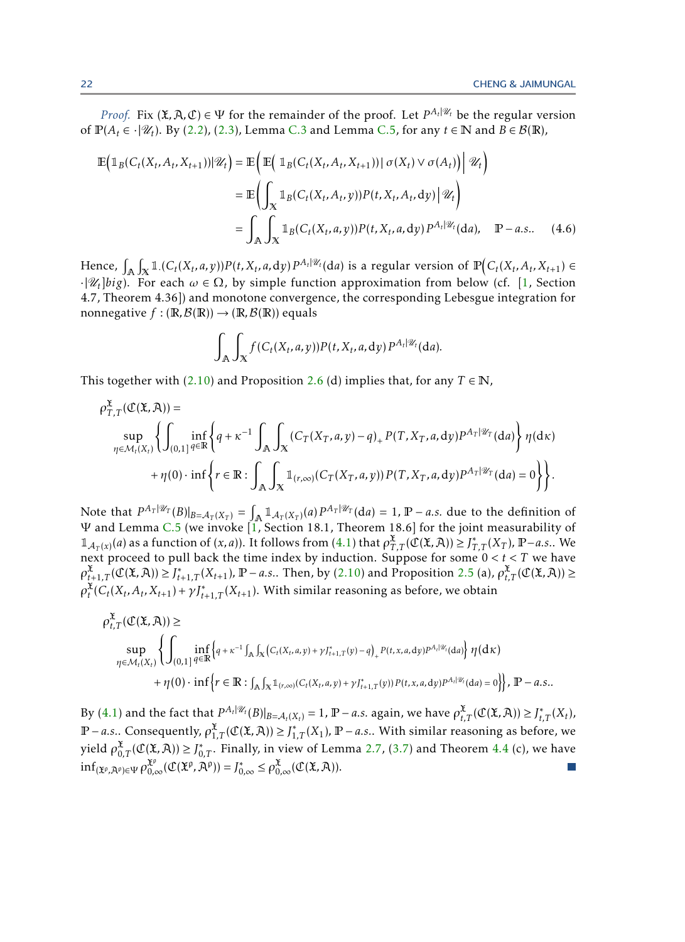*Proof.* Fix  $(\mathfrak{X}, \mathfrak{X}, \mathfrak{C}) \in \Psi$  for the remainder of the proof. Let  $P^{A_t | \mathscr{U}_t}$  be the regular version of  $\mathbb{P}(A_t \in \cdot | \mathscr{U}_t)$ . By [\(2.2\)](#page-4-1), [\(2.3\)](#page-4-2), Lemma [C.3](#page-26-2) and Lemma [C.5,](#page-26-4) for any  $t \in \mathbb{N}$  and  $B \in \mathcal{B}(\mathbb{R})$ ,

$$
\mathbb{E}\left(\mathbb{1}_{B}(C_{t}(X_{t}, A_{t}, X_{t+1}))|\mathscr{U}_{t}\right) = \mathbb{E}\left(\mathbb{E}\left(\mathbb{1}_{B}(C_{t}(X_{t}, A_{t}, X_{t+1}))|\sigma(X_{t})\vee\sigma(A_{t})|\right|\mathscr{U}_{t}\right)
$$
\n
$$
= \mathbb{E}\left(\int_{X} \mathbb{1}_{B}(C_{t}(X_{t}, A_{t}, y))P(t, X_{t}, A_{t}, dy)|\mathscr{U}_{t}\right)
$$
\n
$$
= \int_{A} \int_{X} \mathbb{1}_{B}(C_{t}(X_{t}, a, y))P(t, X_{t}, a, dy)P^{A_{t}|\mathscr{U}_{t}}(da), \quad P-a.s.. \quad (4.6)
$$

Hence,  $\int_{\mathbb{A}} \int_{\mathbb{X}} \mathbb{1}_{\cdot}(C_t(X_t,a,y)) P(t,X_t,a,\mathrm{d} y) P^{A_t|\mathscr{U}_t}(\mathrm{d} a)$  is a regular version of  $\mathbb{P}\big( C_t(X_t,A_t,X_{t+1}) \in$  $\cdot |\mathscr{U}_t|$ *big*). For each  $\omega \in \Omega$ , by simple function approximation from below (cf. [\[1,](#page-23-3) Section 4.7, Theorem 4.36]) and monotone convergence, the corresponding Lebesgue integration for nonnegative  $f : (\mathbb{R}, \mathcal{B}(\mathbb{R})) \to (\mathbb{R}, \mathcal{B}(\mathbb{R}))$  equals

$$
\int_{\mathbb{A}} \int_{X} f(C_t(X_t,a,y)) P(t,X_t,a,dy) P^{A_t|\mathscr{U}_t} (da).
$$

This together with [\(2.10\)](#page-8-2) and Proposition [2.6](#page-7-0) (d) implies that, for any  $T \in \mathbb{N}$ ,

$$
\rho_{T,T}^{\mathfrak{X}}(\mathfrak{C}(\mathfrak{X},\mathfrak{A}))=\sup_{\eta\in\mathcal{M}_{t}(X_{t})}\left\{\int_{(0,1]}\inf_{q\in\mathbb{R}}\left\{q+\kappa^{-1}\int_{\mathbb{A}}\int_{\mathbb{X}}\left(C_{T}(X_{T},a,y)-q\right)_{+}P(T,X_{T},a,\mathrm{d}y)P^{A_{T}|\mathcal{U}_{T}}(\mathrm{d}a)\right\}\eta(\mathrm{d}\kappa)+\eta(0)\cdot\inf\left\{r\in\mathbb{R}:\int_{\mathbb{A}}\int_{\mathbb{X}}\mathbb{1}_{(r,\infty)}\left(C_{T}(X_{T},a,y)\right)P(T,X_{T},a,\mathrm{d}y)P^{A_{T}|\mathcal{U}_{T}}(\mathrm{d}a)=0\right\}\right\}.
$$

Note that  $P^{A_T|\mathscr{U}_T}(B)|_{B = A_T(X_T)} = \int_{\mathbb{A}} \mathbb{1}_{A_T(X_T)}(a) P^{A_T|\mathscr{U}_T}(\mathrm{d}a) = 1$ ,  $\mathbb{P} - a.s.$  due to the definition of  $\Psi$  and Lemma [C.5](#page-26-4) (we invoke [\[1,](#page-23-3) Section 18.1, Theorem 18.6] for the joint measurability of  $\mathbb{1}_{\mathcal{A}_T(x)}(a)$  as a function of  $(x, a)$ ). It follows from  $(4.1)$  that  $\rho_{T,T}^{\mathfrak{X}}(\mathfrak{C}(\mathfrak{X}, \mathcal{A})) \geq J_{T,T}^*(X_T)$ ,  $\mathbb{P}-a.s.$ . We next proceed to pull back the time index by induction. Suppose for some  $0 < t < T$  we have  $\rho_{t+1,T}^{\mathfrak{X}}(\mathfrak{C}(\mathfrak{X}, \mathcal{A})) \geq J_{t+1,T}^*(X_{t+1}), \mathbb{P}-a.s..$  Then, by [\(2.10\)](#page-8-2) and Proposition [2.5](#page-7-1) (a),  $\rho_{t,T}^{\mathfrak{X}}(\mathfrak{C}(\mathfrak{X}, \mathcal{A})) \geq$  $\rho_t^{\hat{\mathbf{X}}}(C_t(X_t, A_t, X_{t+1}) + \gamma J_{t+1, T}^*(X_{t+1})$ . With similar reasoning as before, we obtain

$$
\rho_{t,T}^{\mathfrak{X}}(\mathfrak{C}(\mathfrak{X},\mathfrak{X}))\geq \sup_{\eta\in\mathcal{M}_{t}(X_{t})}\left\{\int_{(0,1]}\inf_{q\in\mathbb{R}}\left\{q+\kappa^{-1}\int_{\mathbb{A}}\int_{X}\left(C_{t}(X_{t},a,y)+\gamma J_{t+1,T}^{*}(y)-q\right)_{+}P(t,x,a,\mathrm{d}y)P^{A_{t}|\mathcal{U}_{t}}(\mathrm{d}a)\right\}\eta(\mathrm{d}\kappa) + \eta(0)\cdot\inf\left\{r\in\mathbb{R}:\int_{\mathbb{A}}\int_{X}\mathbb{1}_{(r,\infty)}(C_{t}(X_{t},a,y)+\gamma J_{t+1,T}^{*}(y))P(t,x,a,\mathrm{d}y)P^{A_{t}|\mathcal{U}_{t}}(\mathrm{d}a)=0\right\}\right\},\mathbb{P}-a.s..
$$

By [\(4.1\)](#page-17-1) and the fact that  $P^{A_t|\mathscr{U}_t}(B)|_{B=\mathcal{A}_t(X_t)} = 1$ ,  $\mathbb{P}-a.s.$  again, we have  $\rho_{t,T}^{\mathfrak{X}}(\mathfrak{C}(\mathfrak{X}, \mathcal{A})) \geq J_{t,T}^*(X_t)$ ,  $\mathbb{P}-a.s..$  Consequently,  $\rho_{1,T}^{\mathfrak{X}}(\mathfrak{C}(\mathfrak{X},\mathfrak{X})) \geq J_{1,T}^*(X_1)$ ,  $\mathbb{P}-a.s..$  With similar reasoning as before, we yield  $\rho_{0,T}^{\mathfrak{X}}(\mathfrak{C}(\mathfrak{X},\mathcal{A})) \geq J_{0,T}^*$ . Finally, in view of Lemma [2.7,](#page-8-3) [\(3.7\)](#page-16-2) and Theorem [4.4](#page-18-0) (c), we have  $\inf_{(\mathbf{\tilde{x}}^{\rho}, \mathcal{A}^{\rho}) \in \Psi} \rho_{0,\infty}^{\mathbf{\tilde{x}}^{\rho}}(\mathcal{C}(\mathbf{\tilde{x}}^{\rho}, \mathcal{A}^{\rho})) = J_{0,\infty}^{*} \leq \rho_{0,\infty}^{\mathbf{\tilde{x}}}(\mathcal{C}(\mathbf{\tilde{x}}, \mathcal{A})).$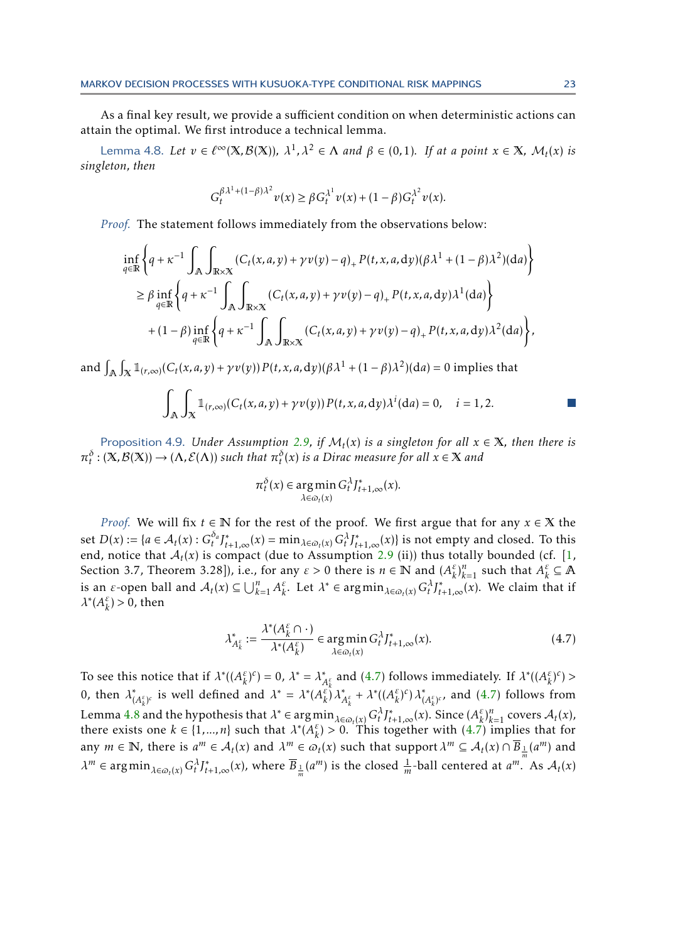As a final key result, we provide a sufficient condition on when deterministic actions can attain the optimal. We first introduce a technical lemma.

Lemma 4.8. Let  $v \in \ell^{\infty}(\mathbb{X}, \mathcal{B}(\mathbb{X}))$ ,  $\lambda^1, \lambda^2 \in \Lambda$  and  $\beta \in (0, 1)$ . If at a point  $x \in \mathbb{X}$ ,  $\mathcal{M}_t(x)$  is *singleton, then*

<span id="page-22-2"></span>
$$
G_t^{\beta \lambda^1 + (1 - \beta)\lambda^2} v(x) \geq \beta G_t^{\lambda^1} v(x) + (1 - \beta) G_t^{\lambda^2} v(x).
$$

*Proof.* The statement follows immediately from the observations below:

$$
\inf_{q\in\mathbb{R}}\left\{q+\kappa^{-1}\int_{\mathbb{A}}\int_{\mathbb{R}\times\mathbb{X}}(C_t(x,a,y)+\gamma v(y)-q)_+P(t,x,a,\mathrm{d}y)(\beta\lambda^1+(1-\beta)\lambda^2)(\mathrm{d}a)\right\}
$$
\n
$$
\geq \beta \inf_{q\in\mathbb{R}}\left\{q+\kappa^{-1}\int_{\mathbb{A}}\int_{\mathbb{R}\times\mathbb{X}}(C_t(x,a,y)+\gamma v(y)-q)_+P(t,x,a,\mathrm{d}y)\lambda^1(\mathrm{d}a)\right\}
$$
\n
$$
+(1-\beta)\inf_{q\in\mathbb{R}}\left\{q+\kappa^{-1}\int_{\mathbb{A}}\int_{\mathbb{R}\times\mathbb{X}}(C_t(x,a,y)+\gamma v(y)-q)_+P(t,x,a,\mathrm{d}y)\lambda^2(\mathrm{d}a)\right\},
$$

and  $\int_{\mathbb{A}} \int_{\mathbb{X}} \mathbb{1}_{(r,\infty)}(C_t(x,a,y) + \gamma v(y)) P(t,x,a,\mathrm{d}y) (\beta \lambda^1 + (1-\beta)\lambda^2)(\mathrm{d}a) = 0$  implies that

$$
\int_{\mathbb{A}} \int_{X} \mathbb{1}_{(r,\infty)}(C_t(x,a,y) + \gamma v(y)) P(t,x,a,\mathrm{d}y) \lambda^i(\mathrm{d}a) = 0, \quad i = 1,2.
$$

<span id="page-22-0"></span>Proposition 4.9. *Under Assumption [2.9,](#page-9-1) if*  $M_t(x)$  *is a singleton for all*  $x \in \mathbb{X}$ *, then there is*  $\pi_t^{\delta}$  : (X,B(X)) → ( $\Lambda$ ,E( $\Lambda$ )) such that  $\pi_t^{\delta}(x)$  is a Dirac measure for all  $x \in X$  and

$$
\pi_t^{\delta}(x) \in \underset{\lambda \in \varpi_t(x)}{\arg\min} \, G_t^{\lambda} J_{t+1,\infty}^*(x).
$$

*Proof.* We will fix *t* ∈ N for the rest of the proof. We first argue that for any *x* ∈ X the set  $D(x) := \{a \in \mathcal{A}_t(x) : G_t^{\delta_a} J_{t+1,\infty}^*(x) = \min_{\lambda \in \varpi_t(x)} G_t^{\lambda} J_{t+1,\infty}^*(x)\}$  is not empty and closed. To this end, notice that  $A_t(x)$  is compact (due to Assumption [2.9](#page-9-1) (ii)) thus totally bounded (cf. [\[1,](#page-23-3) Section 3.7, Theorem 3.28]), i.e., for any  $\varepsilon > 0$  there is  $n \in \mathbb{N}$  and  $(A_{\kappa}^{\varepsilon})$  $\binom{\varepsilon}{k}$ <sup>*n*</sup><sub>*k*</sub> and such that  $A_k^{\varepsilon}$  $\frac{\varepsilon}{k}$  ⊆ **A** is an *ε*-open ball and  $A_t(x) \subseteq \bigcup_{k=1}^n A_k^{\varepsilon}$  $\int_{k}^{\varepsilon}$ . Let  $\lambda^* \in \arg\min_{\lambda \in \omega_t(x)} G_t^{\lambda} J_{t+1,\infty}^*(x)$ . We claim that if *λ* ∗ (*A ε*  $_{k}^{\varepsilon}$ ) > 0, then

<span id="page-22-1"></span>
$$
\lambda_{A_k^{\varepsilon}}^* := \frac{\lambda^*(A_k^{\varepsilon} \cap \cdot)}{\lambda^*(A_k^{\varepsilon})} \in \underset{\lambda \in \omega_t(x)}{\operatorname{arg\,min}} \, G_t^{\lambda} J_{t+1,\infty}^*(x). \tag{4.7}
$$

To see this notice that if  $\lambda^*(A_k^{\varepsilon})$  $(\frac{\varepsilon}{k})^c$ ) = 0,  $\lambda^* = \lambda^*$  $\lambda_{k}^{\ast}$  and [\(4.7\)](#page-22-1) follows immediately. If  $\lambda^{*}((A_{k}^{\varepsilon}))$ 0, then  $\lambda^*_{(A^{\varepsilon})^c}$  is well defined and  $\lambda^* = \lambda^*(A^{\varepsilon})^R$ *k* ) *c* ) *>* <sup>\*</sup><sub> $(A_k^{\varepsilon})^c$ </sub> is well defined and  $\lambda^* = \lambda^* (A_k^{\varepsilon})^c$ *k* )*λ* ∗  $A_k^{\varepsilon} + \lambda^* ((A_k^{\varepsilon})$ *k* ) *c* )*λ* ∗  $\int_{(A_k^{\varepsilon})^c}^*$  and  $(4.7)$  follows from Lemma [4.8](#page-22-2) and the hypothesis that  $\lambda^* \in \arg\min_{\lambda \in \omega_t(x)} G_t^{\lambda} J_{t+1,\infty}^*(x)$ . Since  $(A_k^{\varepsilon})$  $\left\{k \atop k \right\}^n_{k=1}$  covers  $\mathcal{A}_t(x)$ , there exists one  $k \in \{1, ..., n\}$  such that  $\lambda^*(A_k^{\varepsilon})$  $\binom{\varepsilon}{k}$  > 0. This together with [\(4.7\)](#page-22-1) implies that for any  $m \in \mathbb{N}$ , there is  $a^m \in \mathcal{A}_t(x)$  and  $\lambda^m \in \varpi_t(x)$  such that support  $\lambda^m \subseteq \mathcal{A}_t(x) \cap \overline{B}_{\frac{1}{m}}(a^m)$  and  $\lambda^m \in \arg\min_{\lambda \in \varpi_t(x)} G_t^{\lambda} J_{t+1,\infty}^*(x)$ , where  $\overline{B}_{\frac{1}{m}}(a^m)$  is the closed  $\frac{1}{m}$ -ball centered at  $a^{m}$ . As  $\mathcal{A}_t(x)$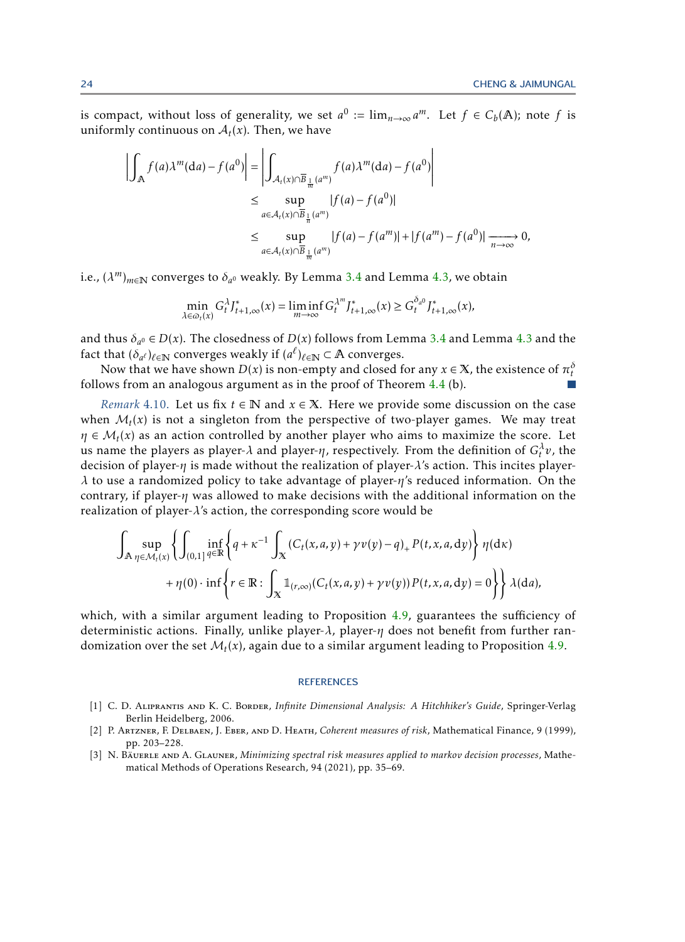is compact, without loss of generality, we set  $a^0 := \lim_{n \to \infty} a^m$ . Let  $f \in C_b(\mathbb{A})$ ; note f is uniformly continuous on  $A_t(x)$ . Then, we have

$$
\left| \int_{\mathbb{A}} f(a) \lambda^{m}(da) - f(a^{0}) \right| = \left| \int_{\mathcal{A}_{t}(x) \cap \overline{B}_{\frac{1}{m}}(a^{m})} f(a) \lambda^{m}(da) - f(a^{0}) \right|
$$
  
\n
$$
\leq \sup_{a \in \mathcal{A}_{t}(x) \cap \overline{B}_{\frac{1}{n}}(a^{m})} |f(a) - f(a^{0})|
$$
  
\n
$$
\leq \sup_{a \in \mathcal{A}_{t}(x) \cap \overline{B}_{\frac{1}{m}}(a^{m})} |f(a) - f(a^{m})| + |f(a^{m}) - f(a^{0})| \xrightarrow[n \to \infty]{} 0,
$$

i.e.,  $(\lambda^m)_{m\in\mathbb{N}}$  converges to  $\delta_{a^0}$  weakly. By Lemma [3.4](#page-12-0) and Lemma [4.3,](#page-18-4) we obtain

$$
\min_{\lambda \in \varpi_t(x)} G_t^{\lambda} J_{t+1,\infty}^*(x) = \liminf_{m \to \infty} G_t^{\lambda^m} J_{t+1,\infty}^*(x) \ge G_t^{\delta_a 0} J_{t+1,\infty}^*(x),
$$

and thus  $\delta_{a^0} \in D(x)$ . The closedness of  $D(x)$  follows from Lemma [3.4](#page-12-0) and Lemma [4.3](#page-18-4) and the fact that  $(\delta_{a^{\ell}})_{\ell \in \mathbb{N}}$  converges weakly if  $(a^{\ell})_{\ell \in \mathbb{N}} \subset \mathbb{A}$  converges.

Now that we have shown  $D(x)$  is non-empty and closed for any  $x \in \mathbb{X}$ , the existence of  $\pi_t^\delta$ follows from an analogous argument as in the proof of Theorem [4.4](#page-18-0) (b).

<span id="page-23-2"></span>*Remark* 4.10. Let us fix  $t \in \mathbb{N}$  and  $x \in \mathbb{X}$ . Here we provide some discussion on the case when  $\mathcal{M}_t(x)$  is not a singleton from the perspective of two-player games. We may treat  $\eta \in M_t(x)$  as an action controlled by another player who aims to maximize the score. Let us name the players as player- $\lambda$  and player- $\eta$ , respectively. From the definition of  $G_t^{\lambda}v$ , the decision of player-*η* is made without the realization of player-*λ*'s action. This incites player*λ* to use a randomized policy to take advantage of player-*η*'s reduced information. On the contrary, if player-*η* was allowed to make decisions with the additional information on the realization of player-*λ*'s action, the corresponding score would be

$$
\int_{\mathbb{A}} \sup_{\eta \in \mathcal{M}_t(x)} \left\{ \int_{(0,1]^{\,q \in \mathbb{R}}} \inf_{q \in \mathbb{R}} \left\{ q + \kappa^{-1} \int_{\mathbb{X}} \left( C_t(x,a,y) + \gamma v(y) - q \right)_+ P(t,x,a,dy) \right\} \eta(\mathrm{d}\kappa) + \eta(0) \cdot \inf \left\{ r \in \mathbb{R} : \int_{\mathbb{X}} \mathbb{1}_{(r,\infty)} \left( C_t(x,a,y) + \gamma v(y) \right) P(t,x,a,dy) = 0 \right\} \right\} \lambda(\mathrm{d}a),
$$

which, with a similar argument leading to Proposition [4.9,](#page-22-0) guarantees the sufficiency of deterministic actions. Finally, unlike player-*λ*, player-*η* does not benefit from further randomization over the set  $\mathcal{M}_t(x)$ , again due to a similar argument leading to Proposition [4.9.](#page-22-0)

### **REFERENCES**

- <span id="page-23-3"></span>[1] C. D. Aliprantis and K. C. Border, *Infinite Dimensional Analysis: A Hitchhiker's Guide*, Springer-Verlag Berlin Heidelberg, 2006.
- <span id="page-23-0"></span>[2] P. Artzner, F. Delbaen, J. Eber, and D. Heath, *Coherent measures of risk*, Mathematical Finance, 9 (1999), pp. 203–228.
- <span id="page-23-1"></span>[3] N. Bäuerle and A. Glauner, *Minimizing spectral risk measures applied to markov decision processes*, Mathematical Methods of Operations Research, 94 (2021), pp. 35–69.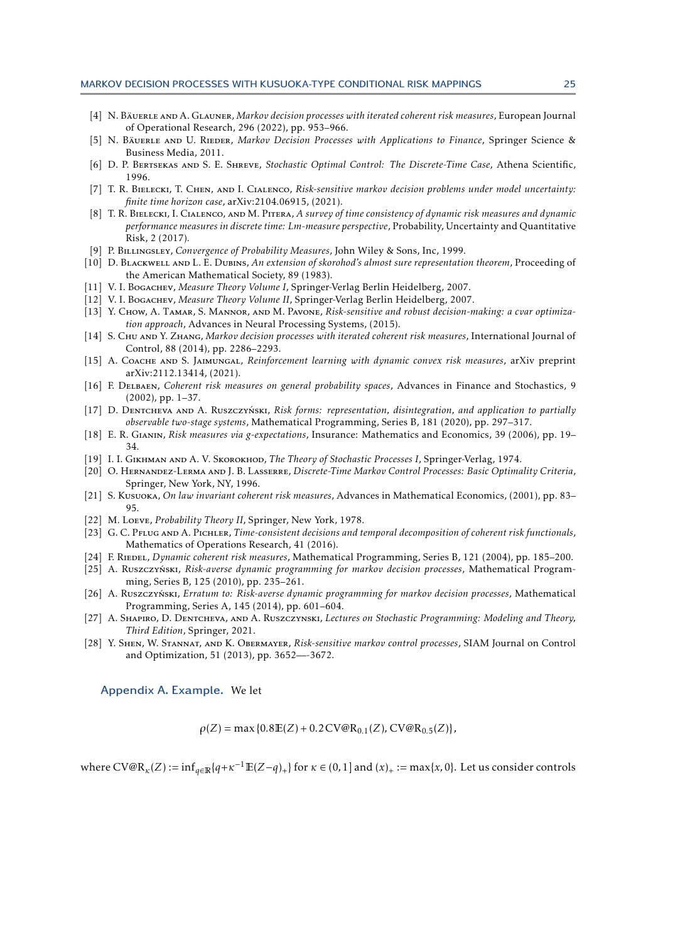- <span id="page-24-14"></span>[4] N. Bäuerle and A. Glauner, *Markov decision processes with iterated coherent risk measures*, European Journal of Operational Research, 296 (2022), pp. 953–966.
- <span id="page-24-2"></span>[5] N. Bäuerle AND U. RIEDER, Markov Decision Processes with Applications to Finance, Springer Science & Business Media, 2011.
- <span id="page-24-0"></span>[6] D. P. Bertsekas and S. E. Shreve, *Stochastic Optimal Control: The Discrete-Time Case*, Athena Scientific, 1996.
- <span id="page-24-10"></span>[7] T. R. Bielecki, T. Chen, and I. Cialenco, *Risk-sensitive markov decision problems under model uncertainty: finite time horizon case*, arXiv:2104.06915, (2021).
- <span id="page-24-4"></span>[8] T. R. Bielecki, I. Cialenco, and M. Pitera, *A survey of time consistency of dynamic risk measures and dynamic performance measures in discrete time: Lm-measure perspective*, Probability, Uncertainty and Quantitative Risk, 2 (2017).
- <span id="page-24-25"></span>[9] P. Billingsley, *Convergence of Probability Measures*, John Wiley & Sons, Inc, 1999.
- <span id="page-24-22"></span>[10] D. Blackwell and L. E. Dubins, *An extension of skorohod's almost sure representation theorem*, Proceeding of the American Mathematical Society, 89 (1983).
- <span id="page-24-23"></span>[11] V. I. Bogachev, *Measure Theory Volume I*, Springer-Verlag Berlin Heidelberg, 2007.
- <span id="page-24-21"></span>[12] V. I. Bogachev, *Measure Theory Volume II*, Springer-Verlag Berlin Heidelberg, 2007.
- <span id="page-24-9"></span>[13] Y. Chow, A. Tamar, S. Mannor, and M. Pavone, *Risk-sensitive and robust decision-making: a cvar optimization approach*, Advances in Neural Processing Systems, (2015).
- <span id="page-24-13"></span>[14] S. Chu and Y. Zhang, *Markov decision processes with iterated coherent risk measures*, International Journal of Control, 88 (2014), pp. 2286–2293.
- <span id="page-24-15"></span>[15] A. Coache and S. Jaimungal, *Reinforcement learning with dynamic convex risk measures*, arXiv preprint arXiv:2112.13414, (2021).
- <span id="page-24-3"></span>[16] F. Delbaen, *Coherent risk measures on general probability spaces*, Advances in Finance and Stochastics, 9 (2002), pp. 1–37.
- <span id="page-24-16"></span>[17] D. Dentcheva and A. Ruszczyński, Risk forms: representation, disintegration, and application to partially *observable two-stage systems*, Mathematical Programming, Series B, 181 (2020), pp. 297–317.
- <span id="page-24-5"></span>[18] E. R. Gianin, *Risk measures via g-expectations*, Insurance: Mathematics and Economics, 39 (2006), pp. 19– 34.
- <span id="page-24-20"></span>[19] I. I. Gikhman and A. V. Skorokhod, *The Theory of Stochastic Processes I*, Springer-Verlag, 1974.
- <span id="page-24-1"></span>[20] O. Hernandez-Lerma and J. B. Lasserre, *Discrete-Time Markov Control Processes: Basic Optimality Criteria*, Springer, New York, NY, 1996.
- <span id="page-24-18"></span>[21] S. Kusuoka, *On law invariant coherent risk measures*, Advances in Mathematical Economics, (2001), pp. 83– 95.
- <span id="page-24-24"></span>[22] M. Loeve, *Probability Theory II*, Springer, New York, 1978.
- <span id="page-24-8"></span>[23] G. C. Pflug and A. Pichler, *Time-consistent decisions and temporal decomposition of coherent risk functionals*, Mathematics of Operations Research, 41 (2016).
- <span id="page-24-6"></span>[24] F. Riedel, *Dynamic coherent risk measures*, Mathematical Programming, Series B, 121 (2004), pp. 185–200.
- <span id="page-24-7"></span>[25] A. Ruszczyński, Risk-averse dynamic programming for markov decision processes, Mathematical Programming, Series B, 125 (2010), pp. 235–261.
- <span id="page-24-11"></span>[26] A. Ruszczyński, *Erratum to: Risk-averse dynamic programming for markov decision processes*, Mathematical Programming, Series A, 145 (2014), pp. 601–604.
- <span id="page-24-19"></span>[27] A. Shapiro, D. Dentcheva, and A. Ruszczynski, *Lectures on Stochastic Programming: Modeling and Theory, Third Edition*, Springer, 2021.
- <span id="page-24-17"></span><span id="page-24-12"></span>[28] Y. Shen, W. Stannat, and K. Obermayer, *Risk-sensitive markov control processes*, SIAM Journal on Control and Optimization, 51 (2013), pp. 3652—-3672.

Appendix A. Example. We let

 $\rho(Z) = \max\{0.8E(Z) + 0.2CV@R_{0.1}(Z), CV@R_{0.5}(Z)\}\$ 

where  $C V@R_{\kappa}(Z) := \inf_{q \in \mathbb{R}} \{q + \kappa^{-1} \mathbb{E}(Z - q)_+\}$  for  $\kappa \in (0, 1]$  and  $(x)_+ := \max\{x, 0\}$ . Let us consider controls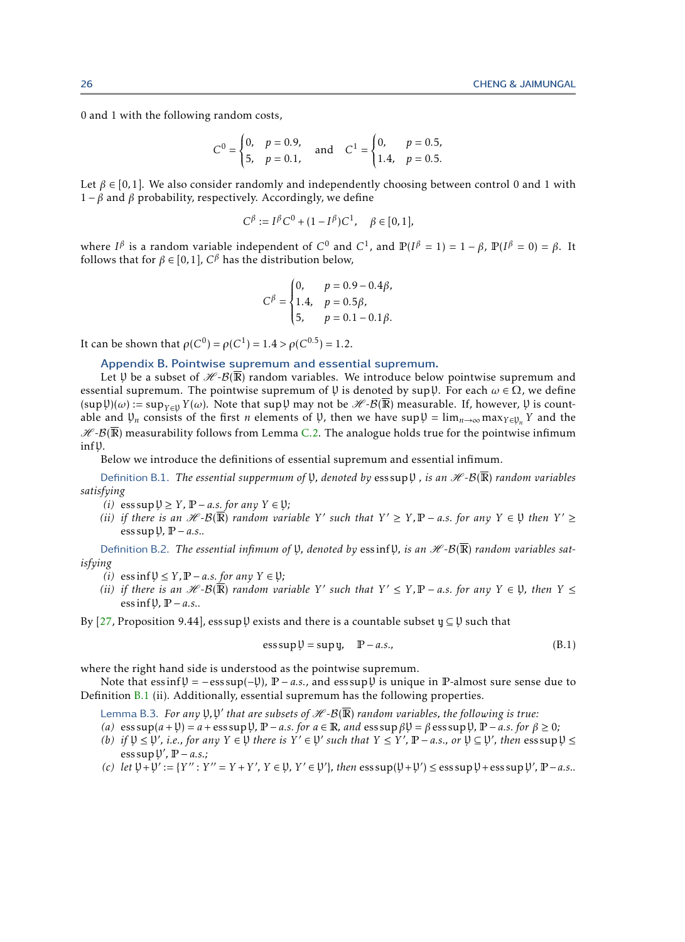0 and 1 with the following random costs,

$$
C^{0} = \begin{cases} 0, & p = 0.9, \\ 5, & p = 0.1, \end{cases} \text{ and } C^{1} = \begin{cases} 0, & p = 0.5, \\ 1.4, & p = 0.5. \end{cases}
$$

Let  $\beta \in [0,1]$ . We also consider randomly and independently choosing between control 0 and 1 with 1 – β and β probability, respectively. Accordingly, we define

$$
C^{\beta} := I^{\beta} C^0 + (1 - I^{\beta}) C^1, \quad \beta \in [0, 1],
$$

where *I*<sup>β</sup> is a random variable independent of  $C^0$  and  $C^1$ , and  $\mathbb{P}(I^β = 1) = 1 - β$ ,  $\mathbb{P}(I^β = 0) = β$ . It follows that for  $\beta \in [0,1]$ ,  $C^{\beta}$  has the distribution below,

<span id="page-25-2"></span>
$$
C^{\beta} = \begin{cases} 0, & p = 0.9 - 0.4\beta, \\ 1.4, & p = 0.5\beta, \\ 5, & p = 0.1 - 0.1\beta. \end{cases}
$$

<span id="page-25-0"></span>It can be shown that  $ρ(C^0) = ρ(C^1) = 1.4 > ρ(C^{0.5}) = 1.2$ .

### Appendix B. Pointwise supremum and essential supremum.

Let  $\mathfrak U$  be a subset of  $\mathscr H\text{-}\mathcal B(\overline{\mathbb R})$  random variables. We introduce below pointwise supremum and essential supremum. The pointwise supremum of  $\psi$  is denoted by sup $\psi$ . For each  $\omega \in \Omega$ , we define  $(\sup \psi)(\omega) := \sup_{Y \in \mathcal{Y}} Y(\omega)$ . Note that  $\sup \psi$  may not be  $\mathscr{H}\text{-}\mathcal{B}(\overline{\mathbb{R}})$  measurable. If, however,  $\psi$  is countable and  $\psi_n$  consists of the first *n* elements of  $\psi$ , then we have sup  $\psi = \lim_{n \to \infty} \max_{Y \in \psi_n} Y$  and the  $H - B(\overline{\mathbb{R}})$  measurability follows from Lemma [C.2.](#page-26-3) The analogue holds true for the pointwise infimum inf<sub>U</sub>.

Below we introduce the definitions of essential supremum and essential infimum.

Definition B.1. *The essential suppermum of V, denoted by ess sup V, is an*  $\mathscr{H}\text{-}B(\overline{\mathbb{R}})$  *<i>random variables satisfying*

- *(i)* ess sup  $\mathcal{Y} \geq Y$ , **P** − *a.s. for any*  $Y \in \mathcal{Y}$ *;*
- $(iii)$  if there is an  $H B(\overline{\mathbb{R}})$  random variable Y' such that  $Y' \geq Y$ ,  $\mathbb{P} a.s$ . for any  $Y \in \mathfrak{Y}$  then  $Y' \geq 0$ ess supY*,* P − *a.s..*

<span id="page-25-4"></span>Definition B.2. *The essential infimum of*  $\mathfrak{Y}$ , *denoted by* essinf  $\mathfrak{Y}$ , *is an*  $\mathcal{H}$ - $\mathcal{B}(\overline{\mathbb{R}})$  *random variables satisfying*

- *(i)* essinf  $\mathcal{Y} \leq Y$ ,  $\mathbb{P} a.s.$  *for any*  $Y \in \mathcal{Y}$ *;*
- *(ii)* if there is an  $H B(\overline{\mathbb{R}})$  random variable Y' such that  $Y' \leq Y, \mathbb{P} a.s.$  for any  $Y \in \mathfrak{Y}$ , then  $Y \leq Y$ ess infY*,* P − *a.s..*

By [\[27,](#page-24-19) Proposition 9.44], ess sup  $\mathfrak b$  exists and there is a countable subset  $\mathfrak y \subseteq \mathfrak V$  such that

<span id="page-25-3"></span><span id="page-25-1"></span>
$$
ess \sup \mathfrak{Y} = \sup \mathfrak{y}, \quad \mathbb{P} - a.s., \tag{B.1}
$$

where the right hand side is understood as the pointwise supremum.

Note that  $\text{ess}\inf \mathfrak{Y} = -\text{ess}\sup(-\mathfrak{Y})$ ,  $\mathbb{P} - a.s.$ , and  $\text{ess}\sup \mathfrak{Y}$  is unique in  $\mathbb{P}$ -almost sure sense due to Definition [B.1](#page-25-2) (ii). Additionally, essential supremum has the following properties.

Lemma B.3. *For any*  $\frak{Y},\frak{Y}'$  *that are subsets of*  $\mathscr{H}\text{-}\mathcal{B}(\overline{\mathbb{R}})$  *random variables, the following is true:* 

- $(a)$  ess sup $(a + \mathcal{Y}) = a + \cos \sup \mathcal{Y}$ ,  $\mathbb{P} a.s.$  *for*  $a \in \mathbb{R}$ , and ess sup  $\beta \mathcal{Y} = \beta \operatorname{ess} \sup \mathcal{Y}$ ,  $\mathbb{P} a.s.$  *for*  $\beta \ge 0$ ;
- $(b)$  *if*  $\mathcal{Y} \leq \mathcal{Y}'$ , *i.e., for any*  $Y \in \mathcal{Y}$  *there is*  $Y' \in \mathcal{Y}'$  *such that*  $Y \leq Y'$ ,  $\mathbb{P} a.s.$ *, or*  $\mathcal{Y} \subseteq \mathcal{Y}'$ *, then* ess sup  $\mathcal{Y} \leq$  $\cos \sup \psi', \mathbb{P} - a.s.$
- (*c*) *let*  $\psi$  +  $\psi' := {Y'' : Y'' = Y + Y', Y \in \psi, Y' \in \psi'}$ , *then* ess sup( $\psi$  +  $\psi'$ ) ≤ ess sup  $\psi$  + ess sup  $\psi'$ , **P**−*a.s..*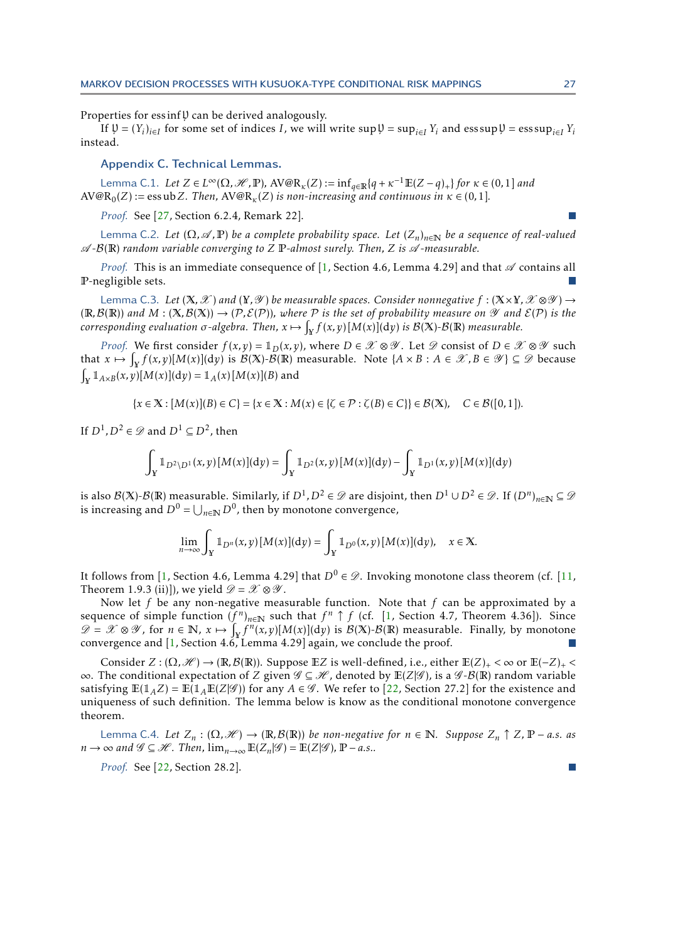Properties for essinf $\psi$  can be derived analogously.

<span id="page-26-0"></span>If  $\mathfrak{P} = (Y_i)_{i \in I}$  for some set of indices *I*, we will write sup  $\mathfrak{P} = \sup_{i \in I} Y_i$  and ess sup  $\mathfrak{P} = \text{ess} \sup_{i \in I} Y_i$ instead.

## Appendix C. Technical Lemmas.

<span id="page-26-1"></span> $\text{Lemma C.1.}$  *Let*  $Z \in L^{\infty}(\Omega, \mathscr{H}, \mathbb{P})$ ,  $\text{AV@R}_\kappa(Z) := \inf_{q \in \mathbb{R}} \{q + \kappa^{-1}\mathbb{E}(Z - q)_+\}$  for  $\kappa \in (0, 1]$  and  $AV@R_0(Z) := \text{essub } Z$ *. Then,*  $AV@R_k(Z)$  *is non-increasing and continuous in*  $\kappa \in (0,1]$ *.* 

*Proof.* See [\[27,](#page-24-19) Section 6.2.4, Remark 22].

<span id="page-26-3"></span>Lemma C.2. *Let*  $(\Omega, \mathcal{A}, \mathbb{P})$  *be a complete probability space. Let*  $(Z_n)_{n \in \mathbb{N}}$  *be a sequence of real-valued* A *-*B(R) *random variable converging to Z* P*-almost surely. Then, Z is* A *-measurable.*

*Proof.* This is an immediate consequence of [\[1,](#page-23-3) Section 4.6, Lemma 4.29] and that  $\mathscr A$  contains all P-negligible sets.

<span id="page-26-2"></span>Lemma C.3. Let  $(X, \mathscr{X})$  and  $(Y, \mathscr{Y})$  be measurable spaces. Consider nonnegative  $f : (X \times Y, \mathscr{X} \otimes \mathscr{Y}) \rightarrow$  $(\mathbb{R}, \mathcal{B}(\mathbb{R}))$  and  $M : (\mathbb{X}, \mathcal{B}(\mathbb{X})) \to (\mathcal{P}, \mathcal{E}(\mathcal{P}))$ , where  $\mathcal P$  is the set of probability measure on  $\mathcal Y$  and  $\mathcal E(\mathcal{P})$  is the  $\phi$  *corresponding evaluation*  $\sigma$ *-algebra. Then,*  $x \mapsto \int_Y f(x,y) [M(x)](\mathrm{d}y)$  *<i>is B*(X)-*B*(IR) *measurable.* 

*Proof.* We first consider  $f(x, y) = 1_D(x, y)$ , where  $D \in \mathcal{X} \otimes \mathcal{Y}$ . Let  $\mathcal{D}$  consist of  $D \in \mathcal{X} \otimes \mathcal{Y}$  such that  $x \mapsto \int_X f(x, y)[M(x)](\mathrm{d}y)$  is  $\mathcal{B}(\mathbb{X})$ - $\mathcal{B}(\mathbb{R})$  measurable. Note  $\{A \times B : A \in \mathscr{X}, B \in \mathscr{Y}\}\subseteq \mathscr{D}$  because  $\int_X \mathbb{1}_{A \times B}(x, y)[M(x)](\mathrm{d}y) = \mathbb{1}_A(x)[M(x)](B)$  and

 ${x \in X : [M(x)](B) \in C} = {x \in X : M(x) \in {\{ \zeta \in P : \zeta(B) \in C \} } \in B(X), \quad C \in B([0,1]).}$ 

If  $D^1, D^2 \in \mathscr{D}$  and  $D^1 \subseteq D^2$ , then

$$
\int_{Y} \mathbb{1}_{D^{2} \setminus D^{1}}(x, y)[M(x)](dy) = \int_{Y} \mathbb{1}_{D^{2}}(x, y)[M(x)](dy) - \int_{Y} \mathbb{1}_{D^{1}}(x, y)[M(x)](dy)
$$

is also  $\mathcal{B}(X)$ - $\mathcal{B}(R)$  measurable. Similarly, if  $D^1$ ,  $D^2 \in \mathscr{D}$  are disjoint, then  $D^1 \cup D^2 \in \mathscr{D}$ . If  $(D^n)_{n \in \mathbb{N}} \subseteq \mathscr{D}$ is increasing and  $D^0 = \bigcup_{n \in \mathbb{N}} D^0$ , then by monotone convergence,

$$
\lim_{n\to\infty}\int_Y \mathbb{1}_{D^n}(x,y)[M(x)](\mathrm{d}y)=\int_Y \mathbb{1}_{D^0}(x,y)[M(x)](\mathrm{d}y),\quad x\in\mathbb{X}.
$$

It follows from [\[1,](#page-23-3) Section 4.6, Lemma 4.29] that  $D^0 \in \mathcal{D}$ . Invoking monotone class theorem (cf. [\[11,](#page-24-23) Theorem 1.9.3 (ii)]), we yield  $\mathscr{D} = \mathscr{X} \otimes \mathscr{Y}$ .

Now let *f* be any non-negative measurable function. Note that *f* can be approximated by a sequence of simple function  $(f^n)_{n\in\mathbb{N}}$  such that  $f^n \uparrow f$  (cf. [\[1,](#page-23-3) Section 4.7, Theorem 4.36]). Since  $\mathscr{D} = \mathscr{X} \otimes \mathscr{Y}$ , for  $n \in \mathbb{N}$ ,  $x \mapsto \int_{\mathbb{Y}} f^n(x, y)[M(x)](\mathrm{d}y)$  is  $\mathscr{B}(\mathbb{X})$ - $\mathscr{B}(\mathbb{R})$  measurable. Finally, by monotone convergence and  $[1, Section 4.6, Lemma 4.29]$  $[1, Section 4.6, Lemma 4.29]$  again, we conclude the proof.

Consider  $Z : (\Omega, \mathcal{H}) \to (\mathbb{R}, \mathcal{B}(\mathbb{R}))$ . Suppose  $\mathbb{E}Z$  is well-defined, i.e., either  $\mathbb{E}(Z)_+ < \infty$  or  $\mathbb{E}(-Z)_+ < \infty$ ∞. The conditional expectation of *Z* given  $\mathscr{G} \subseteq \mathscr{H}$ , denoted by  $\mathbb{E}(Z|\mathscr{G})$ , is a  $\mathscr{G}$ - $\mathscr{B}(\mathbb{R})$  random variable satisfying  $\mathbb{E}(1_A Z) = \mathbb{E}(1_A \mathbb{E}(Z|\mathscr{G}))$  for any  $A \in \mathscr{G}$ . We refer to [\[22,](#page-24-24) Section 27.2] for the existence and uniqueness of such definition. The lemma below is know as the conditional monotone convergence theorem.

<span id="page-26-5"></span>*Lemma C.4. Let*  $Z_n$  :  $(\Omega, \mathcal{H})$  →  $(\mathbb{R}, \mathcal{B}(\mathbb{R}))$  *be non-negative for*  $n \in \mathbb{N}$ *. Suppose*  $Z_n \uparrow Z$ *,*  $\mathbb{P}$  - *a.s. as*  $n \to \infty$  and  $\mathscr{G} \subseteq \mathscr{H}$ . Then,  $\lim_{n \to \infty} \mathbb{E}(Z_n|\mathscr{G}) = \mathbb{E}(Z|\mathscr{G})$ ,  $\mathbb{P} - a.s..$ 

<span id="page-26-4"></span>*Proof.* See [\[22,](#page-24-24) Section 28.2].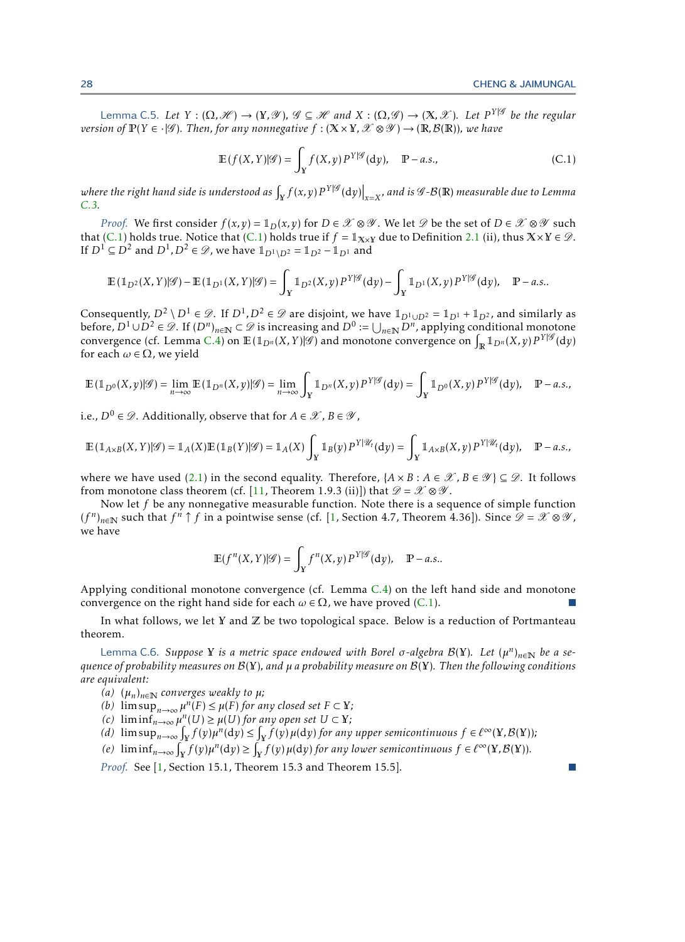$\sim$ 

Lemma C.5. Let  $Y: (\Omega, \mathscr{H}) \to (Y, \mathscr{Y}), \mathscr{G} \subseteq \mathscr{H}$  and  $X: (\Omega, \mathscr{G}) \to (X, \mathscr{X})$ . Let  $P^{Y|\mathscr{G}}$  be the regular *version of*  $\mathbb{P}(Y \in \cdot | \mathscr{G})$ *. Then, for any nonnegative*  $f : (\mathbb{X} \times \mathbb{Y}, \mathscr{X} \otimes \mathscr{Y}) \to (\mathbb{R}, \mathcal{B}(\mathbb{R}))$ *, we have* 

<span id="page-27-0"></span>
$$
\mathbb{E}(f(X,Y)|\mathscr{G}) = \int_{Y} f(X,y) P^{Y|\mathscr{G}}(dy), \quad \mathbb{P}-a.s.,
$$
\n(C.1)

where the right hand side is understood as  $\int_Y f(x,y) P^{Y|\mathscr{G}}(\textup{d} y)\big|_{x=X}$ , and is  $\mathscr{G}\text{-}\mathcal{B}(\mathbb{R})$  measurable due to Lemma<br>C  $^2$ *[C.3.](#page-26-2)*

*Proof.* We first consider  $f(x, y) = 1_D(x, y)$  for  $D \in \mathcal{X} \otimes \mathcal{Y}$ . We let  $\mathcal{D}$  be the set of  $D \in \mathcal{X} \otimes \mathcal{Y}$  such that [\(C.1\)](#page-27-0) holds true. Notice that (C.1) holds true if  $f = \mathbb{1}_{X\times Y}$  due to Definition [2.1](#page-4-0) (ii), thus  $X\times Y \in \mathcal{D}$ . If  $D^1 \subseteq D^2$  and  $D^1, D^2 \in \mathscr{D}$ , we have  $\mathbb{1}_{D^1 \setminus D^2} = \mathbb{1}_{D^2} - \mathbb{1}_{D^1}$  and

$$
\mathbb{E}(\mathbb{1}_{D^2}(X,Y)|\mathscr{G}) - \mathbb{E}(\mathbb{1}_{D^1}(X,Y)|\mathscr{G}) = \int_Y \mathbb{1}_{D^2}(X,y) P^{Y|\mathscr{G}}(\mathrm{d}y) - \int_Y \mathbb{1}_{D^1}(X,y) P^{Y|\mathscr{G}}(\mathrm{d}y), \quad P-a.s..
$$

Consequently,  $D^2 \setminus D^1 \in \mathcal{D}$ . If  $D^1, D^2 \in \mathcal{D}$  are disjoint, we have  $\mathbb{1}_{D^1 \cup D^2} = \mathbb{1}_{D^1} + \mathbb{1}_{D^2}$ , and similarly as before,  $D^1 \cup D^2 \in \mathscr{D}$ . If  $(D^n)_{n \in \mathbb{N}} \subset \mathscr{D}$  is increasing and  $D^0 := \bigcup_{n \in \mathbb{N}} D^n$ , applying conditional monotone convergence (cf. Lemma [C.4\)](#page-26-5) on  $\mathbb{E}(\mathbb{1}_{D^n}(X,Y)|\mathscr{G})$  and monotone convergence on  $\int_{\mathbb{R}} \mathbb{1}_{D^n}(X,y) P^{Y|\mathscr{G}}(\mathrm{d}y)$ for each  $\omega \in \Omega$ , we yield

$$
\mathbb{E}(\mathbb{1}_{D^0}(X,y)|\mathscr{G})=\lim_{n\to\infty}\mathbb{E}(\mathbb{1}_{D^n}(X,y)|\mathscr{G})=\lim_{n\to\infty}\int_Y\mathbb{1}_{D^n}(X,y)P^{Y|\mathscr{G}}(\mathrm{d}y)=\int_Y\mathbb{1}_{D^0}(X,y)P^{Y|\mathscr{G}}(\mathrm{d}y),\quad P-a.s.,
$$

i.e.,  $D^0 \in \mathcal{D}$ . Additionally, observe that for  $A \in \mathcal{X}$ ,  $B \in \mathcal{Y}$ ,

$$
\mathbb{E}(\mathbb{1}_{A\times B}(X,Y)|\mathscr{G})=\mathbb{1}_A(X)\mathbb{E}(\mathbb{1}_B(Y)|\mathscr{G})=\mathbb{1}_A(X)\int_Y\mathbb{1}_B(y)P^{Y|\mathscr{U}_t}(\mathrm{d}y)=\int_Y\mathbb{1}_{A\times B}(X,y)P^{Y|\mathscr{U}_t}(\mathrm{d}y),\quad P-a.s.,
$$

where we have used [\(2.1\)](#page-4-3) in the second equality. Therefore,  $\{A \times B : A \in \mathcal{X}, B \in \mathcal{Y}\}\subseteq \mathcal{D}$ . It follows from monotone class theorem (cf. [\[11,](#page-24-23) Theorem 1.9.3 (ii)]) that  $\mathscr{D} = \mathscr{X} \otimes \mathscr{Y}$ .

Now let *f* be any nonnegative measurable function. Note there is a sequence of simple function  $(f^n)_{n\in\mathbb{N}}$  such that  $f^n\uparrow f$  in a pointwise sense (cf. [\[1,](#page-23-3) Section 4.7, Theorem 4.36]). Since  $\mathscr{D}=\mathscr{X}\otimes\mathscr{Y}$ , we have

$$
\mathbb{E}(f^n(X,Y)|\mathscr{G}) = \int_Y f^n(X,y) P^{Y|\mathscr{G}}(dy), \quad P-a.s..
$$

Applying conditional monotone convergence (cf. Lemma [C.4\)](#page-26-5) on the left hand side and monotone convergence on the right hand side for each  $\omega \in \Omega$ , we have proved [\(C.1\)](#page-27-0).

<span id="page-27-1"></span>In what follows, we let Y and  $\mathbb Z$  be two topological space. Below is a reduction of Portmanteau theorem.

Lemma C.6. *Suppose* Y *is a metric space endowed with Borel σ-algebra* B(Y)*. Let* (*µ n* )*n*∈<sup>N</sup> *be a sequence of probability measures on* B(Y)*, and µ a probability measure on* B(Y)*. Then the following conditions are equivalent:*

 $(\alpha)$   $(\mu_n)_{n \in \mathbb{N}}$  *converges weakly to*  $\mu$ ;

*(b)*  $\limsup_{n\to\infty} \mu^n(F) \leq \mu(F)$  *for any closed set*  $F \subset Y$ *;* 

 $\mu^n$  (*C*) lim inf<sub>n→∞</sub>  $\mu^n$  (*U*)  $\geq \mu$  (*U*) *for any open set U* ⊂ Y*;* 

- $f(x)$  lim sup<sub>n→∞</sub>  $\int_Y f(y) \mu^n(dy) \leq \int_Y f(y) \mu(dy)$  for any upper semicontinuous  $f \in \ell^{\infty}(Y, \mathcal{B}(Y))$ ;
- $f(e)$  lim  $\inf_{n\to\infty} \int_{\mathbf{Y}}^n f(y) \mu^n(\mathrm{d}y) \geq \int_{\mathbf{Y}}^n f(y) \mu(\mathrm{d}y)$  *for any lower semicontinuous*  $f \in \ell^{\infty}(\mathbf{Y}, \mathcal{B}(\mathbf{Y}))$ .

*Proof.* See [\[1,](#page-23-3) Section 15.1, Theorem 15.3 and Theorem 15.5].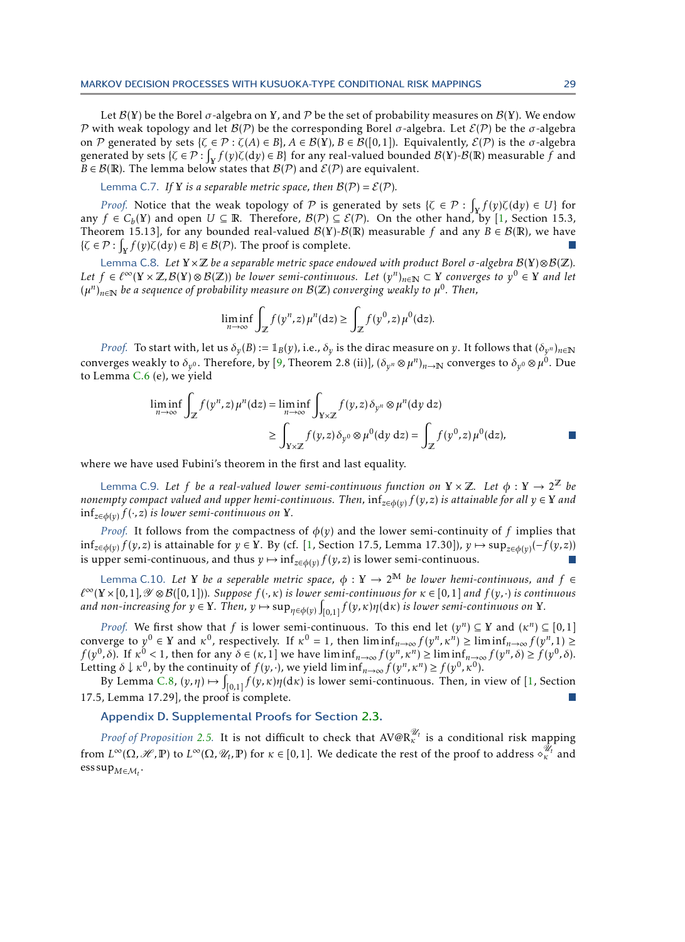Let  $\mathcal{B}(Y)$  be the Borel  $\sigma$ -algebra on Y, and P be the set of probability measures on  $\mathcal{B}(Y)$ . We endow P with weak topology and let  $B(\mathcal{P})$  be the corresponding Borel  $\sigma$ -algebra. Let  $\mathcal{E}(\mathcal{P})$  be the  $\sigma$ -algebra on P generated by sets  $\{\zeta \in \mathcal{P} : \zeta(A) \in B\}$ ,  $A \in \mathcal{B}(Y)$ ,  $B \in \mathcal{B}([0,1])$ . Equivalently,  $\mathcal{E}(\mathcal{P})$  is the  $\sigma$ -algebra generated by sets  $\{\zeta \in \mathcal{P} : \int_Y f(y)\zeta(dy) \in B\}$  for any real-valued bounded  $\mathcal{B}(Y)$ - $\mathcal{B}(R)$  measurable  $\tilde{f}$  and *B*  $\in$  *B*(**R**). The lemma below states that *B*(*P*) and *E*(*P*) are equivalent.

Lemma C.7. If Y *is a separable metric space, then*  $B(P) = E(P)$ *.* 

*Proof.* Notice that the weak topology of  $P$  is generated by sets { $\zeta \in P : \int_Y f(y) \zeta(dy) \in U$ } for any  $f \in C_b(Y)$  and open  $U \subseteq \mathbb{R}$ . Therefore,  $\mathcal{B}(\mathcal{P}) \subseteq \mathcal{E}(\mathcal{P})$ . On the other hand, by [\[1,](#page-23-3) Section 15.3, Theorem 15.13], for any bounded real-valued  $\mathcal{B}(Y)$ - $\mathcal{B}(R)$  measurable f and any  $B \in \mathcal{B}(R)$ , we have  $\{\zeta \in \mathcal{P} : \int_{X} f(y) \zeta(dy) \in B\} \in \mathcal{B}(\mathcal{P})$ . The proof is complete.

<span id="page-28-2"></span>Lemma C.8. *Let* Y ×Z *be a separable metric space endowed with product Borel σ-algebra* B(Y)⊗B(Z)*. Let*  $f \in \ell^\infty(Y \times \mathbb{Z}, \mathcal{B}(Y) \otimes \mathcal{B}(Z))$  *be lower semi-continuous. Let*  $(y^n)_{n \in \mathbb{N}}$  ⊂ Y *converges to*  $y^0 \in Y$  *and let* (*µ n* )*n*∈<sup>N</sup> *be a sequence of probability measure on* B(Z) *converging weakly to µ* 0 *. Then,*

<span id="page-28-1"></span>
$$
\liminf_{n \to \infty} \int_{\mathbb{Z}} f(y^n, z) \mu^n(\mathrm{d}z) \ge \int_{\mathbb{Z}} f(y^0, z) \mu^0(\mathrm{d}z).
$$

*Proof.* To start with, let us  $\delta_y(B) := 1_B(y)$ , i.e.,  $\delta_y$  is the dirac measure on *y*. It follows that  $(\delta_{y^n})_{n\in\mathbb{N}}$ converges weakly to  $\delta_{y^0}$ . Therefore, by [\[9,](#page-24-25) Theorem 2.8 (ii)],  $(\delta_{y^n}\otimes\mu^n)_{n\to\mathbb N}$  converges to  $\delta_{y^0}\otimes\mu^0$ . Due to Lemma [C.6](#page-27-1) (e), we yield

$$
\liminf_{n \to \infty} \int_{\mathbb{Z}} f(y^n, z) \mu^n(\mathrm{d}z) = \liminf_{n \to \infty} \int_{\mathbb{Y} \times \mathbb{Z}} f(y, z) \delta_{y^n} \otimes \mu^n(\mathrm{d}y \, \mathrm{d}z) \geq \int_{\mathbb{Y} \times \mathbb{Z}} f(y, z) \delta_{y^0} \otimes \mu^0(\mathrm{d}y \, \mathrm{d}z) = \int_{\mathbb{Z}} f(y^0, z) \mu^0(\mathrm{d}z),
$$

where we have used Fubini's theorem in the first and last equality.

<span id="page-28-3"></span>Lemma C.9. Let f be a real-valued lower semi-continuous function on  $Y \times \mathbb{Z}$ . Let  $\phi: Y \to 2^{\mathbb{Z}}$  be *nonempty compact valued and upper hemi-continuous. Then,* inf*z*∈*φ*(*y*) *f* (*y, z*) *is attainable for all y* ∈ Y *and* inf*z*∈*φ*(*y*) *f* (·*, z*) *is lower semi-continuous on* Y*.*

*Proof.* It follows from the compactness of  $\phi(y)$  and the lower semi-continuity of f implies that inf*z*∈*φ*(*y*) *<sup>f</sup>* (*y, z*) is attainable for *<sup>y</sup>* <sup>∈</sup> <sup>Y</sup>. By (cf. [\[1,](#page-23-3) Section 17.5, Lemma 17.30]), *<sup>y</sup>* 7→ sup*z*∈*φ*(*y*) (−*f* (*y, z*)) is upper semi-continuous, and thus  $y \mapsto \inf_{z \in \phi(y)} f(y, z)$  is lower semi-continuous.

<span id="page-28-4"></span>Lemma C.10. Let Y be a seperable metric space,  $\phi : Y \to 2^M$  be lower hemi-continuous, and  $f \in$ *`* <sup>∞</sup>(Y ×[0*,*1]*,*Y ⊗ B([0*,*1]))*. Suppose f* (·*,κ*) *is lower semi-continuous for κ* ∈ [0*,*1] *and f* (*y,*·) *is continuous* and non-increasing for  $y \in Y$ . Then,  $y \mapsto \sup_{\eta \in \phi(y)} \int_{[0,1]} f(y,\kappa) \eta(\mathrm{d}\kappa)$  is lower semi-continuous on  $Y$ .

*Proof.* We first show that *f* is lower semi-continuous. To this end let  $(y^n) \subseteq Y$  and  $(\kappa^n) \subseteq [0,1]$ converge to  $y^0 \in Y$  and  $\kappa^0$ , respectively. If  $\kappa^0 = 1$ , then  $\liminf_{n \to \infty} f(y^n, \kappa^n) \ge \liminf_{n \to \infty} f(y^n, 1) \ge$  $f(y^0, \delta)$ . If  $\kappa^0 < 1$ , then for any  $\delta \in (\kappa, 1]$  we have  $\liminf_{n \to \infty} f(y^n, \kappa^n) \ge \liminf_{n \to \infty} f(y^n, \delta) \ge f(y^0, \delta)$ . Letting  $\delta \downarrow \kappa^0$ , by the continuity of  $f(y, \cdot)$ , we yield  $\liminf_{n\to\infty} f(y^n, \kappa^n) \ge f(y^0, \kappa^0)$ .

By Lemma [C.8,](#page-28-2)  $(y, \eta) \mapsto \int_{[0,1]} f(y, \kappa) \eta(d\kappa)$  is lower semi-continuous. Then, in view of [\[1,](#page-23-3) Section 17.5, Lemma 17.29], the proof is complete.

## <span id="page-28-0"></span>Appendix D. Supplemental Proofs for Section [2.3.](#page-5-0)

*Proof of Proposition [2.5.](#page-7-1)* It is not difficult to check that  $A V@R^{\mathscr{U}_t}_\kappa$  is a conditional risk mapping  $\mathcal{L}^{\infty}(\Omega,\mathscr{H},\mathbb{P})$  to  $L^{\infty}(\Omega,\mathscr{U}_t,\mathbb{P})$  for  $\kappa\in[0,1].$  We dedicate the rest of the proof to address  $\diamond_{\kappa}^{\mathscr{U}_t}$  and  $\mathrm{ess\,sup}_{M\in\mathcal{M}_t}.$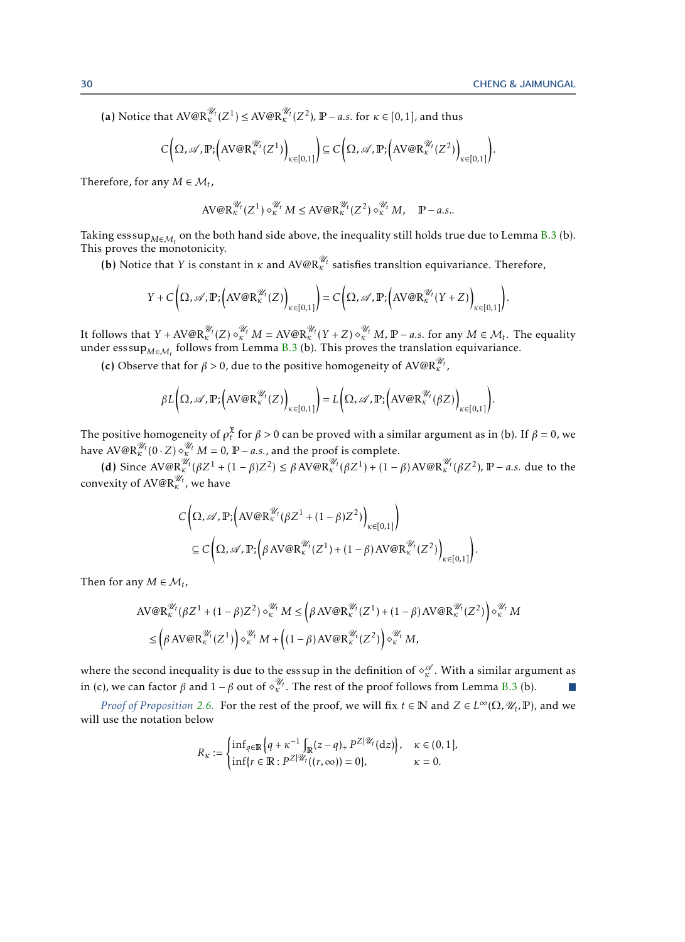*.*

(a) Notice that  $AV@R_{\kappa}^{\mathcal{U}_{t}}(Z^1) \leq AV@R_{\kappa}^{\mathcal{U}_{t}}(Z^2)$ ,  $\mathbb{P}-a.s.$  for  $\kappa \in [0,1]$ , and thus

$$
C\bigg(\Omega,\mathscr{A},\mathbb{P};\bigg(\mathrm{AV@R}^{\mathscr{U}_t}_{\kappa}(Z^1)\bigg)_{\kappa\in[0,1]}\bigg)\subseteq C\bigg(\Omega,\mathscr{A},\mathbb{P};\bigg(\mathrm{AV@R}^{\mathscr{U}_t}_{\kappa}(Z^2)\bigg)_{\kappa\in[0,1]}\bigg).
$$

Therefore, for any  $M \in \mathcal{M}_t$ ,

$$
\text{AV@R}^{\mathscr{U}_t}_{\kappa}(Z^1) \diamond_{\kappa}^{\mathscr{U}_t} M \le \text{AV@R}^{\mathscr{U}_t}_{\kappa}(Z^2) \diamond_{\kappa}^{\mathscr{U}_t} M, \quad \mathbb{P}-a.s..
$$

Taking ess sup<sub>M∈Mt</sub> on the both hand side above, the inequality still holds true due to Lemma [B.3](#page-25-3) (b).<br>™ This proves the monotonicity.

**(b)** Notice that *Y* is constant in *κ* and  $A V @R^{\mathcal{U}_t}_k$  satisfies transltion equivariance. Therefore,

$$
Y + C\left(\Omega, \mathscr{A}, \mathbb{P}; \left(\mathrm{AV@R}^{\mathscr{U}_t}_\kappa(Z)\right)_{\kappa \in [0,1]}\right) = C\left(\Omega, \mathscr{A}, \mathbb{P}; \left(\mathrm{AV@R}^{\mathscr{U}_t}_\kappa(Y+Z)\right)_{\kappa \in [0,1]}\right)
$$

It follows that  $Y + AV@R_{\kappa}^{\mathscr{U}_t}(Z) \diamond_{\kappa}^{\mathscr{U}_t} M = AV@R_{\kappa}^{\mathscr{U}_t}(Y+Z) \diamond_{\kappa}^{\mathscr{U}_t} M, \mathbb{P}-a.s.$  for any  $M \in \mathcal{M}_t$ . The equality under  $\operatorname{esssup}_{M \in M_t}$  follows from Lemma [B.3](#page-25-3) (b). This proves the translation equivariance.

(c) Observe that for  $\beta > 0$ , due to the positive homogeneity of AV@R<sup> $\mathcal{U}_t$ </sup>,

$$
\beta L\bigg(\Omega,\mathscr{A},\mathbb{P};\Big(\mathrm{AV@R}^{\mathscr{U}_t}_{\kappa}(Z)\Big)_{\kappa\in[0,1]}\bigg)=L\bigg(\Omega,\mathscr{A},\mathbb{P};\Big(\mathrm{AV@R}^{\mathscr{U}_t}_{\kappa}(\beta Z)\Big)_{\kappa\in[0,1]}\bigg).
$$

The positive homogeneity of  $\rho_t^{\mathfrak{X}}$  for  $\beta > 0$  can be proved with a similar argument as in (b). If  $\beta = 0$ , we *the positive noniogeneity of*  $p_t$  *for*  $p > 0$  can be proved with a sm<br>have  $A V \mathbb{Q} R_k^{\mathcal{U}_t} (0 \cdot Z) \diamond_k^{\mathcal{U}_t} M = 0$ ,  $P - a.s.,$  and the proof is complete.

(d) Since  $AV@R_{\kappa}^{\mathcal{U}_{t}}(\beta Z^{1} + (1 - \beta)Z^{2}) \leq \beta AV@R_{\kappa}^{\mathcal{U}_{t}}(\beta Z^{1}) + (1 - \beta)AV@R_{\kappa}^{\mathcal{U}_{t}}(\beta Z^{2}), \mathbb{P}-a.s.$  due to the convexity of AV@R<sup> $\mathcal{U}_t$ </sup>, we have

$$
C\left(\Omega, \mathscr{A}, \mathbb{P}; \left(\text{AV@R}^{\mathscr{U}_{t}}_{\kappa}(\beta Z^{1} + (1 - \beta)Z^{2})\right)_{\kappa \in [0, 1]}\right)
$$
  
\n
$$
\subseteq C\left(\Omega, \mathscr{A}, \mathbb{P}; \left(\beta \text{AV@R}^{\mathscr{U}_{t}}_{\kappa}(Z^{1}) + (1 - \beta) \text{AV@R}^{\mathscr{U}_{t}}_{\kappa}(Z^{2})\right)_{\kappa \in [0, 1]}\right).
$$

Then for any  $M \in \mathcal{M}_t$ ,

$$
AV@R_{\kappa}^{\mathscr{U}_{t}}(\beta Z^{1} + (1 - \beta)Z^{2}) \diamond_{\kappa}^{\mathscr{U}_{t}} M \leq \left(\beta \, AV@R_{\kappa}^{\mathscr{U}_{t}}(Z^{1}) + (1 - \beta) \, AV@R_{\kappa}^{\mathscr{U}_{t}}(Z^{2})\right) \diamond_{\kappa}^{\mathscr{U}_{t}} M \leq \left(\beta \, AV@R_{\kappa}^{\mathscr{U}_{t}}(Z^{1})\right) \diamond_{\kappa}^{\mathscr{U}_{t}} M + \left((1 - \beta) \, AV@R_{\kappa}^{\mathscr{U}_{t}}(Z^{2})\right) \diamond_{\kappa}^{\mathscr{U}_{t}} M,
$$

where the second inequality is due to the ess sup in the definition of  $\diamond^{\mathscr{A}}_\kappa.$  With a similar argument as where the second mequality is due to the esssup in the definition of  $\alpha_{\kappa}$  . With a similar argu<br>in (c), we can factor *β* and 1 – *β* out of  $\alpha_{\kappa}^{\mathscr{U}_t}$ . The rest of the proof follows from Lemma [B.3](#page-25-3) (b).

*Proof of Proposition* [2.6.](#page-7-0) For the rest of the proof, we will fix  $t \in \mathbb{N}$  and  $Z \in L^{\infty}(\Omega, \mathcal{U}_t, \mathbb{P})$ , and we will use the notation below

$$
R_{\kappa} := \begin{cases} \inf_{q \in \mathbb{R}} \left\{ q + \kappa^{-1} \int_{\mathbb{R}} (z - q)_+ P^{Z|\mathcal{U}_t}(\mathrm{d}z) \right\}, & \kappa \in (0, 1], \\ \inf \{ r \in \mathbb{R} : P^{Z|\mathcal{U}_t}((r, \infty)) = 0 \}, & \kappa = 0. \end{cases}
$$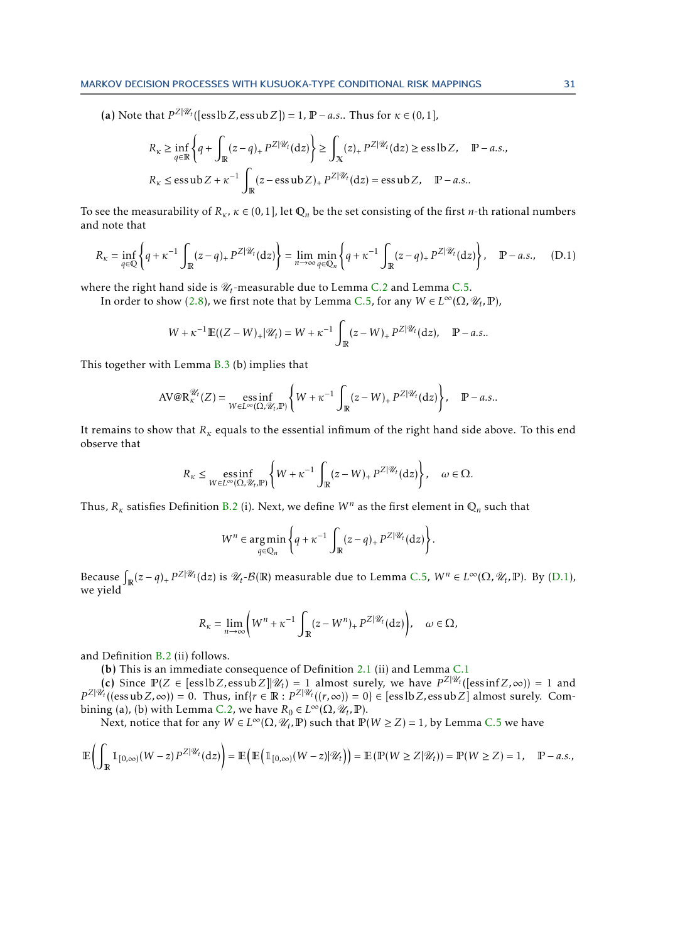(a) Note that  $P^{Z|\mathscr{U}_t}$  ([ess lb *Z*, ess ub *Z*]) = 1,  $\mathbb{P}$  – *a.s.*. Thus for  $\kappa \in (0,1]$ ,

$$
R_{\kappa} \ge \inf_{q \in \mathbb{R}} \left\{ q + \int_{\mathbb{R}} (z - q)_{+} P^{Z|\mathcal{U}_{t}}(\mathrm{d}z) \right\} \ge \int_{\mathbb{X}} (z)_{+} P^{Z|\mathcal{U}_{t}}(\mathrm{d}z) \ge \text{ess} \, \text{lb } Z, \quad \mathbb{P}-a.s.,
$$
  

$$
R_{\kappa} \le \text{ess} \, \text{ub } Z + \kappa^{-1} \int_{\mathbb{R}} (z - \text{ess} \, \text{ub } Z)_{+} P^{Z|\mathcal{U}_{t}}(\mathrm{d}z) = \text{ess} \, \text{ub } Z, \quad \mathbb{P}-a.s..
$$

To see the measurability of  $R_k$ ,  $\kappa \in (0,1]$ , let  $\mathbb{Q}_n$  be the set consisting of the first *n*-th rational numbers and note that

$$
R_{\kappa} = \inf_{q \in \mathbb{Q}} \left\{ q + \kappa^{-1} \int_{\mathbb{R}} (z - q)_{+} P^{Z|\mathscr{U}_{t}}(\mathrm{d}z) \right\} = \lim_{n \to \infty} \min_{q \in \mathbb{Q}_{n}} \left\{ q + \kappa^{-1} \int_{\mathbb{R}} (z - q)_{+} P^{Z|\mathscr{U}_{t}}(\mathrm{d}z) \right\}, \quad \mathbb{P}-a.s., \quad (D.1)
$$

where the right hand side is  $\mathscr{U}_t$ -measurable due to Lemma [C.2](#page-26-3) and Lemma [C.5.](#page-26-4)

In order to show [\(2.8\)](#page-7-2), we first note that by Lemma [C.5,](#page-26-4) for any  $W \in L^{\infty}(\Omega, \mathcal{U}_t, \mathbb{P})$ ,

<span id="page-30-0"></span>
$$
W + \kappa^{-1} \mathbb{E}((Z - W)_+ | \mathcal{U}_t) = W + \kappa^{-1} \int_{\mathbb{R}} (z - W)_+ P^{Z | \mathcal{U}_t}(\mathrm{d} z), \quad \mathbb{P} - a.s..
$$

This together with Lemma [B.3](#page-25-3) (b) implies that

$$
AV@R_{\kappa}^{\mathscr{U}_t}(Z) = \underset{W \in L^{\infty}(\Omega, \mathscr{U}_t, \mathbb{P})}{\operatorname{ess\,inf}} \left\{ W + \kappa^{-1} \int_{\mathbb{R}} (z - W)_{+} P^{Z|\mathscr{U}_t}(\mathrm{d}z) \right\}, \quad \mathbb{P}-a.s..
$$

It remains to show that *R<sup>κ</sup>* equals to the essential infimum of the right hand side above. To this end observe that

$$
R_{\kappa} \leq \underset{W \in L^{\infty}(\Omega, \mathcal{U}_t, \mathbb{P})}{\operatorname{ess\,inf}} \left\{ W + \kappa^{-1} \int_{\mathbb{R}} (z - W)_{+} P^{Z|\mathcal{U}_t}(\mathrm{d}z) \right\}, \quad \omega \in \Omega.
$$

Thus,  $R_k$  satisfies Definition [B.2](#page-25-4) (i). Next, we define  $W^n$  as the first element in  $\mathbb{Q}_n$  such that

$$
W^{n} \in \underset{q \in \mathbb{Q}_{n}}{\arg \min} \left\{ q + \kappa^{-1} \int_{\mathbb{R}} (z - q)_{+} P^{Z|\mathcal{U}_{t}}(\mathrm{d}z) \right\}.
$$

Because  $\int_{\mathbb{R}} (z - q)_+ P^{\mathbb{Z}|\mathscr{U}_t}(\mathrm{d}z)$  is  $\mathscr{U}_t$ - $\mathcal{B}(\mathbb{R})$  measurable due to Lemma [C.5,](#page-26-4)  $W^n \in L^\infty(\Omega, \mathscr{U}_t, \mathbb{P})$ . By  $(D.1)$ , we yield

$$
R_{\kappa}=\lim_{n\to\infty}\Bigl(W^n+\kappa^{-1}\int_{\mathbb{R}}(z-W^n)_+P^{Z|\mathscr{U}_t}(\textup{d} z)\Bigr),\quad \omega\in\Omega,
$$

and Definition [B.2](#page-25-4) (ii) follows.

(b) This is an immediate consequence of Definition [2.1](#page-4-0) (ii) and Lemma [C.1](#page-26-1)

 $(c)$  Since  $\mathbb{P}(Z \in [\text{ess} \text{lb } Z, \text{ess} \text{ub } Z] | \mathcal{U}_t) = 1$  almost surely, we have  $P^{Z|\mathcal{U}_t}([\text{ess} \text{inf } Z, \infty)) = 1$  and  $P^{Z|\mathscr{U}_t}((\text{essub }Z,\infty)) = 0$ . Thus,  $\inf\{r \in \mathbb{R} : P^{Z|\mathscr{U}_t}((r,\infty)) = 0\} \in [\text{ess lb }Z, \text{ess ub }Z]$  almost surely. Com-bining (a), (b) with Lemma [C.2,](#page-26-3) we have  $R_0 \in L^\infty(\Omega, \mathscr{U}_t, \mathbb{P})$ .

Next, notice that for any  $W \in L^{\infty}(\Omega, \mathcal{U}_t, \mathbb{P})$  such that  $\mathbb{P}(W \ge Z) = 1$ , by Lemma [C.5](#page-26-4) we have

$$
\mathbb{E}\left(\int_{\mathbb{R}}\mathbb{1}_{[0,\infty)}(W-z)\,P^{Z|\mathscr{U}_t}(\mathrm{d}z)\right)=\mathbb{E}\left(\mathbb{E}\left(\mathbb{1}_{[0,\infty)}(W-z)|\mathscr{U}_t\right)\right)=\mathbb{E}\left(\mathbb{P}(W\geq Z|\mathscr{U}_t)\right)=\mathbb{P}(W\geq Z)=1,\quad \mathbb{P}-a.s.,
$$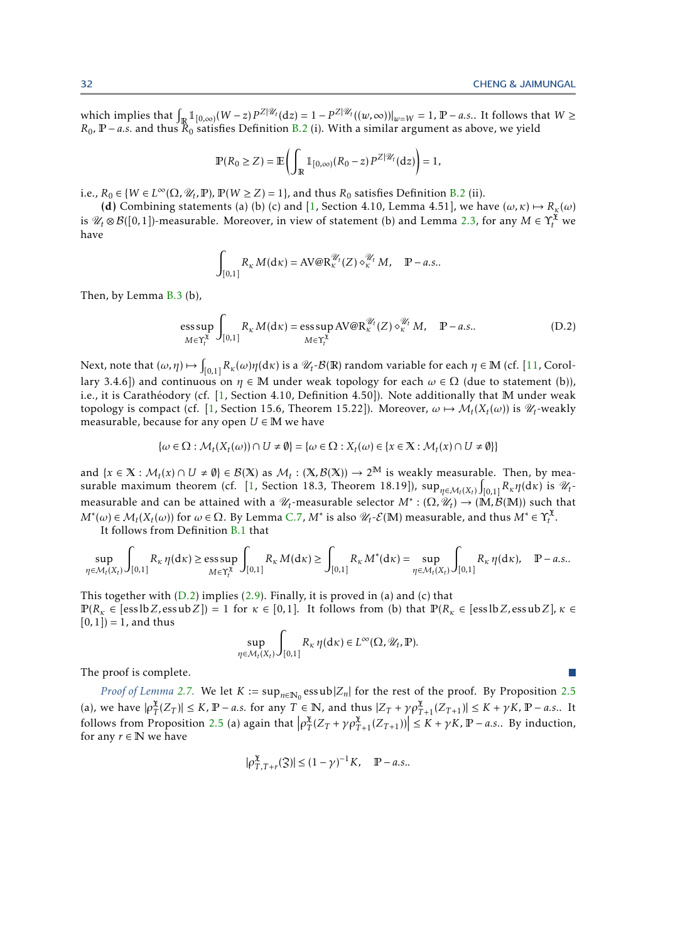which implies that  $\int_{\mathbb{R}} 1\!\!1_{[0,\infty)} (W - z) P^{Z|\mathscr{U}_t}(\mathrm{d}z) = 1 - P^{Z|\mathscr{U}_t}((w,\infty))|_{w = W} = 1$ ,  $\mathbb{P} - a.s..$  It follows that  $W \geq$  $R_0$ ,  $\mathbb{P}-a.s.$  and thus  $\mathbb{R}_0$  satisfies Definition [B.2](#page-25-4) (i). With a similar argument as above, we yield

$$
\mathbb{P}(R_0 \ge Z) = \mathbb{E}\left(\int_{\mathbb{R}} \mathbb{1}_{[0,\infty)}(R_0 - z) P^{Z|\mathscr{U}_t}(\mathrm{d}z)\right) = 1,
$$

i.e.,  $R_0 \in \{W \in L^\infty(\Omega, \mathcal{U}_t, \mathbb{P}), \mathbb{P}(W \ge Z) = 1\}$ , and thus  $R_0$  satisfies Definition [B.2](#page-25-4) (ii).

(d) Combining statements (a) (b) (c) and [\[1,](#page-23-3) Section 4.10, Lemma 4.51], we have  $(\omega, \kappa) \mapsto R_{\kappa}(\omega)$ is  $\mathscr{U}_t \otimes \mathcal{B}([0,1])$ -measurable. Moreover, in view of statement (b) and Lemma [2.3,](#page-6-2) for any  $M \in \Upsilon_t^{\mathfrak{X}}$  we have

<span id="page-31-0"></span>
$$
\int_{[0,1]} R_{\kappa} M(\mathrm{d}\kappa) = \mathrm{AV} \otimes \mathrm{R}_{\kappa}^{\mathcal{U}_t}(Z) \diamond_{\kappa}^{\mathcal{U}_t} M, \quad \mathbb{P}-a.s..
$$

Then, by Lemma [B.3](#page-25-3) (b),

$$
\underset{M \in \Upsilon_t^{\mathfrak{X}}}{\operatorname{ess\,sup}} \int_{[0,1]} R_{\kappa} M(\mathrm{d}\kappa) = \underset{M \in \Upsilon_t^{\mathfrak{X}}}{\operatorname{ess\,sup}} \, \mathrm{AV@R}_{\kappa}^{\mathscr{U}_t}(Z) \diamond_{\kappa}^{\mathscr{U}_t} M, \quad \mathbb{P}-a.s.. \tag{D.2}
$$

Next, note that  $(\omega, \eta) \mapsto \int_{[0,1]} R_{\kappa}(\omega) \eta(d\kappa)$  is a  $\mathscr{U}_t$ - $\mathcal{B}(\mathbb{R})$  random variable for each  $\eta \in \mathbb{M}$  (cf. [\[11,](#page-24-23) Corollary 3.4.6]) and continuous on  $\eta \in \mathbb{M}$  under weak topology for each  $\omega \in \Omega$  (due to statement (b)), i.e., it is Carathéodory (cf.  $[1,$  $[1,$  Section 4.10, Definition 4.50]). Note additionally that  $M$  under weak topology is compact (cf. [\[1,](#page-23-3) Section 15.6, Theorem 15.22]). Moreover,  $\omega \mapsto \mathcal{M}_t(X_t(\omega))$  is  $\mathscr{U}_t$ -weakly measurable, because for any open  $U \in M$  we have

$$
\{\omega\in\Omega:\mathcal{M}_t(X_t(\omega))\cap U\neq\emptyset\}=\{\omega\in\Omega:X_t(\omega)\in\{x\in\mathbb{X}:\mathcal{M}_t(x)\cap U\neq\emptyset\}\}
$$

and  $\{x \in \mathbb{X} : \mathcal{M}_t(x) \cap U \neq \emptyset\} \in \mathcal{B}(\mathbb{X})$  as  $\mathcal{M}_t : (\mathbb{X}, \mathcal{B}(\mathbb{X})) \to 2^{\mathbb{M}}$  is weakly measurable. Then, by mea-surable maximum theorem (cf. [\[1,](#page-23-3) Section 18.3, Theorem 18.19]),  $\sup_{\eta \in M_t(X_t)} \int_{[0,1]} R_{\kappa} \eta(dx)$  is  $\mathcal{U}_t$ measurable and can be attained with a  $\mathcal{U}_t$ -measurable selector  $M^*: (\Omega, \nu_t) \to (\mathbb{M}, \mathcal{B}(\mathbb{M}))$  such that  $M^*(\omega) \in \mathcal{M}_t(X_t(\omega))$  for  $\omega \in \Omega$ . By Lemma [C.7,](#page-28-1)  $M^*$  is also  $\mathcal{U}_t$ - $\mathcal{E}(\mathbb{M})$  measurable, and thus  $M^* \in \Upsilon_t^X$ .

It follows from Definition [B.1](#page-25-2) that

$$
\sup_{\eta \in \mathcal{M}_t(X_t)} \int_{[0,1]} R_{\kappa} \eta(dx) \ge \underset{M \in \Upsilon_t^X}{\text{ess sup}} \int_{[0,1]} R_{\kappa} M(dx) \ge \int_{[0,1]} R_{\kappa} M^*(dx) = \underset{\eta \in \mathcal{M}_t(X_t)}{\text{sup}} \int_{[0,1]} R_{\kappa} \eta(dx), \quad \mathbb{P}-a.s..
$$

This together with  $(D.2)$  implies  $(2.9)$ . Finally, it is proved in (a) and (c) that  $\mathbb{P}(R_k \in [\text{ess} \ln Z, \text{ess} \ln Z]) = 1$  for  $\kappa \in [0,1]$ . It follows from (b) that  $\mathbb{P}(R_k \in [\text{ess} \ln Z, \text{ess} \ln Z]$ *,*  $\kappa \in [0,1]$ *.*  $[0,1]$ ) = 1, and thus

$$
\sup_{\eta \in \mathcal{M}_t(X_t)} \int_{[0,1]} R_{\kappa} \eta(\mathrm{d} \kappa) \in L^{\infty}(\Omega, \mathcal{U}_t, \mathbb{P}).
$$

The proof is complete.

*Proof of Lemma* [2.7.](#page-8-3) We let  $K := \sup_{n \in \mathbb{N}_0} \text{essub} |Z_n|$  for the rest of the proof. By Proposition [2.5](#page-7-1) (a), we have  $|\rho_T^{\mathfrak{X}}(Z_T)| \leq K$ ,  $\mathbb{P} - a.s$ . for any  $T \in \mathbb{N}$ , and thus  $|Z_T + \gamma \rho_{T+1}^{\mathfrak{X}}(Z_{T+1})| \leq K + \gamma K$ ,  $\mathbb{P} - a.s$ .. It follows from Proposition [2.5](#page-7-1) (a) again that  $\left|\rho_T^{\mathfrak{X}}(Z_T + \gamma \rho_{T+1}^{\mathfrak{X}}(Z_{T+1}))\right| \leq K + \gamma K$ ,  $\mathbb{P}-a.s..$  By induction, for any  $r \in \mathbb{N}$  we have

$$
|\rho_{T,T+r}^{\mathfrak{X}}(\mathfrak{Z})|\leq (1-\gamma)^{-1}K,\quad \mathbb{P}-a.s..
$$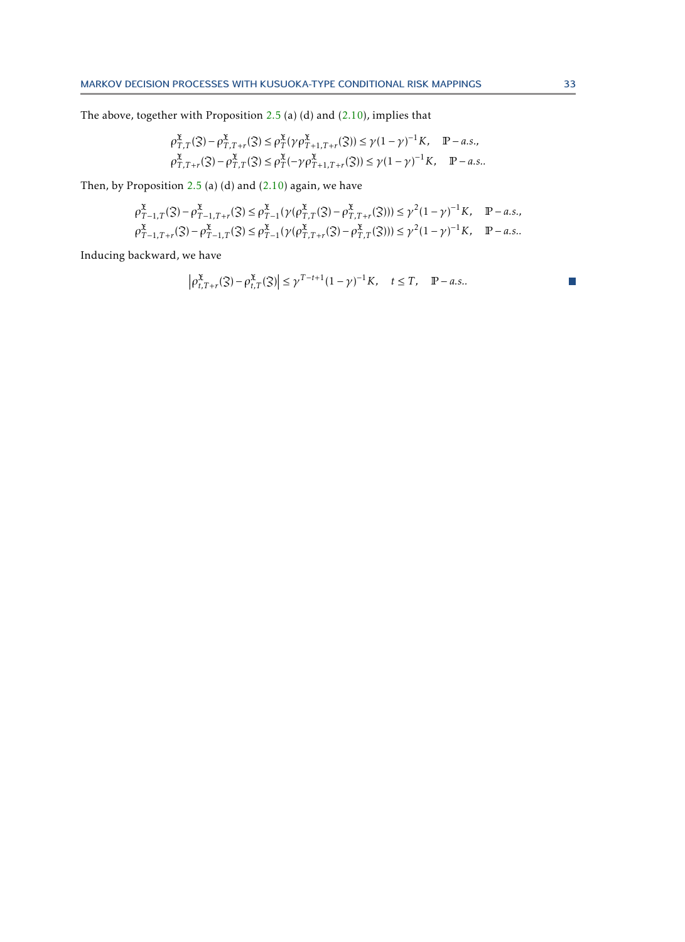The above, together with Proposition [2.5](#page-7-1) (a) (d) and [\(2.10\)](#page-8-2), implies that

$$
\begin{aligned} &\rho_{T,T}^{\mathfrak{X}}(\mathfrak{Z}) - \rho_{T,T+r}^{\mathfrak{X}}(\mathfrak{Z}) \leq \rho_{T}^{\mathfrak{X}}(\gamma \rho_{T+1,T+r}^{\mathfrak{X}}(\mathfrak{Z})) \leq \gamma (1-\gamma)^{-1} K, \quad \mathbb{P}-a.s.,\\ &\rho_{T,T+r}^{\mathfrak{X}}(\mathfrak{Z}) - \rho_{T,T}^{\mathfrak{X}}(\mathfrak{Z}) \leq \rho_{T}^{\mathfrak{X}}(-\gamma \rho_{T+1,T+r}^{\mathfrak{X}}(\mathfrak{Z})) \leq \gamma (1-\gamma)^{-1} K, \quad \mathbb{P}-a.s.. \end{aligned}
$$

Then, by Proposition  $2.5$  (a) (d) and  $(2.10)$  again, we have

$$
\rho_{T-1,T}^{\mathfrak{X}}(3) - \rho_{T-1,T+r}^{\mathfrak{X}}(3) \le \rho_{T-1}^{\mathfrak{X}}(\gamma(\rho_{T,T}^{\mathfrak{X}}(3) - \rho_{T,T+r}^{\mathfrak{X}}(3))) \le \gamma^2 (1-\gamma)^{-1} K, \quad \mathbb{P}-a.s.,
$$
  

$$
\rho_{T-1,T+r}^{\mathfrak{X}}(3) - \rho_{T-1,T}^{\mathfrak{X}}(3) \le \rho_{T-1}^{\mathfrak{X}}(\gamma(\rho_{T,T+r}^{\mathfrak{X}}(3) - \rho_{T,T}^{\mathfrak{X}}(3))) \le \gamma^2 (1-\gamma)^{-1} K, \quad \mathbb{P}-a.s..
$$

Inducing backward, we have

$$
|\rho_{t,T+r}^{\mathfrak{X}}(3) - \rho_{t,T}^{\mathfrak{X}}(3)| \leq \gamma^{T-t+1} (1-\gamma)^{-1} K, \quad t \leq T, \quad \mathbb{P}-a.s..
$$

 $\mathcal{L}_{\mathcal{A}}$